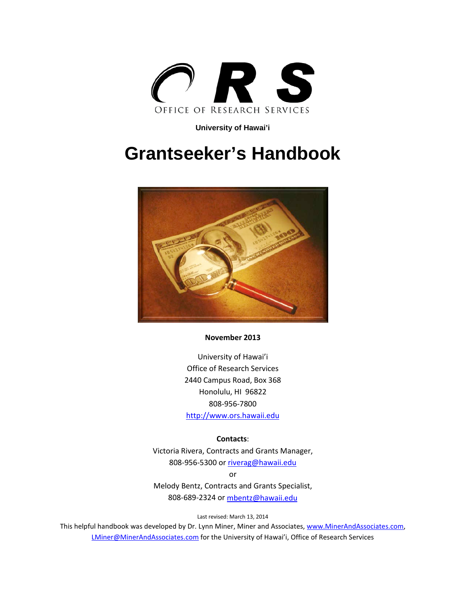

**University of Hawai'i**

# **Grantseeker's Handbook**



#### **November 2013**

University of Hawai'i Office of Research Services 2440 Campus Road, Box 368 Honolulu, HI 96822 808-956-7800 [http://www.ors.hawaii.edu](http://www.ors.hawaii.edu/)

#### **Contacts**:

Victoria Rivera, Contracts and Grants Manager, 808-956-5300 o[r riverag@hawaii.edu](mailto:riverag@hawaii.edu)

or

Melody Bentz, Contracts and Grants Specialist, 808-689-2324 or [mbentz@hawaii.edu](mailto:mbentz@hawaii.edu)

Last revised: March 13, 2014

This helpful handbook was developed by Dr. Lynn Miner, Miner and Associates, [www.MinerAndAssociates.com,](http://www.minerandassociates.com/) [LMiner@MinerAndAssociates.com](mailto:LMiner@MinerAndAssociates.com) for the University of Hawai'i, Office of Research Services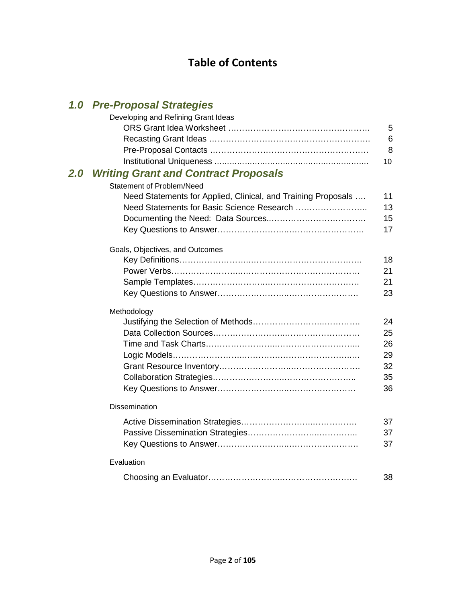# **Table of Contents**

|     | 1.0 Pre-Proposal Strategies                                   |    |
|-----|---------------------------------------------------------------|----|
|     | Developing and Refining Grant Ideas                           |    |
|     |                                                               | 5  |
|     |                                                               | 6  |
|     |                                                               | 8  |
|     |                                                               | 10 |
| 2.0 | <b>Writing Grant and Contract Proposals</b>                   |    |
|     | <b>Statement of Problem/Need</b>                              |    |
|     | Need Statements for Applied, Clinical, and Training Proposals | 11 |
|     | Need Statements for Basic Science Research                    | 13 |
|     |                                                               | 15 |
|     |                                                               | 17 |
|     | Goals, Objectives, and Outcomes                               |    |
|     |                                                               | 18 |
|     |                                                               | 21 |
|     |                                                               | 21 |
|     |                                                               | 23 |
|     | Methodology                                                   |    |
|     |                                                               | 24 |
|     |                                                               | 25 |
|     |                                                               | 26 |
|     |                                                               | 29 |
|     |                                                               | 32 |
|     |                                                               | 35 |
|     |                                                               | 36 |
|     | Dissemination                                                 |    |
|     |                                                               | 37 |
|     |                                                               | 37 |
|     |                                                               | 37 |
|     | Evaluation                                                    |    |
|     |                                                               | 38 |
|     |                                                               |    |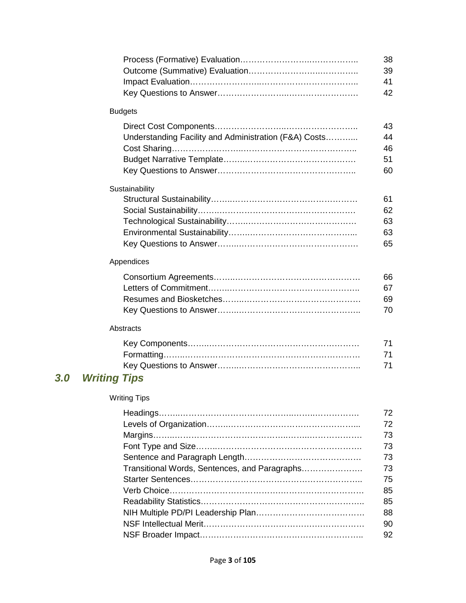|     |                                                       | 38<br>39 |
|-----|-------------------------------------------------------|----------|
|     |                                                       | 41       |
|     |                                                       | 42       |
|     | <b>Budgets</b>                                        |          |
|     |                                                       | 43       |
|     | Understanding Facility and Administration (F&A) Costs | 44       |
|     |                                                       | 46       |
|     |                                                       | 51       |
|     |                                                       | 60       |
|     | Sustainability                                        |          |
|     |                                                       | 61       |
|     |                                                       | 62       |
|     |                                                       | 63       |
|     |                                                       | 63       |
|     |                                                       | 65       |
|     | Appendices                                            |          |
|     |                                                       | 66       |
|     |                                                       | 67       |
|     |                                                       | 69       |
|     |                                                       | 70       |
|     | Abstracts                                             |          |
|     |                                                       | 71       |
|     |                                                       | 71       |
|     |                                                       | 71       |
| 3.0 | <b>Writing Tips</b>                                   |          |
|     | <b>Writing Tips</b>                                   |          |
|     |                                                       | 72       |
|     |                                                       | 72       |
|     |                                                       | 73       |
|     |                                                       | 73       |
|     |                                                       | 73       |
|     | Transitional Words, Sentences, and Paragraphs         | 73       |
|     |                                                       | 75       |
|     |                                                       | 85       |
|     |                                                       | 85       |
|     |                                                       | 88       |
|     |                                                       | 90       |

NSF Broader Impact………………………………………………….. 92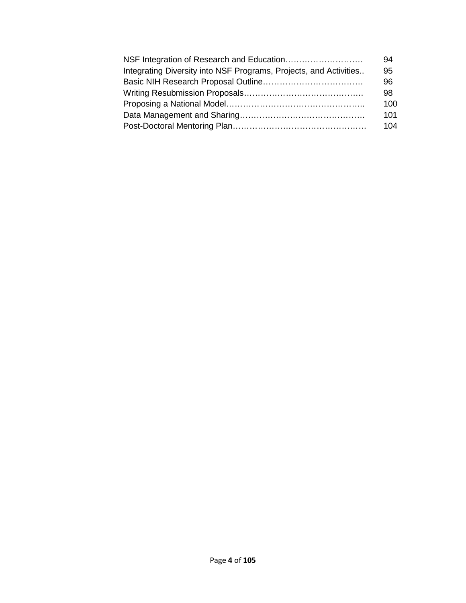|                                                                   | 94  |
|-------------------------------------------------------------------|-----|
| Integrating Diversity into NSF Programs, Projects, and Activities | 95  |
|                                                                   | 96  |
|                                                                   | 98  |
|                                                                   | 100 |
|                                                                   | 101 |
|                                                                   | 104 |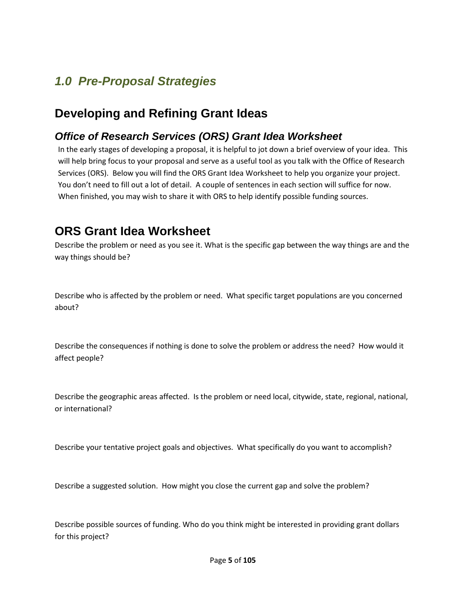# *1.0 Pre-Proposal Strategies*

# **Developing and Refining Grant Ideas**

## *Office of Research Services (ORS) Grant Idea Worksheet*

In the early stages of developing a proposal, it is helpful to jot down a brief overview of your idea. This will help bring focus to your proposal and serve as a useful tool as you talk with the Office of Research Services (ORS). Below you will find the ORS Grant Idea Worksheet to help you organize your project. You don't need to fill out a lot of detail. A couple of sentences in each section will suffice for now. When finished, you may wish to share it with ORS to help identify possible funding sources.

## **ORS Grant Idea Worksheet**

Describe the problem or need as you see it. What is the specific gap between the way things are and the way things should be?

Describe who is affected by the problem or need. What specific target populations are you concerned about?

Describe the consequences if nothing is done to solve the problem or address the need? How would it affect people?

Describe the geographic areas affected. Is the problem or need local, citywide, state, regional, national, or international?

Describe your tentative project goals and objectives. What specifically do you want to accomplish?

Describe a suggested solution. How might you close the current gap and solve the problem?

Describe possible sources of funding. Who do you think might be interested in providing grant dollars for this project?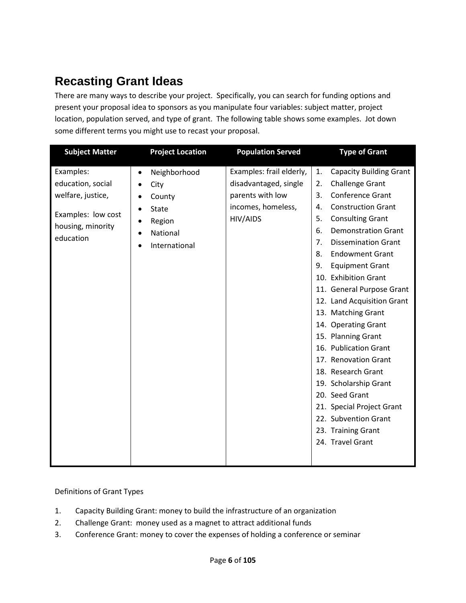# **Recasting Grant Ideas**

There are many ways to describe your project. Specifically, you can search for funding options and present your proposal idea to sponsors as you manipulate four variables: subject matter, project location, population served, and type of grant. The following table shows some examples. Jot down some different terms you might use to recast your proposal.

| <b>Subject Matter</b> | <b>Project Location</b>   | <b>Population Served</b> |    | <b>Type of Grant</b>           |
|-----------------------|---------------------------|--------------------------|----|--------------------------------|
| Examples:             | Neighborhood<br>$\bullet$ | Examples: frail elderly, | 1. | <b>Capacity Building Grant</b> |
| education, social     | City                      | disadvantaged, single    | 2. | <b>Challenge Grant</b>         |
| welfare, justice,     | County                    | parents with low         | 3. | Conference Grant               |
|                       | <b>State</b>              | incomes, homeless,       | 4. | <b>Construction Grant</b>      |
| Examples: low cost    | Region                    | HIV/AIDS                 | 5. | <b>Consulting Grant</b>        |
| housing, minority     | National<br>$\bullet$     |                          | 6. | <b>Demonstration Grant</b>     |
| education             | International             |                          | 7. | <b>Dissemination Grant</b>     |
|                       |                           |                          | 8. | <b>Endowment Grant</b>         |
|                       |                           |                          | 9. | <b>Equipment Grant</b>         |
|                       |                           |                          |    | 10. Exhibition Grant           |
|                       |                           |                          |    | 11. General Purpose Grant      |
|                       |                           |                          |    | 12. Land Acquisition Grant     |
|                       |                           |                          |    | 13. Matching Grant             |
|                       |                           |                          |    | 14. Operating Grant            |
|                       |                           |                          |    | 15. Planning Grant             |
|                       |                           |                          |    | 16. Publication Grant          |
|                       |                           |                          |    | 17. Renovation Grant           |
|                       |                           |                          |    | 18. Research Grant             |
|                       |                           |                          |    | 19. Scholarship Grant          |
|                       |                           |                          |    | 20. Seed Grant                 |
|                       |                           |                          |    | 21. Special Project Grant      |
|                       |                           |                          |    | 22. Subvention Grant           |
|                       |                           |                          |    | 23. Training Grant             |
|                       |                           |                          |    | 24. Travel Grant               |
|                       |                           |                          |    |                                |
|                       |                           |                          |    |                                |

#### Definitions of Grant Types

- 1. Capacity Building Grant: money to build the infrastructure of an organization
- 2. Challenge Grant: money used as a magnet to attract additional funds
- 3. Conference Grant: money to cover the expenses of holding a conference or seminar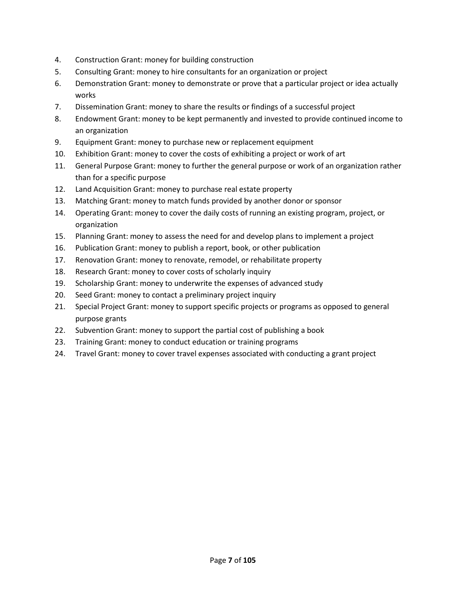- 4. Construction Grant: money for building construction
- 5. Consulting Grant: money to hire consultants for an organization or project
- 6. Demonstration Grant: money to demonstrate or prove that a particular project or idea actually works
- 7. Dissemination Grant: money to share the results or findings of a successful project
- 8. Endowment Grant: money to be kept permanently and invested to provide continued income to an organization
- 9. Equipment Grant: money to purchase new or replacement equipment
- 10. Exhibition Grant: money to cover the costs of exhibiting a project or work of art
- 11. General Purpose Grant: money to further the general purpose or work of an organization rather than for a specific purpose
- 12. Land Acquisition Grant: money to purchase real estate property
- 13. Matching Grant: money to match funds provided by another donor or sponsor
- 14. Operating Grant: money to cover the daily costs of running an existing program, project, or organization
- 15. Planning Grant: money to assess the need for and develop plans to implement a project
- 16. Publication Grant: money to publish a report, book, or other publication
- 17. Renovation Grant: money to renovate, remodel, or rehabilitate property
- 18. Research Grant: money to cover costs of scholarly inquiry
- 19. Scholarship Grant: money to underwrite the expenses of advanced study
- 20. Seed Grant: money to contact a preliminary project inquiry
- 21. Special Project Grant: money to support specific projects or programs as opposed to general purpose grants
- 22. Subvention Grant: money to support the partial cost of publishing a book
- 23. Training Grant: money to conduct education or training programs
- 24. Travel Grant: money to cover travel expenses associated with conducting a grant project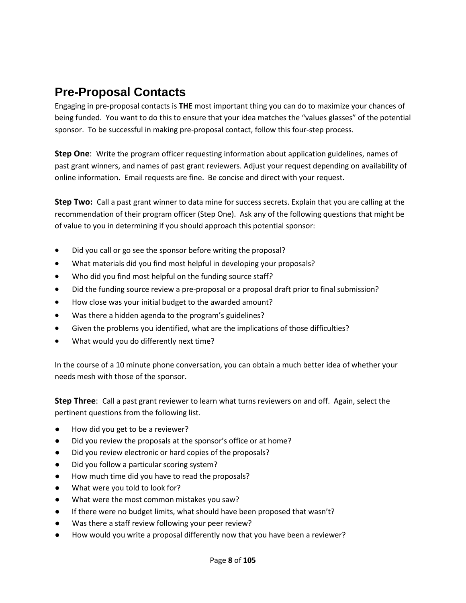# **Pre-Proposal Contacts**

Engaging in pre-proposal contacts is **THE** most important thing you can do to maximize your chances of being funded. You want to do this to ensure that your idea matches the "values glasses" of the potential sponsor. To be successful in making pre-proposal contact, follow this four-step process.

**Step One**: Write the program officer requesting information about application guidelines, names of past grant winners, and names of past grant reviewers. Adjust your request depending on availability of online information. Email requests are fine. Be concise and direct with your request.

**Step Two:** Call a past grant winner to data mine for success secrets. Explain that you are calling at the recommendation of their program officer (Step One). Ask any of the following questions that might be of value to you in determining if you should approach this potential sponsor:

- Did you call or go see the sponsor before writing the proposal?
- What materials did you find most helpful in developing your proposals?
- Who did you find most helpful on the funding source staff*?*
- Did the funding source review a pre-proposal or a proposal draft prior to final submission?
- How close was your initial budget to the awarded amount?
- Was there a hidden agenda to the program's guidelines?
- Given the problems you identified, what are the implications of those difficulties?
- What would you do differently next time?

In the course of a 10 minute phone conversation, you can obtain a much better idea of whether your needs mesh with those of the sponsor.

**Step Three**: Call a past grant reviewer to learn what turns reviewers on and off. Again, select the pertinent questions from the following list.

- How did you get to be a reviewer?
- Did you review the proposals at the sponsor's office or at home?
- Did you review electronic or hard copies of the proposals?
- Did you follow a particular scoring system?
- How much time did you have to read the proposals?
- *●* What were you told to look for?
- *●* What were the most common mistakes you saw?
- *●* If there were no budget limits, what should have been proposed that wasn't?
- *●* Was there a staff review following your peer review?
- How would you write a proposal differently now that you have been a reviewer?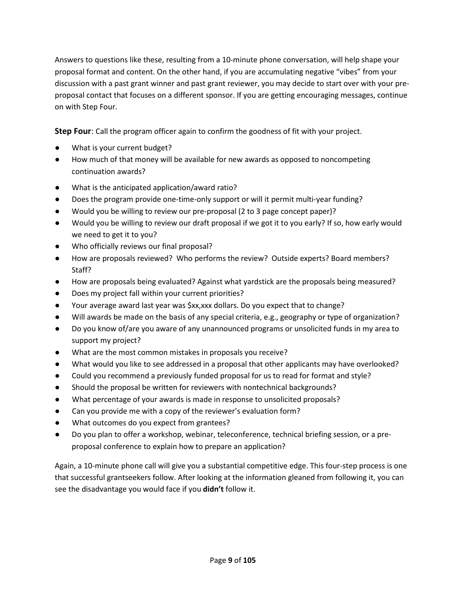Answers to questions like these, resulting from a 10-minute phone conversation, will help shape your proposal format and content. On the other hand, if you are accumulating negative "vibes" from your discussion with a past grant winner and past grant reviewer, you may decide to start over with your preproposal contact that focuses on a different sponsor. If you are getting encouraging messages, continue on with Step Four.

**Step Four**: Call the program officer again to confirm the goodness of fit with your project.

- What is your current budget?
- *●* How much of that money will be available for new awards as opposed to noncompeting continuation awards?
- *●* What is the anticipated application/award ratio?
- Does the program provide one-time-only support or will it permit multi-year funding?
- Would you be willing to review our pre-proposal (2 to 3 page concept paper)?
- Would you be willing to review our draft proposal if we got it to you early? If so, how early would we need to get it to you?
- Who officially reviews our final proposal?
- How are proposals reviewed? Who performs the review? Outside experts? Board members? Staff?
- How are proposals being evaluated? Against what yardstick are the proposals being measured?
- Does my project fall within your current priorities?
- Your average award last year was \$xx,xxx dollars. Do you expect that to change?
- Will awards be made on the basis of any special criteria, e.g., geography or type of organization?
- Do you know of/are you aware of any unannounced programs or unsolicited funds in my area to support my project?
- What are the most common mistakes in proposals you receive?
- What would you like to see addressed in a proposal that other applicants may have overlooked?
- Could you recommend a previously funded proposal for us to read for format and style?
- Should the proposal be written for reviewers with nontechnical backgrounds?
- What percentage of your awards is made in response to unsolicited proposals?
- Can you provide me with a copy of the reviewer's evaluation form?
- What outcomes do you expect from grantees?
- Do you plan to offer a workshop, webinar, teleconference, technical briefing session, or a preproposal conference to explain how to prepare an application?

Again, a 10-minute phone call will give you a substantial competitive edge. This four-step process is one that successful grantseekers follow. After looking at the information gleaned from following it, you can see the disadvantage you would face if you **didn't** follow it.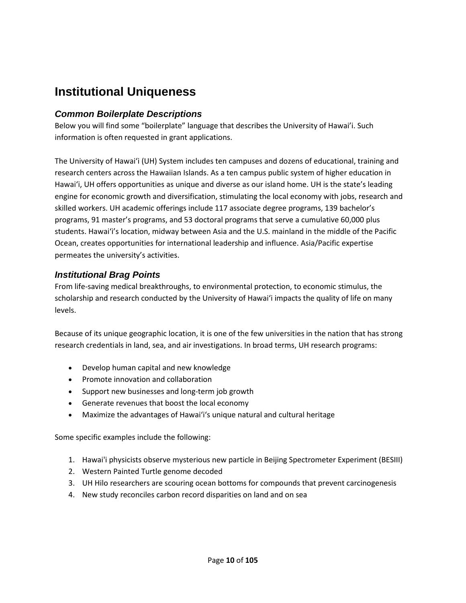# **Institutional Uniqueness**

#### *Common Boilerplate Descriptions*

Below you will find some "boilerplate" language that describes the University of Hawai'i. Such information is often requested in grant applications.

The University of Hawai'i (UH) System includes ten campuses and dozens of educational, training and research centers across the Hawaiian Islands. As a ten campus public system of higher education in Hawai'i, UH offers opportunities as unique and diverse as our island home. UH is the state's leading engine for economic growth and diversification, stimulating the local economy with jobs, research and skilled workers. UH academic offerings include 117 associate degree programs, 139 bachelor's programs, 91 master's programs, and 53 doctoral programs that serve a cumulative 60,000 plus students. Hawai'i's location, midway between Asia and the U.S. mainland in the middle of the Pacific Ocean, creates opportunities for international leadership and influence. Asia/Pacific expertise permeates the university's activities.

## *Institutional Brag Points*

From life-saving medical breakthroughs, to environmental protection, to economic stimulus, the scholarship and research conducted by the University of Hawai'i impacts the quality of life on many levels.

Because of its unique geographic location, it is one of the few universities in the nation that has strong research credentials in land, sea, and air investigations. In broad terms, UH research programs:

- Develop human capital and new knowledge
- Promote innovation and collaboration
- Support new businesses and long-term job growth
- Generate revenues that boost the local economy
- Maximize the advantages of Hawai'i's unique natural and cultural heritage

Some specific examples include the following:

- 1. [Hawai'i physicists observe mysterious new particle in](http://www.hawaii.edu/news/article.php?aId=5685) Beijing Spectrometer Experiment (BESIII)
- 2. [Western Painted Turtle genome decoded](http://www.hawaii.edu/news/article.php?aId=5680)
- 3. [UH Hilo researchers](http://www.hawaii.edu/news/article.php?aId=5671) are scouring ocean bottoms for compounds that prevent carcinogenesis
- 4. [New study reconciles carbon record disparities on land and on sea](http://www.hawaii.edu/news/article.php?aId=5669)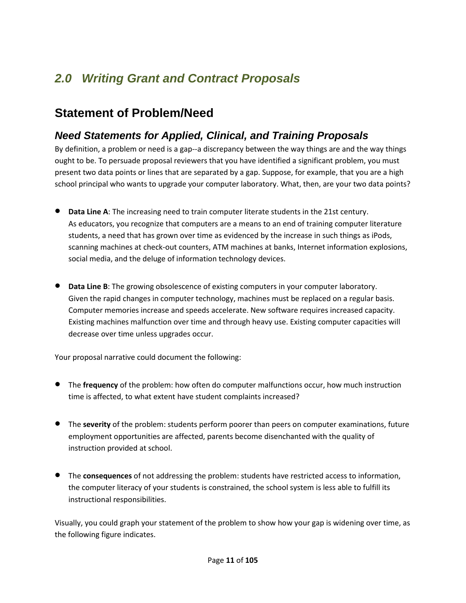# *2.0 Writing Grant and Contract Proposals*

## **Statement of Problem/Need**

## *Need Statements for Applied, Clinical, and Training Proposals*

By definition, a problem or need is a gap--a discrepancy between the way things are and the way things ought to be. To persuade proposal reviewers that you have identified a significant problem, you must present two data points or lines that are separated by a gap. Suppose, for example, that you are a high school principal who wants to upgrade your computer laboratory. What, then, are your two data points?

- **Data Line A**: The increasing need to train computer literate students in the 21st century. As educators, you recognize that computers are a means to an end of training computer literature students, a need that has grown over time as evidenced by the increase in such things as iPods, scanning machines at check-out counters, ATM machines at banks, Internet information explosions, social media, and the deluge of information technology devices.
- **Data Line B**: The growing obsolescence of existing computers in your computer laboratory. Given the rapid changes in computer technology, machines must be replaced on a regular basis. Computer memories increase and speeds accelerate. New software requires increased capacity. Existing machines malfunction over time and through heavy use. Existing computer capacities will decrease over time unless upgrades occur.

Your proposal narrative could document the following:

- The **frequency** of the problem: how often do computer malfunctions occur, how much instruction time is affected, to what extent have student complaints increased?
- The **severity** of the problem: students perform poorer than peers on computer examinations, future employment opportunities are affected, parents become disenchanted with the quality of instruction provided at school.
- The **consequences** of not addressing the problem: students have restricted access to information, the computer literacy of your students is constrained, the school system is less able to fulfill its instructional responsibilities.

Visually, you could graph your statement of the problem to show how your gap is widening over time, as the following figure indicates.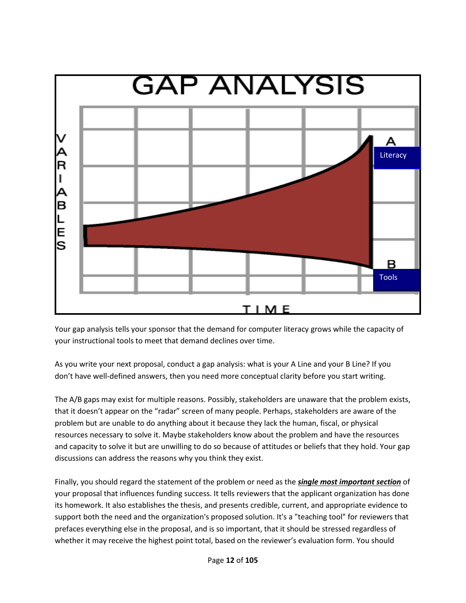

Your gap analysis tells your sponsor that the demand for computer literacy grows while the capacity of your instructional tools to meet that demand declines over time.

As you write your next proposal, conduct a gap analysis: what is your A Line and your B Line? If you don't have well-defined answers, then you need more conceptual clarity before you start writing.

The A/B gaps may exist for multiple reasons. Possibly, stakeholders are unaware that the problem exists, that it doesn't appear on the "radar" screen of many people. Perhaps, stakeholders are aware of the problem but are unable to do anything about it because they lack the human, fiscal, or physical resources necessary to solve it. Maybe stakeholders know about the problem and have the resources and capacity to solve it but are unwilling to do so because of attitudes or beliefs that they hold. Your gap discussions can address the reasons why you think they exist.

Finally, you should regard the statement of the problem or need as the *single most important section* of your proposal that influences funding success. It tells reviewers that the applicant organization has done its homework. It also establishes the thesis, and presents credible, current, and appropriate evidence to support both the need and the organization's proposed solution. It's a "teaching tool" for reviewers that prefaces everything else in the proposal, and is so important, that it should be stressed regardless of whether it may receive the highest point total, based on the reviewer's evaluation form. You should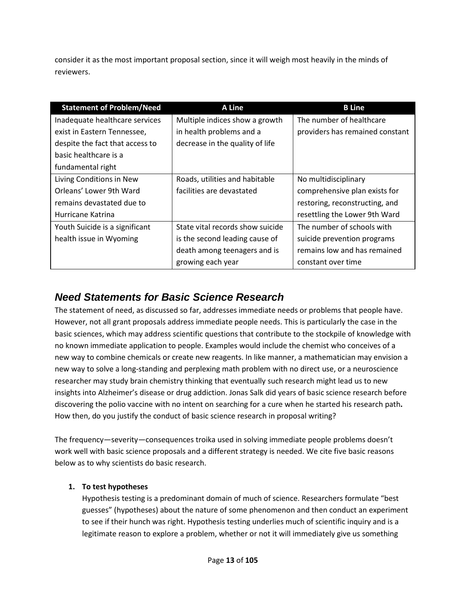consider it as the most important proposal section, since it will weigh most heavily in the minds of reviewers.

| <b>Statement of Problem/Need</b> | A Line                           | <b>B</b> Line                   |
|----------------------------------|----------------------------------|---------------------------------|
| Inadequate healthcare services   | Multiple indices show a growth   | The number of healthcare        |
| exist in Eastern Tennessee.      | in health problems and a         | providers has remained constant |
| despite the fact that access to  | decrease in the quality of life  |                                 |
| basic healthcare is a            |                                  |                                 |
| fundamental right                |                                  |                                 |
| Living Conditions in New         | Roads, utilities and habitable   | No multidisciplinary            |
| Orleans' Lower 9th Ward          | facilities are devastated        | comprehensive plan exists for   |
| remains devastated due to        |                                  | restoring, reconstructing, and  |
| Hurricane Katrina                |                                  | resettling the Lower 9th Ward   |
| Youth Suicide is a significant   | State vital records show suicide | The number of schools with      |
| health issue in Wyoming          | is the second leading cause of   | suicide prevention programs     |
|                                  | death among teenagers and is     | remains low and has remained    |
|                                  | growing each year                | constant over time              |

## *Need Statements for Basic Science Research*

The statement of need, as discussed so far, addresses immediate needs or problems that people have. However, not all grant proposals address immediate people needs. This is particularly the case in the basic sciences, which may address scientific questions that contribute to the stockpile of knowledge with no known immediate application to people. Examples would include the chemist who conceives of a new way to combine chemicals or create new reagents. In like manner, a mathematician may envision a new way to solve a long-standing and perplexing math problem with no direct use, or a neuroscience researcher may study brain chemistry thinking that eventually such research might lead us to new insights into Alzheimer's disease or drug addiction. Jonas Salk did years of basic science research before discovering the polio vaccine with no intent on searching for a cure when he started his research path**.** How then, do you justify the conduct of basic science research in proposal writing?

The frequency—severity—consequences troika used in solving immediate people problems doesn't work well with basic science proposals and a different strategy is needed. We cite five basic reasons below as to why scientists do basic research.

#### **1. To test hypotheses**

Hypothesis testing is a predominant domain of much of science. Researchers formulate "best guesses" (hypotheses) about the nature of some phenomenon and then conduct an experiment to see if their hunch was right. Hypothesis testing underlies much of scientific inquiry and is a legitimate reason to explore a problem, whether or not it will immediately give us something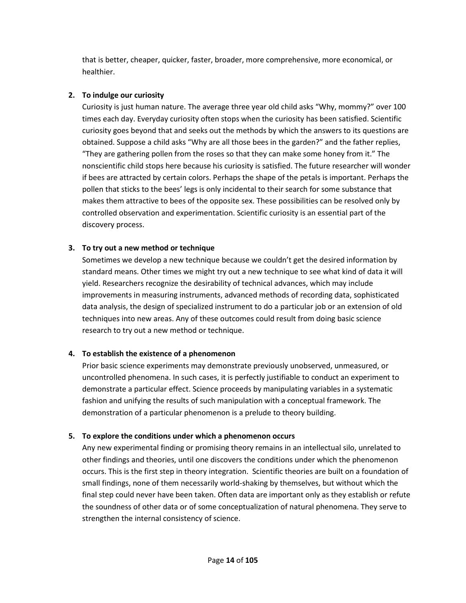that is better, cheaper, quicker, faster, broader, more comprehensive, more economical, or healthier.

#### **2. To indulge our curiosity**

Curiosity is just human nature. The average three year old child asks "Why, mommy?" over 100 times each day. Everyday curiosity often stops when the curiosity has been satisfied. Scientific curiosity goes beyond that and seeks out the methods by which the answers to its questions are obtained. Suppose a child asks "Why are all those bees in the garden?" and the father replies, "They are gathering pollen from the roses so that they can make some honey from it." The nonscientific child stops here because his curiosity is satisfied. The future researcher will wonder if bees are attracted by certain colors. Perhaps the shape of the petals is important. Perhaps the pollen that sticks to the bees' legs is only incidental to their search for some substance that makes them attractive to bees of the opposite sex. These possibilities can be resolved only by controlled observation and experimentation. Scientific curiosity is an essential part of the discovery process.

#### **3. To try out a new method or technique**

Sometimes we develop a new technique because we couldn't get the desired information by standard means. Other times we might try out a new technique to see what kind of data it will yield. Researchers recognize the desirability of technical advances, which may include improvements in measuring instruments, advanced methods of recording data, sophisticated data analysis, the design of specialized instrument to do a particular job or an extension of old techniques into new areas. Any of these outcomes could result from doing basic science research to try out a new method or technique.

#### **4. To establish the existence of a phenomenon**

Prior basic science experiments may demonstrate previously unobserved, unmeasured, or uncontrolled phenomena. In such cases, it is perfectly justifiable to conduct an experiment to demonstrate a particular effect. Science proceeds by manipulating variables in a systematic fashion and unifying the results of such manipulation with a conceptual framework. The demonstration of a particular phenomenon is a prelude to theory building.

#### **5. To explore the conditions under which a phenomenon occurs**

Any new experimental finding or promising theory remains in an intellectual silo, unrelated to other findings and theories, until one discovers the conditions under which the phenomenon occurs. This is the first step in theory integration. Scientific theories are built on a foundation of small findings, none of them necessarily world-shaking by themselves, but without which the final step could never have been taken. Often data are important only as they establish or refute the soundness of other data or of some conceptualization of natural phenomena. They serve to strengthen the internal consistency of science.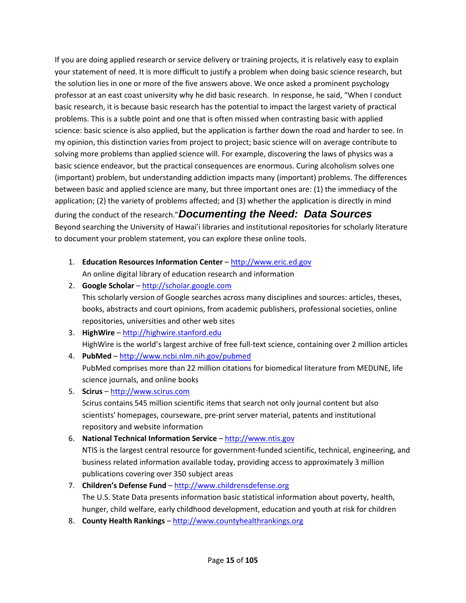If you are doing applied research or service delivery or training projects, it is relatively easy to explain your statement of need. It is more difficult to justify a problem when doing basic science research, but the solution lies in one or more of the five answers above. We once asked a prominent psychology professor at an east coast university why he did basic research. In response, he said, "When I conduct basic research, it is because basic research has the potential to impact the largest variety of practical problems. This is a subtle point and one that is often missed when contrasting basic with applied science: basic science is also applied, but the application is farther down the road and harder to see. In my opinion, this distinction varies from project to project; basic science will on average contribute to solving more problems than applied science will. For example, discovering the laws of physics was a basic science endeavor, but the practical consequences are enormous. Curing alcoholism solves one (important) problem, but understanding addiction impacts many (important) problems. The differences between basic and applied science are many, but three important ones are: (1) the immediacy of the application; (2) the variety of problems affected; and (3) whether the application is directly in mind during the conduct of the research."*Documenting the Need: Data Sources* Beyond searching the University of Hawai'i libraries and institutional repositories for scholarly literature to document your problem statement, you can explore these online tools.

- 1. **Education Resources Information Center** [http://www.eric.ed.gov](http://www.eric.ed.gov/)  An online digital library of education research and information
- 2. **Google Scholar** [http://scholar.google.com](http://scholar.google.com/) This scholarly version of Google searches across many disciplines and sources: articles, theses, books, abstracts and court opinions, from academic publishers, professional societies, online repositories, universities and other web sites
- 3. **HighWire** [http://highwire.stanford.edu](http://highwire.stanford.edu/) HighWire is the world'[s largest archive](http://highwire.stanford.edu/lists/largest.dtl) of free full-text science, containing over 2 million articles
- 4. **PubMed** <http://www.ncbi.nlm.nih.gov/pubmed> PubMed comprises more than 22 million citations for biomedical literature from MEDLINE, life science journals, and online books
- 5. **Scirus** [http://www.scirus.com](http://www.scirus.com/) Scirus contains 545 million scientific items that search not only journal content but also scientists' homepages, courseware, pre-print server material, patents and institutional repository and website information 6. **National Technical Information Service** – [http://www.ntis.gov](http://www.ntis.gov/)
- NTIS is the largest central resource for government-funded scientific, technical, engineering, and business related information available today, providing access to approximately 3 million publications covering over 350 [subject areas](http://www.ntis.gov/about/coverage.aspx)
- 7. **Children's Defense Fund** [http://www.childrensdefense.org](http://www.childrensdefense.org/) The U.S. State Data presents information basic statistical information about poverty, health, hunger, child welfare, early childhood development, education and youth at risk for children
- 8. **County Health Rankings** [http://www.countyhealthrankings.org](http://www.countyhealthrankings.org/)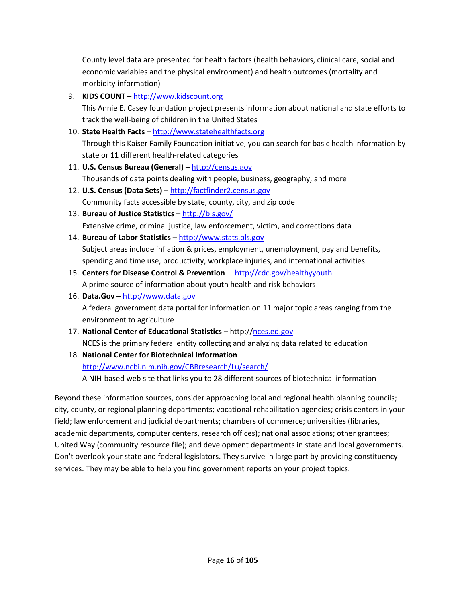County level data are presented for health factors (health behaviors, clinical care, social and economic variables and the physical environment) and health outcomes (mortality and morbidity information)

- 9. **KIDS COUNT** [http://www.kidscount.org](http://www.kidscount.org/) This Annie E. Casey foundation project presents information about national and state efforts to track the well-being of children in the United States
- 10. **State Health Facts** [http://www.statehealthfacts.org](http://www.statehealthfacts.org/) Through this Kaiser Family Foundation initiative, you can search for basic health information by state or 11 different health-related categories
- 11. **U.S. Census Bureau (General)** [http://census.gov](http://census.gov/) Thousands of data points dealing with people, business, geography, and more
- 12. **U.S. Census (Data Sets)** [http://factfinder2.census.gov](http://factfinder2.census.gov/) Community facts accessible by state, county, city, and zip code
- 13. **Bureau of Justice Statistics** <http://bjs.gov/> Extensive crime, criminal justice, law enforcement, victim, and corrections data
- 14. **Bureau of Labor Statistics** [http://www.stats.bls.gov](http://www.stats.bls.gov/) Subject areas include inflation & prices, employment, unemployment, pay and benefits, spending and time use, productivity, workplace injuries, and international activities
- 15. **Centers for Disease Control & Prevention** –<http://cdc.gov/healthyyouth> A prime source of information about youth health and risk behaviors
- 16. **Data.Gov** [http://www.data.gov](http://www.data.gov/) A federal government data portal for information on 11 major topic areas ranging from the environment to agriculture
- 17. **National Center of Educational Statistics** http:/[/nces.ed.gov](http://www.ed.gov/NCES) NCES is the primary federal entity collecting and analyzing data related to education
- 18. **National Center for Biotechnical Information** <http://www.ncbi.nlm.nih.gov/CBBresearch/Lu/search/> A NIH-based web site that links you to 28 different sources of biotechnical information

Beyond these information sources, consider approaching local and regional health planning councils; city, county, or regional planning departments; vocational rehabilitation agencies; crisis centers in your field; law enforcement and judicial departments; chambers of commerce; universities (libraries, academic departments, computer centers, research offices); national associations; other grantees; United Way (community resource file); and development departments in state and local governments. Don't overlook your state and federal legislators. They survive in large part by providing constituency services. They may be able to help you find government reports on your project topics.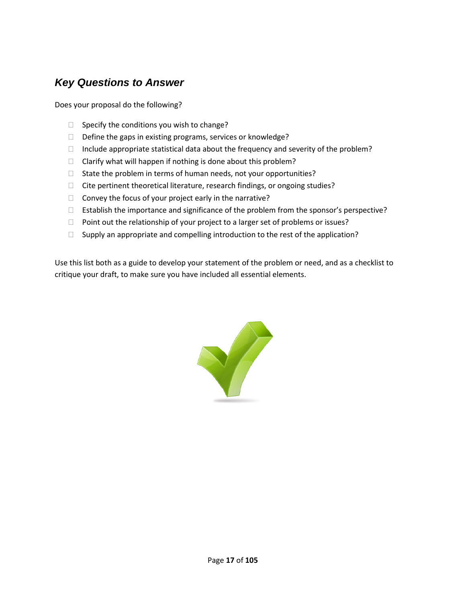## *Key Questions to Answer*

Does your proposal do the following?

- $\Box$  Specify the conditions you wish to change?
- $\Box$  Define the gaps in existing programs, services or knowledge?
- $\Box$  Include appropriate statistical data about the frequency and severity of the problem?
- $\Box$  Clarify what will happen if nothing is done about this problem?
- $\Box$  State the problem in terms of human needs, not your opportunities?
- $\Box$  Cite pertinent theoretical literature, research findings, or ongoing studies?
- $\Box$  Convey the focus of your project early in the narrative?
- $\Box$  Establish the importance and significance of the problem from the sponsor's perspective?
- $\Box$  Point out the relationship of your project to a larger set of problems or issues?
- $\Box$  Supply an appropriate and compelling introduction to the rest of the application?

Use this list both as a guide to develop your statement of the problem or need, and as a checklist to critique your draft, to make sure you have included all essential elements.

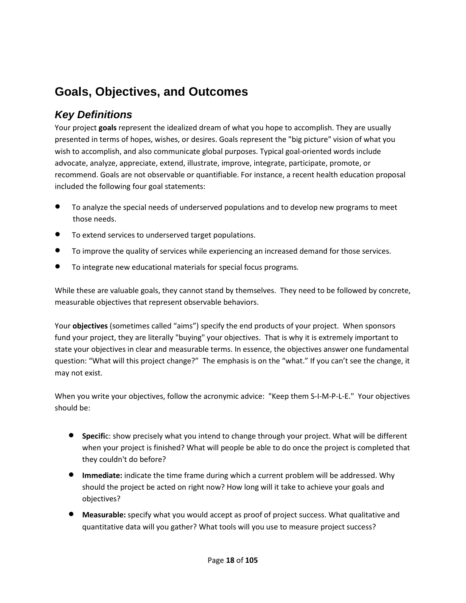# **Goals, Objectives, and Outcomes**

## *Key Definitions*

Your project **goals** represent the idealized dream of what you hope to accomplish. They are usually presented in terms of hopes, wishes, or desires. Goals represent the "big picture" vision of what you wish to accomplish, and also communicate global purposes. Typical goal-oriented words include advocate, analyze, appreciate, extend, illustrate, improve, integrate, participate, promote, or recommend. Goals are not observable or quantifiable. For instance, a recent health education proposal included the following four goal statements:

- To analyze the special needs of underserved populations and to develop new programs to meet those needs.
- To extend services to underserved target populations.
- To improve the quality of services while experiencing an increased demand for those services.
- To integrate new educational materials for special focus programs*.*

While these are valuable goals, they cannot stand by themselves. They need to be followed by concrete, measurable objectives that represent observable behaviors.

Your **objectives** (sometimes called "aims") specify the end products of your project. When sponsors fund your project, they are literally "buying" your objectives. That is why it is extremely important to state your objectives in clear and measurable terms. In essence, the objectives answer one fundamental question: "What will this project change?" The emphasis is on the "what." If you can't see the change, it may not exist.

When you write your objectives, follow the acronymic advice: "Keep them S-I-M-P-L-E." Your objectives should be:

- **Specifi**c: show precisely what you intend to change through your project. What will be different when your project is finished? What will people be able to do once the project is completed that they couldn't do before?
- **Immediate:** indicate the time frame during which a current problem will be addressed. Why should the project be acted on right now? How long will it take to achieve your goals and objectives?
- **Measurable:** specify what you would accept as proof of project success. What qualitative and quantitative data will you gather? What tools will you use to measure project success?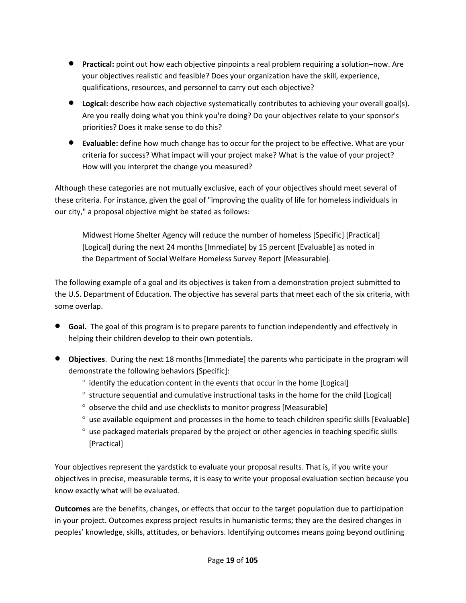- **Practical:** point out how each objective pinpoints a real problem requiring a solution–now. Are your objectives realistic and feasible? Does your organization have the skill, experience, qualifications, resources, and personnel to carry out each objective?
- **Logical:** describe how each objective systematically contributes to achieving your overall goal(s). Are you really doing what you think you're doing? Do your objectives relate to your sponsor's priorities? Does it make sense to do this?
- **Evaluable:** define how much change has to occur for the project to be effective. What are your criteria for success? What impact will your project make? What is the value of your project? How will you interpret the change you measured?

Although these categories are not mutually exclusive, each of your objectives should meet several of these criteria. For instance, given the goal of "improving the quality of life for homeless individuals in our city," a proposal objective might be stated as follows:

Midwest Home Shelter Agency will reduce the number of homeless [Specific] [Practical] [Logical] during the next 24 months [Immediate] by 15 percent [Evaluable] as noted in the Department of Social Welfare Homeless Survey Report [Measurable].

The following example of a goal and its objectives is taken from a demonstration project submitted to the U.S. Department of Education. The objective has several parts that meet each of the six criteria, with some overlap.

- **Goal.** The goal of this program is to prepare parents to function independently and effectively in helping their children develop to their own potentials.
- **Objectives**. During the next 18 months [Immediate] the parents who participate in the program will demonstrate the following behaviors [Specific]:
	- ° identify the education content in the events that occur in the home [Logical]
	- ° structure sequential and cumulative instructional tasks in the home for the child [Logical]
	- ° observe the child and use checklists to monitor progress [Measurable]
	- ° use available equipment and processes in the home to teach children specific skills [Evaluable]
	- $\degree$  use packaged materials prepared by the project or other agencies in teaching specific skills [Practical]

Your objectives represent the yardstick to evaluate your proposal results. That is, if you write your objectives in precise, measurable terms, it is easy to write your proposal evaluation section because you know exactly what will be evaluated.

**Outcomes** are the benefits, changes, or effects that occur to the target population due to participation in your project. Outcomes express project results in humanistic terms; they are the desired changes in peoples' knowledge, skills, attitudes, or behaviors. Identifying outcomes means going beyond outlining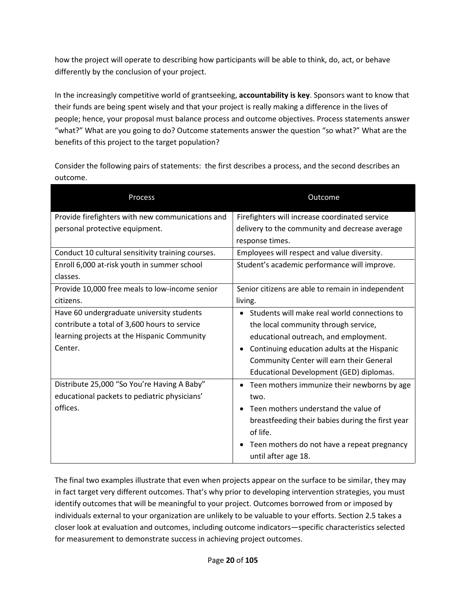how the project will operate to describing how participants will be able to think, do, act, or behave differently by the conclusion of your project.

In the increasingly competitive world of grantseeking, **accountability is key**. Sponsors want to know that their funds are being spent wisely and that your project is really making a difference in the lives of people; hence, your proposal must balance process and outcome objectives. Process statements answer "what?" What are you going to do? Outcome statements answer the question "so what?" What are the benefits of this project to the target population?

Consider the following pairs of statements: the first describes a process, and the second describes an outcome.

| <b>Process</b>                                    | Outcome                                           |
|---------------------------------------------------|---------------------------------------------------|
| Provide firefighters with new communications and  | Firefighters will increase coordinated service    |
| personal protective equipment.                    | delivery to the community and decrease average    |
|                                                   | response times.                                   |
| Conduct 10 cultural sensitivity training courses. | Employees will respect and value diversity.       |
| Enroll 6,000 at-risk youth in summer school       | Student's academic performance will improve.      |
| classes.                                          |                                                   |
| Provide 10,000 free meals to low-income senior    | Senior citizens are able to remain in independent |
| citizens.                                         | living.                                           |
| Have 60 undergraduate university students         | Students will make real world connections to      |
| contribute a total of 3,600 hours to service      | the local community through service,              |
| learning projects at the Hispanic Community       | educational outreach, and employment.             |
| Center.                                           | Continuing education adults at the Hispanic       |
|                                                   | Community Center will earn their General          |
|                                                   | Educational Development (GED) diplomas.           |
| Distribute 25,000 "So You're Having A Baby"       | Teen mothers immunize their newborns by age       |
| educational packets to pediatric physicians'      | two.                                              |
| offices.                                          | Teen mothers understand the value of              |
|                                                   | breastfeeding their babies during the first year  |
|                                                   | of life.                                          |
|                                                   | Teen mothers do not have a repeat pregnancy       |
|                                                   | until after age 18.                               |

The final two examples illustrate that even when projects appear on the surface to be similar, they may in fact target very different outcomes. That's why prior to developing intervention strategies, you must identify outcomes that will be meaningful to your project. Outcomes borrowed from or imposed by individuals external to your organization are unlikely to be valuable to your efforts. Section 2.5 takes a closer look at evaluation and outcomes, including outcome indicators—specific characteristics selected for measurement to demonstrate success in achieving project outcomes.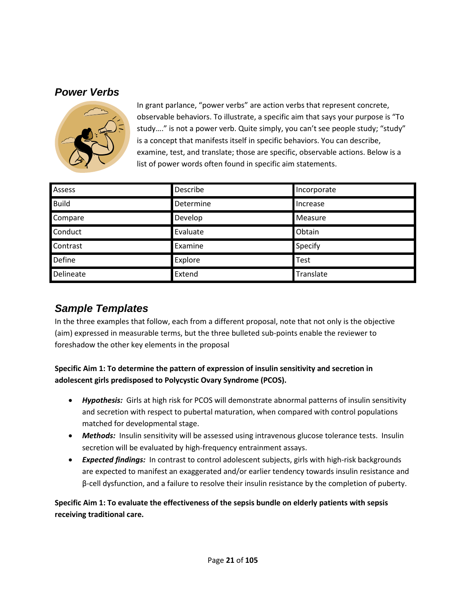## *Power Verbs*



In grant parlance, "power verbs" are action verbs that represent concrete, observable behaviors. To illustrate, a specific aim that says your purpose is "To study…." is not a power verb. Quite simply, you can't see people study; "study" is a concept that manifests itself in specific behaviors. You can describe, examine, test, and translate; those are specific, observable actions. Below is a list of power words often found in specific aim statements.

| Assess        | Describe  | Incorporate |
|---------------|-----------|-------------|
| <b>Build</b>  | Determine | Increase    |
| Compare       | Develop   | Measure     |
| Conduct       | Evaluate  | Obtain      |
| Contrast      | Examine   | Specify     |
| <b>Define</b> | Explore   | Test        |
| Delineate     | Extend    | Translate   |

## *Sample Templates*

In the three examples that follow, each from a different proposal, note that not only is the objective (aim) expressed in measurable terms, but the three bulleted sub-points enable the reviewer to foreshadow the other key elements in the proposal

### **Specific Aim 1: To determine the pattern of expression of insulin sensitivity and secretion in adolescent girls predisposed to Polycystic Ovary Syndrome (PCOS).**

- *Hypothesis:* Girls at high risk for PCOS will demonstrate abnormal patterns of insulin sensitivity and secretion with respect to pubertal maturation, when compared with control populations matched for developmental stage.
- *Methods:* Insulin sensitivity will be assessed using intravenous glucose tolerance tests. Insulin secretion will be evaluated by high-frequency entrainment assays.
- *Expected findings:* In contrast to control adolescent subjects, girls with high-risk backgrounds are expected to manifest an exaggerated and/or earlier tendency towards insulin resistance and β-cell dysfunction, and a failure to resolve their insulin resistance by the completion of puberty.

**Specific Aim 1: To evaluate the effectiveness of the sepsis bundle on elderly patients with sepsis receiving traditional care.**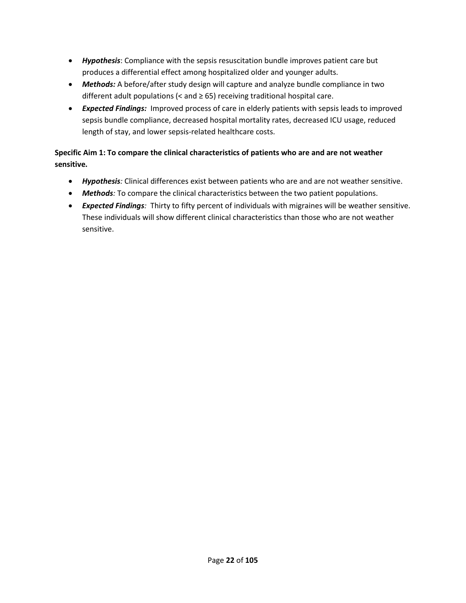- *Hypothesis*: Compliance with the sepsis resuscitation bundle improves patient care but produces a differential effect among hospitalized older and younger adults.
- *Methods:* A before/after study design will capture and analyze bundle compliance in two different adult populations (< and  $\geq$  65) receiving traditional hospital care.
- *Expected Findings:* Improved process of care in elderly patients with sepsis leads to improved sepsis bundle compliance, decreased hospital mortality rates, decreased ICU usage, reduced length of stay, and lower sepsis-related healthcare costs.

## **Specific Aim 1: To compare the clinical characteristics of patients who are and are not weather sensitive.**

- *Hypothesis:* Clinical differences exist between patients who are and are not weather sensitive.
- *Methods:* To compare the clinical characteristics between the two patient populations.
- *Expected Findings:* Thirty to fifty percent of individuals with migraines will be weather sensitive. These individuals will show different clinical characteristics than those who are not weather sensitive.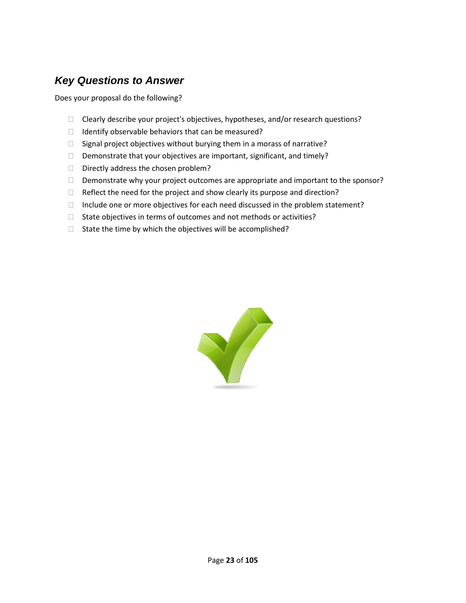## *Key Questions to Answer*

Does your proposal do the following?

- $\Box$  Clearly describe your project's objectives, hypotheses, and/or research questions?
- $\Box$  Identify observable behaviors that can be measured?
- $\Box$  Signal project objectives without burying them in a morass of narrative?
- $\Box$  Demonstrate that your objectives are important, significant, and timely?
- $\Box$  Directly address the chosen problem?
- $\Box$  Demonstrate why your project outcomes are appropriate and important to the sponsor?
- $\Box$  Reflect the need for the project and show clearly its purpose and direction?
- $\Box$  Include one or more objectives for each need discussed in the problem statement?
- $\Box$  State objectives in terms of outcomes and not methods or activities?
- $\Box$  State the time by which the objectives will be accomplished?

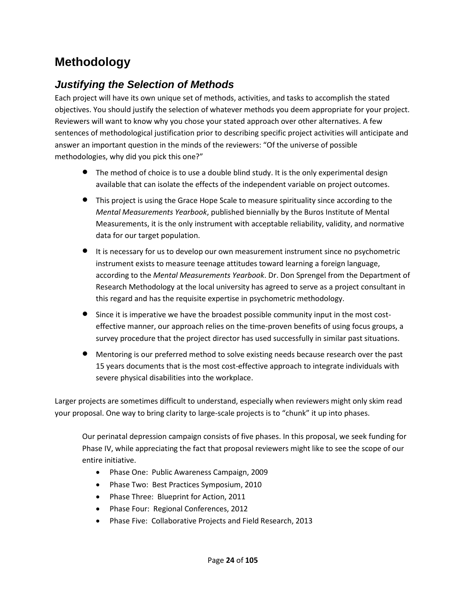# **Methodology**

## *Justifying the Selection of Methods*

Each project will have its own unique set of methods, activities, and tasks to accomplish the stated objectives. You should justify the selection of whatever methods you deem appropriate for your project. Reviewers will want to know why you chose your stated approach over other alternatives. A few sentences of methodological justification prior to describing specific project activities will anticipate and answer an important question in the minds of the reviewers: "Of the universe of possible methodologies, why did you pick this one?"

- The method of choice is to use a double blind study. It is the only experimental design available that can isolate the effects of the independent variable on project outcomes.
- This project is using the Grace Hope Scale to measure spirituality since according to the *Mental Measurements Yearbook*, published biennially by the Buros Institute of Mental Measurements, it is the only instrument with acceptable reliability, validity, and normative data for our target population.
- It is necessary for us to develop our own measurement instrument since no psychometric instrument exists to measure teenage attitudes toward learning a foreign language, according to the *Mental Measurements Yearbook*. Dr. Don Sprengel from the Department of Research Methodology at the local university has agreed to serve as a project consultant in this regard and has the requisite expertise in psychometric methodology.
- Since it is imperative we have the broadest possible community input in the most costeffective manner, our approach relies on the time-proven benefits of using focus groups, a survey procedure that the project director has used successfully in similar past situations.
- Mentoring is our preferred method to solve existing needs because research over the past 15 years documents that is the most cost-effective approach to integrate individuals with severe physical disabilities into the workplace.

Larger projects are sometimes difficult to understand, especially when reviewers might only skim read your proposal. One way to bring clarity to large-scale projects is to "chunk" it up into phases.

Our perinatal depression campaign consists of five phases. In this proposal, we seek funding for Phase IV, while appreciating the fact that proposal reviewers might like to see the scope of our entire initiative.

- Phase One: Public Awareness Campaign, 2009
- Phase Two: Best Practices Symposium, 2010
- Phase Three: Blueprint for Action, 2011
- Phase Four: Regional Conferences, 2012
- Phase Five: Collaborative Projects and Field Research, 2013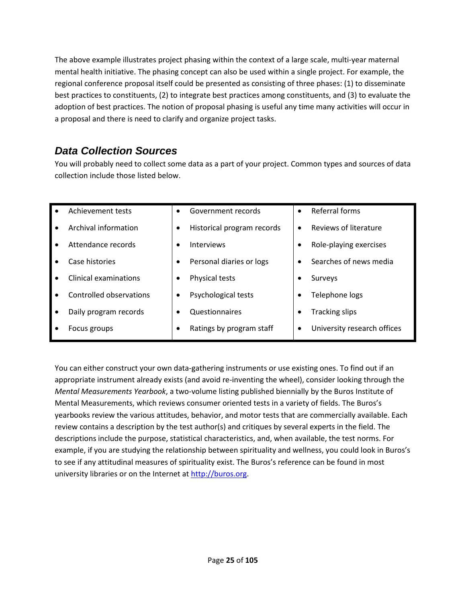The above example illustrates project phasing within the context of a large scale, multi-year maternal mental health initiative. The phasing concept can also be used within a single project. For example, the regional conference proposal itself could be presented as consisting of three phases: (1) to disseminate best practices to constituents, (2) to integrate best practices among constituents, and (3) to evaluate the adoption of best practices. The notion of proposal phasing is useful any time many activities will occur in a proposal and there is need to clarify and organize project tasks.

## *Data Collection Sources*

You will probably need to collect some data as a part of your project. Common types and sources of data collection include those listed below.

| Achievement tests       | $\bullet$ | Government records         | $\bullet$ | Referral forms              |
|-------------------------|-----------|----------------------------|-----------|-----------------------------|
| Archival information    | $\bullet$ | Historical program records | $\bullet$ | Reviews of literature       |
| Attendance records      | $\bullet$ | <b>Interviews</b>          |           | Role-playing exercises      |
| Case histories          | $\bullet$ | Personal diaries or logs   |           | Searches of news media      |
| Clinical examinations   | $\bullet$ | Physical tests             |           | Surveys                     |
| Controlled observations | ٠         | Psychological tests        |           | Telephone logs              |
| Daily program records   |           | Questionnaires             |           | <b>Tracking slips</b>       |
| Focus groups            |           | Ratings by program staff   | ٠         | University research offices |
|                         |           |                            |           |                             |

You can either construct your own data-gathering instruments or use existing ones. To find out if an appropriate instrument already exists (and avoid re-inventing the wheel), consider looking through the *Mental Measurements Yearbook*, a two-volume listing published biennially by the Buros Institute of Mental Measurements, which reviews consumer oriented tests in a variety of fields. The Buros's yearbooks review the various attitudes, behavior, and motor tests that are commercially available. Each review contains a description by the test author(s) and critiques by several experts in the field. The descriptions include the purpose, statistical characteristics, and, when available, the test norms. For example, if you are studying the relationship between spirituality and wellness, you could look in Buros's to see if any attitudinal measures of spirituality exist. The Buros's reference can be found in most university libraries or on the Internet at [http://buros.org.](http://buros.org/)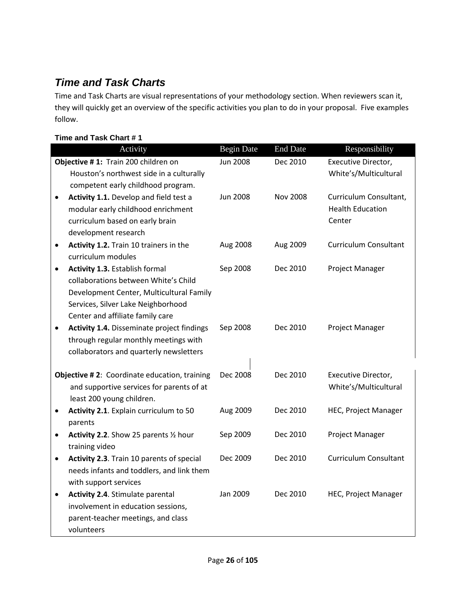## *Time and Task Charts*

Time and Task Charts are visual representations of your methodology section. When reviewers scan it, they will quickly get an overview of the specific activities you plan to do in your proposal. Five examples follow.

#### **Time and Task Chart # 1**

|           | Activity                                                                                  | <b>Begin Date</b> | <b>End Date</b> | Responsibility                               |
|-----------|-------------------------------------------------------------------------------------------|-------------------|-----------------|----------------------------------------------|
|           | Objective #1: Train 200 children on                                                       | <b>Jun 2008</b>   | Dec 2010        | Executive Director,                          |
|           | Houston's northwest side in a culturally                                                  |                   |                 | White's/Multicultural                        |
|           | competent early childhood program.                                                        |                   |                 |                                              |
| $\bullet$ | Activity 1.1. Develop and field test a                                                    | <b>Jun 2008</b>   | <b>Nov 2008</b> | Curriculum Consultant,                       |
|           | modular early childhood enrichment                                                        |                   |                 | <b>Health Education</b>                      |
|           | curriculum based on early brain                                                           |                   |                 | Center                                       |
|           | development research                                                                      |                   |                 |                                              |
| $\bullet$ | Activity 1.2. Train 10 trainers in the                                                    | Aug 2008          | Aug 2009        | <b>Curriculum Consultant</b>                 |
|           | curriculum modules                                                                        |                   |                 |                                              |
|           | Activity 1.3. Establish formal                                                            | Sep 2008          | Dec 2010        | Project Manager                              |
|           | collaborations between White's Child                                                      |                   |                 |                                              |
|           | Development Center, Multicultural Family                                                  |                   |                 |                                              |
|           | Services, Silver Lake Neighborhood                                                        |                   |                 |                                              |
|           | Center and affiliate family care                                                          |                   |                 |                                              |
| ٠         | <b>Activity 1.4.</b> Disseminate project findings                                         | Sep 2008          | Dec 2010        | Project Manager                              |
|           | through regular monthly meetings with                                                     |                   |                 |                                              |
|           | collaborators and quarterly newsletters                                                   |                   |                 |                                              |
|           |                                                                                           |                   | Dec 2010        |                                              |
|           | Objective #2: Coordinate education, training<br>and supportive services for parents of at | Dec 2008          |                 | Executive Director,<br>White's/Multicultural |
|           | least 200 young children.                                                                 |                   |                 |                                              |
|           | Activity 2.1. Explain curriculum to 50                                                    | Aug 2009          | Dec 2010        | HEC, Project Manager                         |
| ٠         | parents                                                                                   |                   |                 |                                              |
| $\bullet$ | Activity 2.2. Show 25 parents 1/2 hour                                                    | Sep 2009          | Dec 2010        | Project Manager                              |
|           | training video                                                                            |                   |                 |                                              |
| ٠         | Activity 2.3. Train 10 parents of special                                                 | Dec 2009          | Dec 2010        | <b>Curriculum Consultant</b>                 |
|           | needs infants and toddlers, and link them                                                 |                   |                 |                                              |
|           | with support services                                                                     |                   |                 |                                              |
| ٠         | Activity 2.4. Stimulate parental                                                          | Jan 2009          | Dec 2010        | HEC, Project Manager                         |
|           | involvement in education sessions,                                                        |                   |                 |                                              |
|           | parent-teacher meetings, and class                                                        |                   |                 |                                              |
|           | volunteers                                                                                |                   |                 |                                              |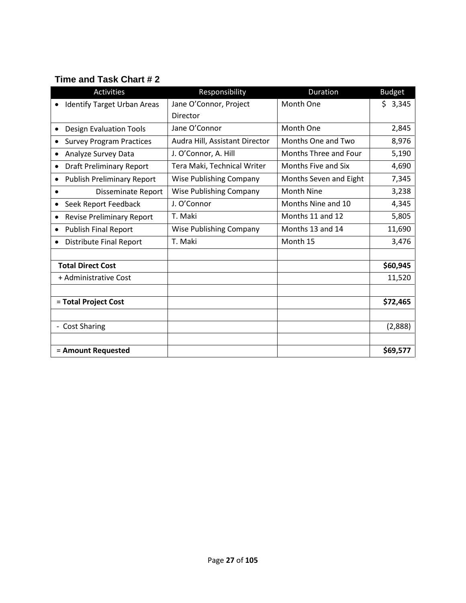## **Time and Task Chart # 2**

| Activities                                     | Responsibility                 | Duration               | <b>Budget</b> |
|------------------------------------------------|--------------------------------|------------------------|---------------|
| <b>Identify Target Urban Areas</b>             | Jane O'Connor, Project         | Month One              | \$3,345       |
|                                                | Director                       |                        |               |
| <b>Design Evaluation Tools</b>                 | Jane O'Connor                  | Month One              | 2,845         |
| <b>Survey Program Practices</b><br>$\bullet$   | Audra Hill, Assistant Director | Months One and Two     | 8,976         |
| Analyze Survey Data<br>$\bullet$               | J. O'Connor, A. Hill           | Months Three and Four  | 5,190         |
| <b>Draft Preliminary Report</b><br>$\bullet$   | Tera Maki, Technical Writer    | Months Five and Six    | 4,690         |
| <b>Publish Preliminary Report</b><br>$\bullet$ | Wise Publishing Company        | Months Seven and Eight | 7,345         |
| Disseminate Report<br>$\bullet$                | Wise Publishing Company        | <b>Month Nine</b>      | 3,238         |
| Seek Report Feedback<br>$\bullet$              | J. O'Connor                    | Months Nine and 10     | 4,345         |
| <b>Revise Preliminary Report</b><br>$\bullet$  | T. Maki                        | Months 11 and 12       | 5,805         |
| <b>Publish Final Report</b><br>$\bullet$       | Wise Publishing Company        | Months 13 and 14       | 11,690        |
| <b>Distribute Final Report</b>                 | T. Maki                        | Month 15               | 3,476         |
|                                                |                                |                        |               |
| <b>Total Direct Cost</b>                       |                                |                        | \$60,945      |
| + Administrative Cost                          |                                |                        | 11,520        |
|                                                |                                |                        |               |
| = Total Project Cost                           |                                |                        | \$72,465      |
|                                                |                                |                        |               |
| - Cost Sharing                                 |                                |                        | (2,888)       |
|                                                |                                |                        |               |
| = Amount Requested                             |                                |                        | \$69,577      |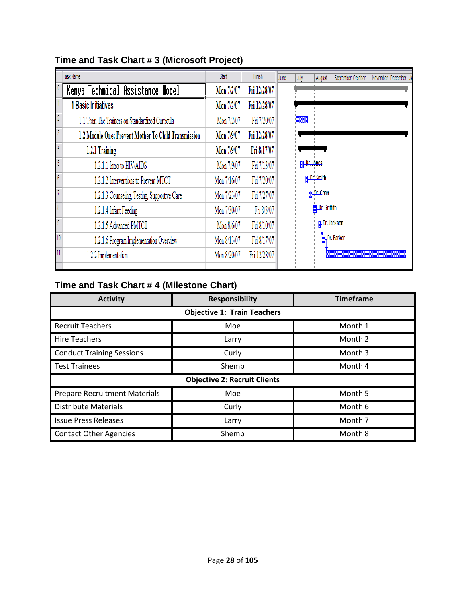|                  | <b>Task Name</b>                                     | Start       | Finish       | June | July             | August               | September October          |  | November December |  |
|------------------|------------------------------------------------------|-------------|--------------|------|------------------|----------------------|----------------------------|--|-------------------|--|
|                  | Kenya Technical Assistance Model                     | Mon 7/2/07  | Fri 12/28/07 |      |                  |                      |                            |  |                   |  |
|                  | <b>1 Basic Initiatives</b>                           | Mon 7/2/07  | Fri 12/28/07 |      |                  |                      |                            |  |                   |  |
| $\overline{c}$   | 1.1 Train The Trainers on Standardized Curricula     | Mon 7/2/07  | Fri 7/20/07  |      |                  |                      |                            |  |                   |  |
| 3                | 1.2 Module One: Prevent Mother To Child Transmission | Mon 7/9/07  | Fri 12/28/07 |      |                  |                      |                            |  |                   |  |
|                  | 1.2.1 Training                                       | Mon 7/9/07  | Fri 8/17/07  |      |                  |                      |                            |  |                   |  |
| 5                | 1.2.1.1 Intro to HIV/AIDS                            | Mon 7/9/07  | Fri 7/13/07  |      | <b>Dr. Jones</b> |                      |                            |  |                   |  |
| $\boldsymbol{6}$ | 1.2.1.2 Interventions to Prevent MTCT                | Mon 7/16/07 | Fri 7/20/07  |      |                  | <b>Dr.</b> Smith     |                            |  |                   |  |
| $\overline{7}$   | 1.2.1.3 Counseling, Testing, Supportive Care         | Mon 7/23/07 | Fri 7/27/07  |      |                  | Dr. Chan             |                            |  |                   |  |
| $\bf 8$          | 1.2.1.4 Infant Feeding                               | Mon 7/30/07 | Fri 8/3/07   |      |                  | <b>Du</b> , Griffith |                            |  |                   |  |
| 9                | 1.2.1.5 Advanced PMTCT                               | Mon 8/6/07  | Fri 8/10/07  |      |                  | Dr. Jackson          |                            |  |                   |  |
| 10               | 1.2.1.6 Program Implementation Overview              | Mon 8/13/07 | Fri 8/17/07  |      |                  |                      | <mark>g,</mark> Dr. Barker |  |                   |  |
| 11               | 1.2.2 Implementation                                 | Mon 8/20/07 | Fri 12/28/07 |      |                  |                      |                            |  |                   |  |
|                  |                                                      |             |              |      |                  |                      |                            |  |                   |  |

## **Time and Task Chart # 3 (Microsoft Project)**

## **Time and Task Chart # 4 (Milestone Chart)**

| <b>Activity</b>                      | <b>Responsibility</b> | <b>Timeframe</b> |  |  |  |  |  |  |
|--------------------------------------|-----------------------|------------------|--|--|--|--|--|--|
| <b>Objective 1: Train Teachers</b>   |                       |                  |  |  |  |  |  |  |
| <b>Recruit Teachers</b>              | Moe                   | Month 1          |  |  |  |  |  |  |
| <b>Hire Teachers</b>                 | Larry                 | Month 2          |  |  |  |  |  |  |
| <b>Conduct Training Sessions</b>     | Curly                 | Month 3          |  |  |  |  |  |  |
| <b>Test Trainees</b>                 | Shemp                 | Month 4          |  |  |  |  |  |  |
| <b>Objective 2: Recruit Clients</b>  |                       |                  |  |  |  |  |  |  |
| <b>Prepare Recruitment Materials</b> | Moe                   | Month 5          |  |  |  |  |  |  |
| <b>Distribute Materials</b>          | Curly                 | Month 6          |  |  |  |  |  |  |
| <b>Issue Press Releases</b>          | Larry                 | Month 7          |  |  |  |  |  |  |
| <b>Contact Other Agencies</b>        | Shemp                 | Month 8          |  |  |  |  |  |  |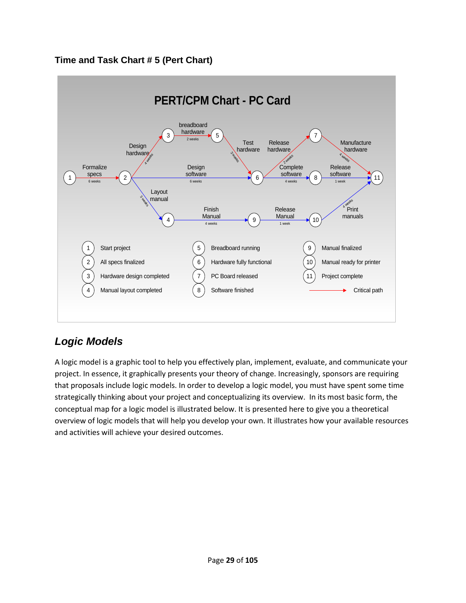## **Time and Task Chart # 5 (Pert Chart)**



## *Logic Models*

A logic model is a graphic tool to help you effectively plan, implement, evaluate, and communicate your project. In essence, it graphically presents your theory of change. Increasingly, sponsors are requiring that proposals include logic models. In order to develop a logic model, you must have spent some time strategically thinking about your project and conceptualizing its overview. In its most basic form, the conceptual map for a logic model is illustrated below. It is presented here to give you a theoretical overview of logic models that will help you develop your own. It illustrates how your available resources and activities will achieve your desired outcomes.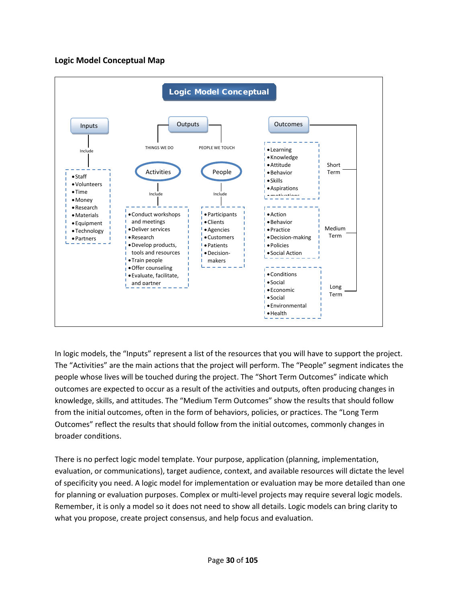#### **Logic Model Conceptual Map**



In logic models, the "Inputs" represent a list of the resources that you will have to support the project. The "Activities" are the main actions that the project will perform. The "People" segment indicates the people whose lives will be touched during the project. The "Short Term Outcomes" indicate which outcomes are expected to occur as a result of the activities and outputs, often producing changes in knowledge, skills, and attitudes. The "Medium Term Outcomes" show the results that should follow from the initial outcomes, often in the form of behaviors, policies, or practices. The "Long Term Outcomes" reflect the results that should follow from the initial outcomes, commonly changes in broader conditions.

There is no perfect logic model template. Your purpose, application (planning, implementation, evaluation, or communications), target audience, context, and available resources will dictate the level of specificity you need. A logic model for implementation or evaluation may be more detailed than one for planning or evaluation purposes. Complex or multi-level projects may require several logic models. Remember, it is only a model so it does not need to show all details. Logic models can bring clarity to what you propose, create project consensus, and help focus and evaluation.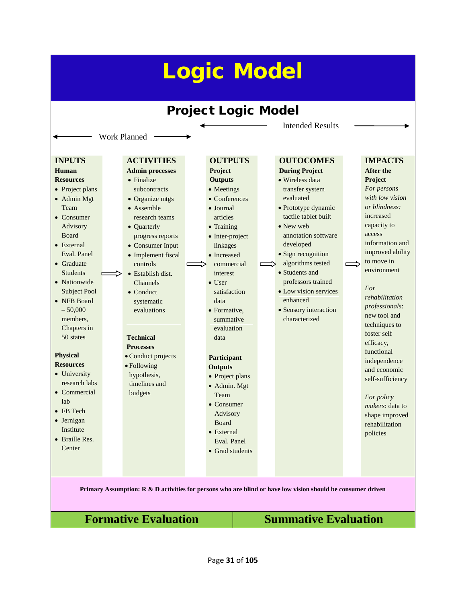| <b>Logic Model</b>                                                                                          |  |                        |  |                       |  |                       |  |                                       |
|-------------------------------------------------------------------------------------------------------------|--|------------------------|--|-----------------------|--|-----------------------|--|---------------------------------------|
| <b>Project Logic Model</b>                                                                                  |  |                        |  |                       |  |                       |  |                                       |
| <b>Intended Results</b><br><b>Work Planned</b>                                                              |  |                        |  |                       |  |                       |  |                                       |
| <b>INPUTS</b>                                                                                               |  | <b>ACTIVITIES</b>      |  | <b>OUTPUTS</b>        |  | <b>OUTOCOMES</b>      |  | <b>IMPACTS</b>                        |
| Human                                                                                                       |  | <b>Admin processes</b> |  | Project               |  | <b>During Project</b> |  | <b>After the</b>                      |
| <b>Resources</b>                                                                                            |  | $\bullet$ Finalize     |  | <b>Outputs</b>        |  | • Wireless data       |  | Project                               |
| • Project plans                                                                                             |  | subcontracts           |  | • Meetings            |  | transfer system       |  | For persons                           |
| • Admin Mgt                                                                                                 |  | • Organize mtgs        |  | $\bullet$ Conferences |  | evaluated             |  | with low vision                       |
| Team                                                                                                        |  | • Assemble             |  | • Journal             |  | • Prototype dynamic   |  | or blindness:                         |
| $\bullet$ Consumer                                                                                          |  | research teams         |  | articles              |  | tactile tablet built  |  | increased                             |
| Advisory                                                                                                    |  | • Quarterly            |  | $\bullet$ Training    |  | $\bullet$ New web     |  | capacity to                           |
| Board                                                                                                       |  | progress reports       |  | • Inter-project       |  | annotation software   |  | access                                |
| • External                                                                                                  |  | • Consumer Input       |  | linkages              |  | developed             |  | information and                       |
| Eval. Panel                                                                                                 |  | • Implement fiscal     |  | • Increased           |  | • Sign recognition    |  | improved ability                      |
| $\bullet$ Graduate                                                                                          |  | controls               |  | commercial            |  | algorithms tested     |  | to move in                            |
| <b>Students</b>                                                                                             |  | • Establish dist.      |  | interest              |  | • Students and        |  | environment                           |
| • Nationwide                                                                                                |  | Channels               |  | $\bullet$ User        |  | professors trained    |  |                                       |
| <b>Subject Pool</b>                                                                                         |  | $\bullet$ Conduct      |  | satisfaction          |  | • Low vision services |  | For                                   |
| • NFB Board                                                                                                 |  | systematic             |  | data                  |  | enhanced              |  | rehabilitation                        |
| $-50,000$                                                                                                   |  | evaluations            |  | • Formative,          |  | • Sensory interaction |  | <i>professionals:</i><br>new tool and |
| members,                                                                                                    |  |                        |  | summative             |  | characterized         |  | techniques to                         |
| Chapters in                                                                                                 |  |                        |  | evaluation            |  |                       |  | foster self                           |
| 50 states                                                                                                   |  | <b>Technical</b>       |  | data                  |  |                       |  | efficacy.                             |
|                                                                                                             |  | <b>Processes</b>       |  |                       |  |                       |  | functional                            |
| <b>Physical</b>                                                                                             |  | • Conduct projects     |  | Participant           |  |                       |  | independence                          |
| <b>Resources</b>                                                                                            |  | $\bullet$ Following    |  | <b>Outputs</b>        |  |                       |  | and economic                          |
| • University                                                                                                |  | hypothesis,            |  | • Project plans       |  |                       |  | self-sufficiency                      |
| research labs                                                                                               |  | timelines and          |  | · Admin. Mgt          |  |                       |  |                                       |
| • Commercial                                                                                                |  | budgets                |  | Team                  |  |                       |  | For policy                            |
| lab                                                                                                         |  |                        |  | $\bullet$ Consumer    |  |                       |  | makers: data to                       |
| • FB Tech                                                                                                   |  |                        |  | Advisory              |  |                       |  | shape improved                        |
| • Jernigan                                                                                                  |  |                        |  | Board                 |  |                       |  | rehabilitation                        |
| Institute                                                                                                   |  |                        |  | $\bullet$ External    |  |                       |  | policies                              |
| • Braille Res.<br>Center                                                                                    |  |                        |  | Eval. Panel           |  |                       |  |                                       |
|                                                                                                             |  |                        |  | • Grad students       |  |                       |  |                                       |
|                                                                                                             |  |                        |  |                       |  |                       |  |                                       |
| Primary Assumption: R & D activities for persons who are blind or have low vision should be consumer driven |  |                        |  |                       |  |                       |  |                                       |

**Formative Evaluation Summative Evaluation**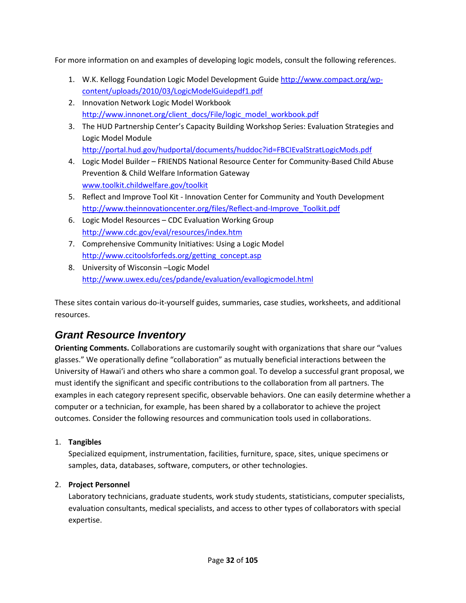For more information on and examples of developing logic models, consult the following references.

- 1. W.K. Kellogg Foundation Logic Model Development Guide [http://www.compact.org/wp](http://www.compact.org/wp-content/uploads/2010/03/LogicModelGuidepdf1.pdf)[content/uploads/2010/03/LogicModelGuidepdf1.pdf](http://www.compact.org/wp-content/uploads/2010/03/LogicModelGuidepdf1.pdf)
- 2. Innovation Network Logic Model Workbook [http://www.innonet.org/client\\_docs/File/logic\\_model\\_workbook.pdf](http://www.innonet.org/client_docs/File/logic_model_workbook.pdf)
- 3. The HUD Partnership Center's Capacity Building Workshop Series: Evaluation Strategies and Logic Model Module <http://portal.hud.gov/hudportal/documents/huddoc?id=FBCIEvalStratLogicMods.pdf>
- 4. Logic Model Builder FRIENDS National Resource Center for Community-Based Child Abuse Prevention & Child Welfare Information Gateway [www.toolkit.childwelfare.gov/toolkit](http://toolkit.childwelfare.gov/toolkit)
- 5. Reflect and Improve Tool Kit Innovation Center for Community and Youth Development [http://www.theinnovationcenter.org/files/Reflect-and-Improve\\_Toolkit.pdf](http://www.theinnovationcenter.org/files/Reflect-and-Improve_Toolkit.pdf)
- 6. Logic Model Resources CDC Evaluation Working Group <http://www.cdc.gov/eval/resources/index.htm>
- 7. Comprehensive Community Initiatives: Using a Logic Model [http://www.ccitoolsforfeds.org/getting\\_concept.asp](http://www.ccitoolsforfeds.org/getting_concept.asp)
- 8. University of Wisconsin –Logic Model <http://www.uwex.edu/ces/pdande/evaluation/evallogicmodel.html>

These sites contain various do-it-yourself guides, summaries, case studies, worksheets, and additional resources.

## *Grant Resource Inventory*

**Orienting Comments.** Collaborations are customarily sought with organizations that share our "values glasses." We operationally define "collaboration" as mutually beneficial interactions between the University of Hawaiʻi and others who share a common goal. To develop a successful grant proposal, we must identify the significant and specific contributions to the collaboration from all partners. The examples in each category represent specific, observable behaviors. One can easily determine whether a computer or a technician, for example, has been shared by a collaborator to achieve the project outcomes. Consider the following resources and communication tools used in collaborations.

1. **Tangibles**

Specialized equipment, instrumentation, facilities, furniture, space, sites, unique specimens or samples, data, databases, software, computers, or other technologies.

## 2. **Project Personnel**

Laboratory technicians, graduate students, work study students, statisticians, computer specialists, evaluation consultants, medical specialists, and access to other types of collaborators with special expertise.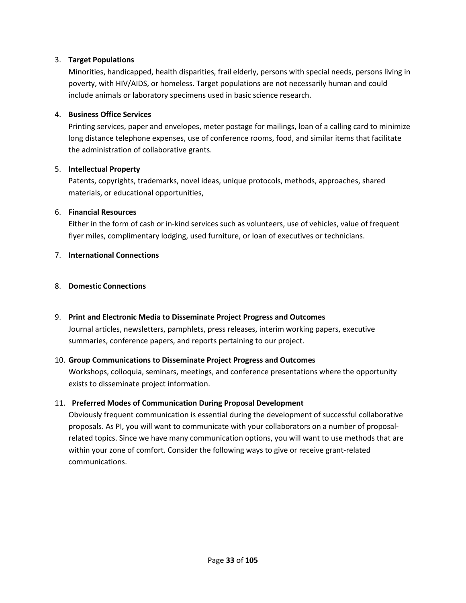#### 3. **Target Populations**

Minorities, handicapped, health disparities, frail elderly, persons with special needs, persons living in poverty, with HIV/AIDS, or homeless. Target populations are not necessarily human and could include animals or laboratory specimens used in basic science research.

#### 4. **Business Office Services**

Printing services, paper and envelopes, meter postage for mailings, loan of a calling card to minimize long distance telephone expenses, use of conference rooms, food, and similar items that facilitate the administration of collaborative grants.

#### 5. **Intellectual Property**

Patents, copyrights, trademarks, novel ideas, unique protocols, methods, approaches, shared materials, or educational opportunities,

#### 6. **Financial Resources**

Either in the form of cash or in-kind services such as volunteers, use of vehicles, value of frequent flyer miles, complimentary lodging, used furniture, or loan of executives or technicians.

#### 7. **International Connections**

#### 8. **Domestic Connections**

9. **Print and Electronic Media to Disseminate Project Progress and Outcomes** Journal articles, newsletters, pamphlets, press releases, interim working papers, executive summaries, conference papers, and reports pertaining to our project.

#### 10. **Group Communications to Disseminate Project Progress and Outcomes**

Workshops, colloquia, seminars, meetings, and conference presentations where the opportunity exists to disseminate project information.

#### 11. **Preferred Modes of Communication During Proposal Development**

Obviously frequent communication is essential during the development of successful collaborative proposals. As PI, you will want to communicate with your collaborators on a number of proposalrelated topics. Since we have many communication options, you will want to use methods that are within your zone of comfort. Consider the following ways to give or receive grant-related communications.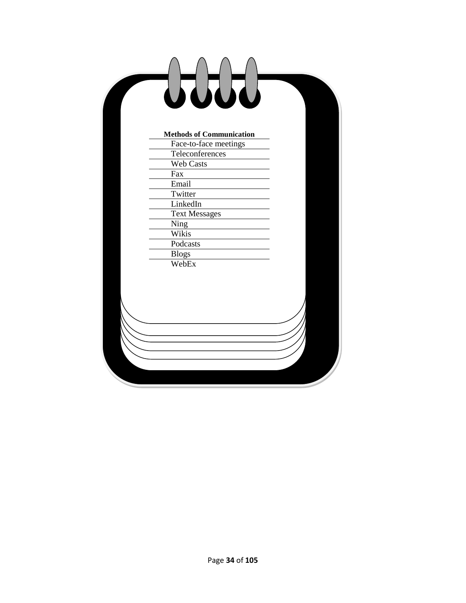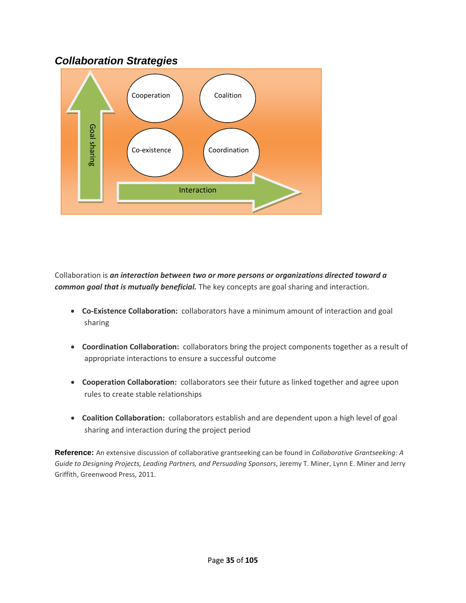## *Collaboration Strategies*



Collaboration is *an interaction between two or more persons or organizations directed toward a common goal that is mutually beneficial.* The key concepts are goal sharing and interaction.

- **Co-Existence Collaboration:** collaborators have a minimum amount of interaction and goal sharing
- **Coordination Collaboration:** collaborators bring the project components together as a result of appropriate interactions to ensure a successful outcome
- **Cooperation Collaboration:** collaborators see their future as linked together and agree upon rules to create stable relationships
- **Coalition Collaboration:** collaborators establish and are dependent upon a high level of goal sharing and interaction during the project period

**Reference:** An extensive discussion of collaborative grantseeking can be found in *Collaborative Grantseeking: A Guide to Designing Projects, Leading Partners, and Persuading Sponsors*, Jeremy T. Miner, Lynn E. Miner and Jerry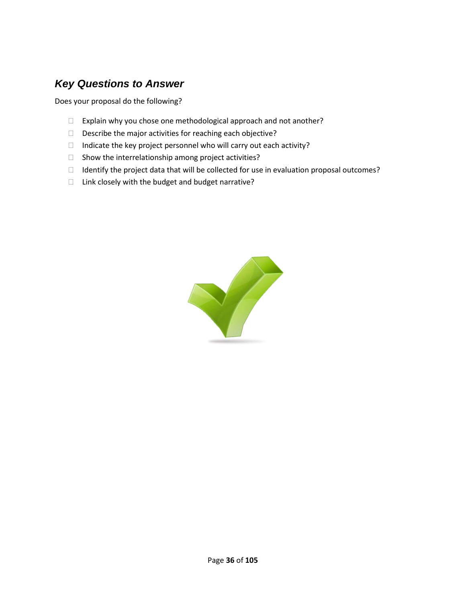## *Key Questions to Answer*

Does your proposal do the following?

- $\Box$  Explain why you chose one methodological approach and not another?
- $\Box$  Describe the major activities for reaching each objective?
- $\Box$  Indicate the key project personnel who will carry out each activity?
- $\Box$  Show the interrelationship among project activities?
- $\Box$  Identify the project data that will be collected for use in evaluation proposal outcomes?
- $\Box$  Link closely with the budget and budget narrative?

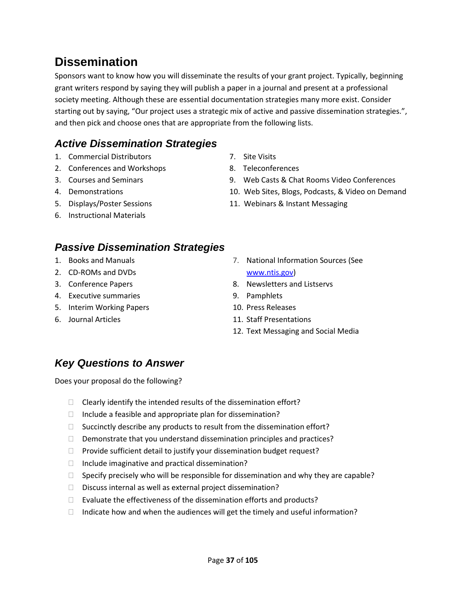# **Dissemination**

Sponsors want to know how you will disseminate the results of your grant project. Typically, beginning grant writers respond by saying they will publish a paper in a journal and present at a professional society meeting. Although these are essential documentation strategies many more exist. Consider starting out by saying, "Our project uses a strategic mix of active and passive dissemination strategies.", and then pick and choose ones that are appropriate from the following lists.

### *Active Dissemination Strategies*

- 1. Commercial Distributors 7. Site Visits
- 2. Conferences and Workshops 8. Teleconferences
- 3. Courses and Seminars
- 4. Demonstrations
- 5. Displays/Poster Sessions
- 6. Instructional Materials

### *Passive Dissemination Strategies*

- 1. Books and Manuals
- 2. CD-ROMs and DVDs
- 3. Conference Papers
- 4. Executive summaries
- 5. Interim Working Papers
- 6. Journal Articles
- 
- 
- 9. Web Casts & Chat Rooms Video Conferences
- 10. Web Sites, Blogs, Podcasts, & Video on Demand
- 11. Webinars & Instant Messaging
- 7. National Information Sources (See [www.ntis.gov\)](http://www.ntis.gov/)
- 8. Newsletters and Listservs
- 9. Pamphlets
- 10. Press Releases
- 11. Staff Presentations
- 12. Text Messaging and Social Media

## *Key Questions to Answer*

Does your proposal do the following?

- $\Box$  Clearly identify the intended results of the dissemination effort?
- $\Box$  Include a feasible and appropriate plan for dissemination?
- $\Box$  Succinctly describe any products to result from the dissemination effort?
- $\Box$  Demonstrate that you understand dissemination principles and practices?
- $\Box$  Provide sufficient detail to justify your dissemination budget request?
- $\Box$  Include imaginative and practical dissemination?
- $\Box$  Specify precisely who will be responsible for dissemination and why they are capable?
- $\square$  Discuss internal as well as external project dissemination?
- $\Box$  Evaluate the effectiveness of the dissemination efforts and products?
- $\Box$  Indicate how and when the audiences will get the timely and useful information?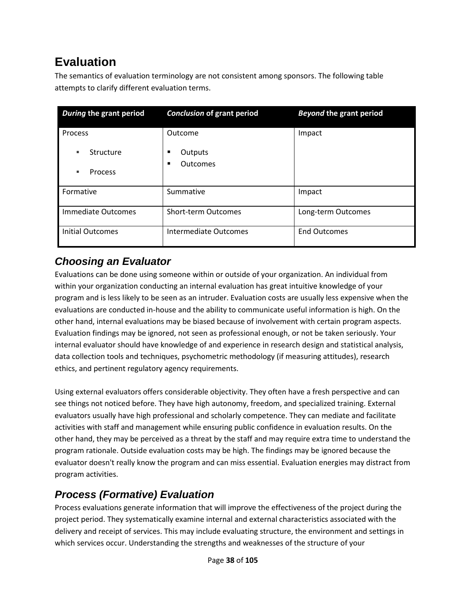# **Evaluation**

The semantics of evaluation terminology are not consistent among sponsors. The following table attempts to clarify different evaluation terms.

| <b>During the grant period</b>                   | <b>Conclusion of grant period</b>               | <b>Beyond the grant period</b> |  |
|--------------------------------------------------|-------------------------------------------------|--------------------------------|--|
| Process<br>Structure<br>٠<br><b>Process</b><br>٠ | Outcome<br>Outputs<br>п<br><b>Outcomes</b><br>■ | Impact                         |  |
| Formative                                        | Summative                                       | Impact                         |  |
| Immediate Outcomes                               | <b>Short-term Outcomes</b>                      | Long-term Outcomes             |  |
| Initial Outcomes                                 | <b>Intermediate Outcomes</b>                    | <b>End Outcomes</b>            |  |

### *Choosing an Evaluator*

Evaluations can be done using someone within or outside of your organization. An individual from within your organization conducting an internal evaluation has great intuitive knowledge of your program and is less likely to be seen as an intruder. Evaluation costs are usually less expensive when the evaluations are conducted in-house and the ability to communicate useful information is high. On the other hand, internal evaluations may be biased because of involvement with certain program aspects. Evaluation findings may be ignored, not seen as professional enough, or not be taken seriously. Your internal evaluator should have knowledge of and experience in research design and statistical analysis, data collection tools and techniques, psychometric methodology (if measuring attitudes), research ethics, and pertinent regulatory agency requirements.

Using external evaluators offers considerable objectivity. They often have a fresh perspective and can see things not noticed before. They have high autonomy, freedom, and specialized training. External evaluators usually have high professional and scholarly competence. They can mediate and facilitate activities with staff and management while ensuring public confidence in evaluation results. On the other hand, they may be perceived as a threat by the staff and may require extra time to understand the program rationale. Outside evaluation costs may be high. The findings may be ignored because the evaluator doesn't really know the program and can miss essential. Evaluation energies may distract from program activities.

## *Process (Formative) Evaluation*

Process evaluations generate information that will improve the effectiveness of the project during the project period. They systematically examine internal and external characteristics associated with the delivery and receipt of services. This may include evaluating structure, the environment and settings in which services occur. Understanding the strengths and weaknesses of the structure of your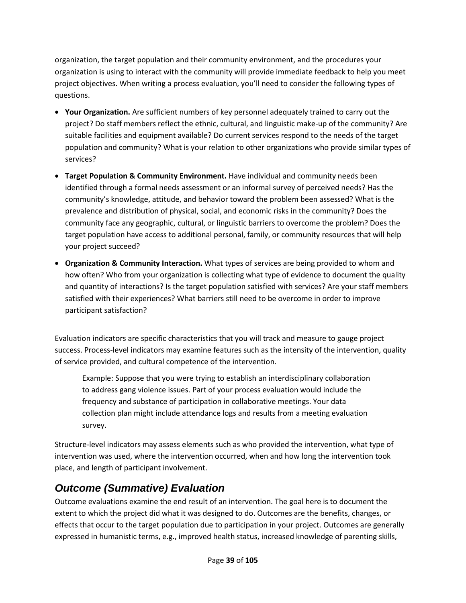organization, the target population and their community environment, and the procedures your organization is using to interact with the community will provide immediate feedback to help you meet project objectives. When writing a process evaluation, you'll need to consider the following types of questions.

- **Your Organization.** Are sufficient numbers of key personnel adequately trained to carry out the project? Do staff members reflect the ethnic, cultural, and linguistic make-up of the community? Are suitable facilities and equipment available? Do current services respond to the needs of the target population and community? What is your relation to other organizations who provide similar types of services?
- **Target Population & Community Environment.** Have individual and community needs been identified through a formal needs assessment or an informal survey of perceived needs? Has the community's knowledge, attitude, and behavior toward the problem been assessed? What is the prevalence and distribution of physical, social, and economic risks in the community? Does the community face any geographic, cultural, or linguistic barriers to overcome the problem? Does the target population have access to additional personal, family, or community resources that will help your project succeed?
- **Organization & Community Interaction.** What types of services are being provided to whom and how often? Who from your organization is collecting what type of evidence to document the quality and quantity of interactions? Is the target population satisfied with services? Are your staff members satisfied with their experiences? What barriers still need to be overcome in order to improve participant satisfaction?

Evaluation indicators are specific characteristics that you will track and measure to gauge project success. Process-level indicators may examine features such as the intensity of the intervention, quality of service provided, and cultural competence of the intervention.

Example: Suppose that you were trying to establish an interdisciplinary collaboration to address gang violence issues. Part of your process evaluation would include the frequency and substance of participation in collaborative meetings. Your data collection plan might include attendance logs and results from a meeting evaluation survey.

Structure-level indicators may assess elements such as who provided the intervention, what type of intervention was used, where the intervention occurred, when and how long the intervention took place, and length of participant involvement.

## *Outcome (Summative) Evaluation*

Outcome evaluations examine the end result of an intervention. The goal here is to document the extent to which the project did what it was designed to do. Outcomes are the benefits, changes, or effects that occur to the target population due to participation in your project. Outcomes are generally expressed in humanistic terms, e.g., improved health status, increased knowledge of parenting skills,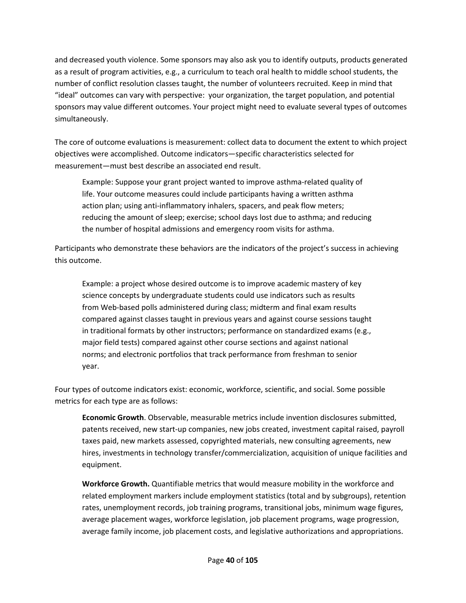and decreased youth violence. Some sponsors may also ask you to identify outputs, products generated as a result of program activities, e.g., a curriculum to teach oral health to middle school students, the number of conflict resolution classes taught, the number of volunteers recruited. Keep in mind that "ideal" outcomes can vary with perspective: your organization, the target population, and potential sponsors may value different outcomes. Your project might need to evaluate several types of outcomes simultaneously.

The core of outcome evaluations is measurement: collect data to document the extent to which project objectives were accomplished. Outcome indicators—specific characteristics selected for measurement—must best describe an associated end result.

Example: Suppose your grant project wanted to improve asthma-related quality of life. Your outcome measures could include participants having a written asthma action plan; using anti-inflammatory inhalers, spacers, and peak flow meters; reducing the amount of sleep; exercise; school days lost due to asthma; and reducing the number of hospital admissions and emergency room visits for asthma.

Participants who demonstrate these behaviors are the indicators of the project's success in achieving this outcome.

Example: a project whose desired outcome is to improve academic mastery of key science concepts by undergraduate students could use indicators such as results from Web-based polls administered during class; midterm and final exam results compared against classes taught in previous years and against course sessions taught in traditional formats by other instructors; performance on standardized exams (e.g., major field tests) compared against other course sections and against national norms; and electronic portfolios that track performance from freshman to senior year.

Four types of outcome indicators exist: economic, workforce, scientific, and social. Some possible metrics for each type are as follows:

**Economic Growth**. Observable, measurable metrics include invention disclosures submitted, patents received, new start-up companies, new jobs created, investment capital raised, payroll taxes paid, new markets assessed, copyrighted materials, new consulting agreements, new hires, investments in technology transfer/commercialization, acquisition of unique facilities and equipment.

**Workforce Growth.** Quantifiable metrics that would measure mobility in the workforce and related employment markers include employment statistics (total and by subgroups), retention rates, unemployment records, job training programs, transitional jobs, minimum wage figures, average placement wages, workforce legislation, job placement programs, wage progression, average family income, job placement costs, and legislative authorizations and appropriations.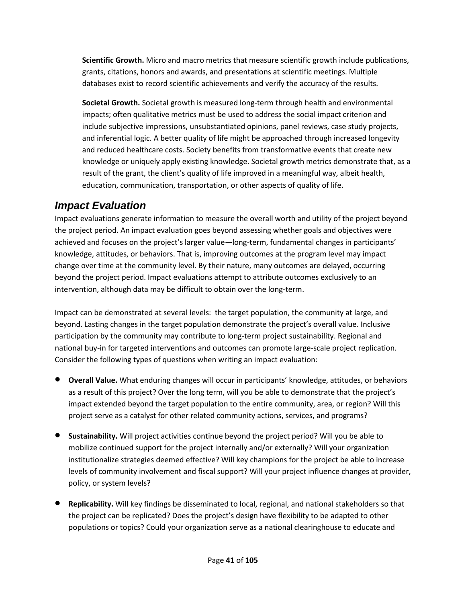**Scientific Growth.** Micro and macro metrics that measure scientific growth include publications, grants, citations, honors and awards, and presentations at scientific meetings. Multiple databases exist to record scientific achievements and verify the accuracy of the results.

**Societal Growth.** Societal growth is measured long-term through health and environmental impacts; often qualitative metrics must be used to address the social impact criterion and include subjective impressions, unsubstantiated opinions, panel reviews, case study projects, and inferential logic. A better quality of life might be approached through increased longevity and reduced healthcare costs. Society benefits from transformative events that create new knowledge or uniquely apply existing knowledge. Societal growth metrics demonstrate that, as a result of the grant, the client's quality of life improved in a meaningful way, albeit health, education, communication, transportation, or other aspects of quality of life.

### *Impact Evaluation*

Impact evaluations generate information to measure the overall worth and utility of the project beyond the project period. An impact evaluation goes beyond assessing whether goals and objectives were achieved and focuses on the project's larger value—long-term, fundamental changes in participants' knowledge, attitudes, or behaviors. That is, improving outcomes at the program level may impact change over time at the community level. By their nature, many outcomes are delayed, occurring beyond the project period. Impact evaluations attempt to attribute outcomes exclusively to an intervention, although data may be difficult to obtain over the long-term.

Impact can be demonstrated at several levels: the target population, the community at large, and beyond. Lasting changes in the target population demonstrate the project's overall value. Inclusive participation by the community may contribute to long-term project sustainability. Regional and national buy-in for targeted interventions and outcomes can promote large-scale project replication. Consider the following types of questions when writing an impact evaluation:

- **Overall Value.** What enduring changes will occur in participants' knowledge, attitudes, or behaviors as a result of this project? Over the long term, will you be able to demonstrate that the project's impact extended beyond the target population to the entire community, area, or region? Will this project serve as a catalyst for other related community actions, services, and programs?
- **Sustainability.** Will project activities continue beyond the project period? Will you be able to mobilize continued support for the project internally and/or externally? Will your organization institutionalize strategies deemed effective? Will key champions for the project be able to increase levels of community involvement and fiscal support? Will your project influence changes at provider, policy, or system levels?
- **Replicability.** Will key findings be disseminated to local, regional, and national stakeholders so that the project can be replicated? Does the project's design have flexibility to be adapted to other populations or topics? Could your organization serve as a national clearinghouse to educate and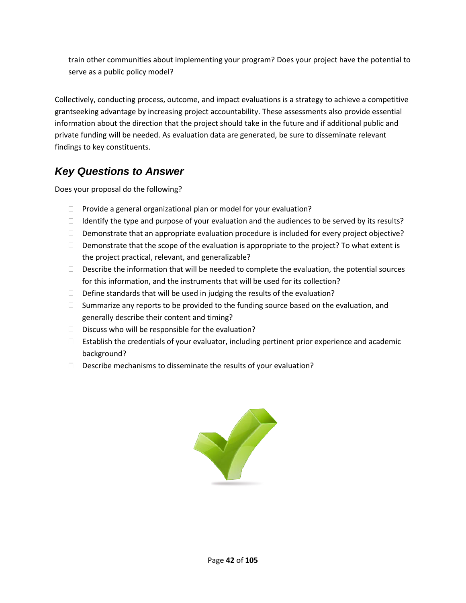train other communities about implementing your program? Does your project have the potential to serve as a public policy model?

Collectively, conducting process, outcome, and impact evaluations is a strategy to achieve a competitive grantseeking advantage by increasing project accountability. These assessments also provide essential information about the direction that the project should take in the future and if additional public and private funding will be needed. As evaluation data are generated, be sure to disseminate relevant findings to key constituents.

### *Key Questions to Answer*

Does your proposal do the following?

- $\Box$  Provide a general organizational plan or model for your evaluation?
- $\Box$  Identify the type and purpose of your evaluation and the audiences to be served by its results?
- $\Box$  Demonstrate that an appropriate evaluation procedure is included for every project objective?
- $\Box$  Demonstrate that the scope of the evaluation is appropriate to the project? To what extent is the project practical, relevant, and generalizable?
- $\Box$  Describe the information that will be needed to complete the evaluation, the potential sources for this information, and the instruments that will be used for its collection?
- $\Box$  Define standards that will be used in judging the results of the evaluation?
- $\Box$  Summarize any reports to be provided to the funding source based on the evaluation, and generally describe their content and timing?
- $\square$  Discuss who will be responsible for the evaluation?
- $\Box$  Establish the credentials of your evaluator, including pertinent prior experience and academic background?
- $\Box$  Describe mechanisms to disseminate the results of your evaluation?

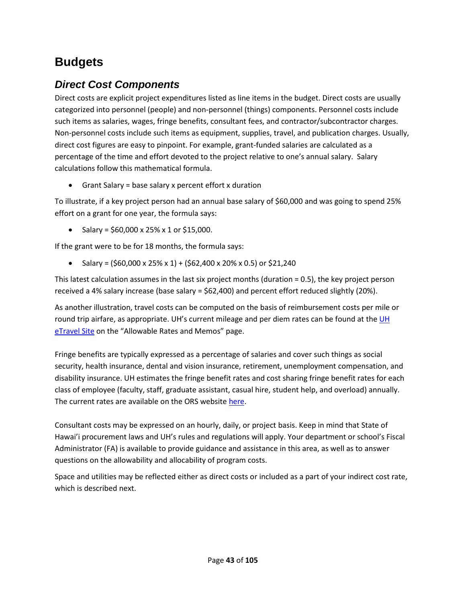## **Budgets**

### *Direct Cost Components*

Direct costs are explicit project expenditures listed as line items in the budget. Direct costs are usually categorized into personnel (people) and non-personnel (things) components. Personnel costs include such items as salaries, wages, fringe benefits, consultant fees, and contractor/subcontractor charges. Non-personnel costs include such items as equipment, supplies, travel, and publication charges. Usually, direct cost figures are easy to pinpoint. For example, grant-funded salaries are calculated as a percentage of the time and effort devoted to the project relative to one's annual salary. Salary calculations follow this mathematical formula.

• Grant Salary = base salary x percent effort x duration

To illustrate, if a key project person had an annual base salary of \$60,000 and was going to spend 25% effort on a grant for one year, the formula says:

• Salary =  $$60,000 \times 25\% \times 1$  or  $$15,000$ .

If the grant were to be for 18 months, the formula says:

• Salary =  $(560,000 \times 25\% \times 1) + (562,400 \times 20\% \times 0.5)$  or \$21,240

This latest calculation assumes in the last six project months (duration = 0.5), the key project person received a 4% salary increase (base salary = \$62,400) and percent effort reduced slightly (20%).

As another illustration, travel costs can be computed on the basis of reimbursement costs per mile or round trip airfare, as appropriate. UH's current mileage and per diem rates can be found at th[e UH](http://www.hawaii.edu/etravel/index.html)  [eTravel Site](http://www.hawaii.edu/etravel/index.html) on the "Allowable Rates and Memos" page.

Fringe benefits are typically expressed as a percentage of salaries and cover such things as social security, health insurance, dental and vision insurance, retirement, unemployment compensation, and disability insurance. UH estimates the fringe benefit rates and cost sharing fringe benefit rates for each class of employee (faculty, staff, graduate assistant, casual hire, student help, and overload) annually. The current rates are available on the ORS websit[e here.](http://www.ors.hawaii.edu/index.php/apply/budget-development/fringe-benefit-rates)

Consultant costs may be expressed on an hourly, daily, or project basis. Keep in mind that State of Hawai'i procurement laws and UH's rules and regulations will apply. Your department or school's Fiscal Administrator (FA) is available to provide guidance and assistance in this area, as well as to answer questions on the allowability and allocability of program costs.

Space and utilities may be reflected either as direct costs or included as a part of your indirect cost rate, which is described next.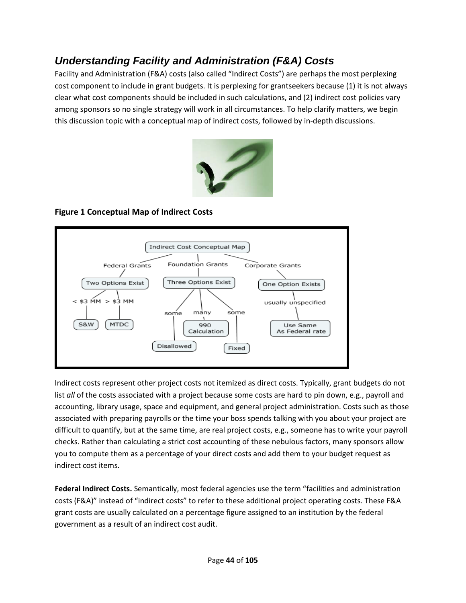## *Understanding Facility and Administration (F&A) Costs*

Facility and Administration (F&A) costs (also called "Indirect Costs") are perhaps the most perplexing cost component to include in grant budgets. It is perplexing for grantseekers because (1) it is not always clear what cost components should be included in such calculations, and (2) indirect cost policies vary among sponsors so no single strategy will work in all circumstances. To help clarify matters, we begin this discussion topic with a conceptual map of indirect costs, followed by in-depth discussions.



#### **Figure 1 Conceptual Map of Indirect Costs**



Indirect costs represent other project costs not itemized as direct costs. Typically, grant budgets do not list *all* of the costs associated with a project because some costs are hard to pin down, e.g., payroll and accounting, library usage, space and equipment, and general project administration. Costs such as those associated with preparing payrolls or the time your boss spends talking with you about your project are difficult to quantify, but at the same time, are real project costs, e.g., someone has to write your payroll checks. Rather than calculating a strict cost accounting of these nebulous factors, many sponsors allow you to compute them as a percentage of your direct costs and add them to your budget request as indirect cost items.

**Federal Indirect Costs.** Semantically, most federal agencies use the term "facilities and administration costs (F&A)" instead of "indirect costs" to refer to these additional project operating costs. These F&A grant costs are usually calculated on a percentage figure assigned to an institution by the federal government as a result of an indirect cost audit.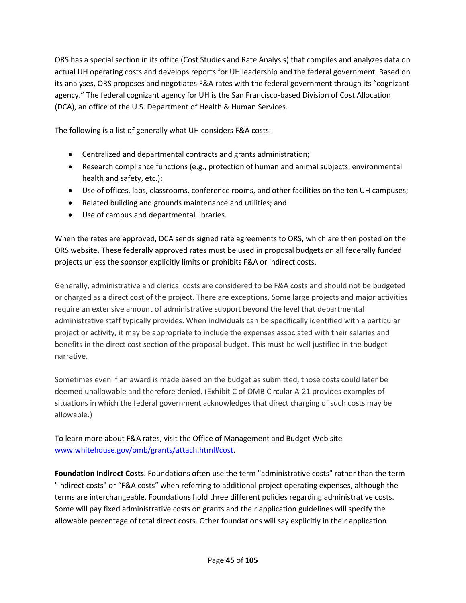ORS has a special section in its office (Cost Studies and Rate Analysis) that compiles and analyzes data on actual UH operating costs and develops reports for UH leadership and the federal government. Based on its analyses, ORS proposes and negotiates F&A rates with the federal government through its "cognizant agency." The federal cognizant agency for UH is the San Francisco-based Division of Cost Allocation (DCA), an office of the U.S. Department of Health & Human Services.

The following is a list of generally what UH considers F&A costs:

- Centralized and departmental contracts and grants administration;
- Research compliance functions (e.g., protection of human and animal subjects, environmental health and safety, etc.);
- Use of offices, labs, classrooms, conference rooms, and other facilities on the ten UH campuses;
- Related building and grounds maintenance and utilities; and
- Use of campus and departmental libraries.

When the rates are approved, DCA sends signed rate agreements to ORS, which are then posted on the ORS website. These federally approved rates must be used in proposal budgets on all federally funded projects unless the sponsor explicitly limits or prohibits F&A or indirect costs.

Generally, administrative and clerical costs are considered to be F&A costs and should not be budgeted or charged as a direct cost of the project. There are exceptions. Some large projects and major activities require an extensive amount of administrative support beyond the level that departmental administrative staff typically provides. When individuals can be specifically identified with a particular project or activity, it may be appropriate to include the expenses associated with their salaries and benefits in the direct cost section of the proposal budget. This must be well justified in the budget narrative.

Sometimes even if an award is made based on the budget as submitted, those costs could later be deemed unallowable and therefore denied. (Exhibit C of OMB Circular A-21 provides examples of situations in which the federal government acknowledges that direct charging of such costs may be allowable.)

To learn more about F&A rates, visit the Office of Management and Budget Web site [www.whitehouse.gov/omb/grants/attach.html#cost.](http://www.whitehouse.gov/omb/grants/attach.html#cost)

**Foundation Indirect Costs**. Foundations often use the term "administrative costs" rather than the term "indirect costs" or "F&A costs" when referring to additional project operating expenses, although the terms are interchangeable. Foundations hold three different policies regarding administrative costs. Some will pay fixed administrative costs on grants and their application guidelines will specify the allowable percentage of total direct costs. Other foundations will say explicitly in their application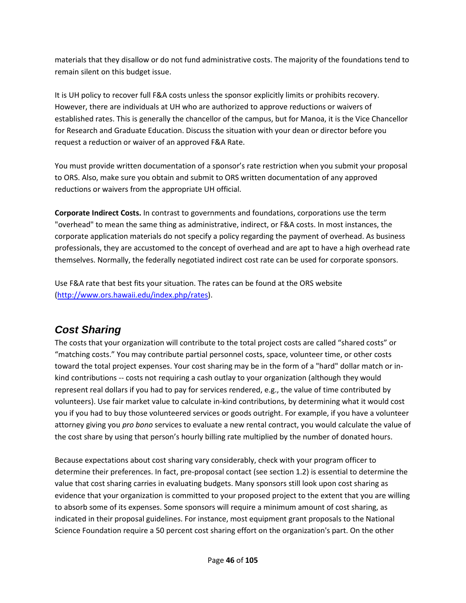materials that they disallow or do not fund administrative costs. The majority of the foundations tend to remain silent on this budget issue.

It is UH policy to recover full F&A costs unless the sponsor explicitly limits or prohibits recovery. However, there are individuals at UH who are authorized to approve reductions or waivers of established rates. This is generally the chancellor of the campus, but for Manoa, it is the Vice Chancellor for Research and Graduate Education. Discuss the situation with your dean or director before you request a reduction or waiver of an approved F&A Rate.

You must provide written documentation of a sponsor's rate restriction when you submit your proposal to ORS. Also, make sure you obtain and submit to ORS written documentation of any approved reductions or waivers from the appropriate UH official.

**Corporate Indirect Costs.** In contrast to governments and foundations, corporations use the term "overhead" to mean the same thing as administrative, indirect, or F&A costs. In most instances, the corporate application materials do not specify a policy regarding the payment of overhead. As business professionals, they are accustomed to the concept of overhead and are apt to have a high overhead rate themselves. Normally, the federally negotiated indirect cost rate can be used for corporate sponsors.

Use F&A rate that best fits your situation. The rates can be found at the ORS website [\(http://www.ors.hawaii.edu/index.php/rates\)](http://www.ors.hawaii.edu/index.php/rates).

## *Cost Sharing*

The costs that your organization will contribute to the total project costs are called "shared costs" or "matching costs." You may contribute partial personnel costs, space, volunteer time, or other costs toward the total project expenses. Your cost sharing may be in the form of a "hard" dollar match or inkind contributions -- costs not requiring a cash outlay to your organization (although they would represent real dollars if you had to pay for services rendered, e.g., the value of time contributed by volunteers). Use fair market value to calculate in-kind contributions, by determining what it would cost you if you had to buy those volunteered services or goods outright. For example, if you have a volunteer attorney giving you *pro bono* services to evaluate a new rental contract, you would calculate the value of the cost share by using that person's hourly billing rate multiplied by the number of donated hours.

Because expectations about cost sharing vary considerably, check with your program officer to determine their preferences. In fact, pre-proposal contact (see section 1.2) is essential to determine the value that cost sharing carries in evaluating budgets. Many sponsors still look upon cost sharing as evidence that your organization is committed to your proposed project to the extent that you are willing to absorb some of its expenses. Some sponsors will require a minimum amount of cost sharing, as indicated in their proposal guidelines. For instance, most equipment grant proposals to the National Science Foundation require a 50 percent cost sharing effort on the organization's part. On the other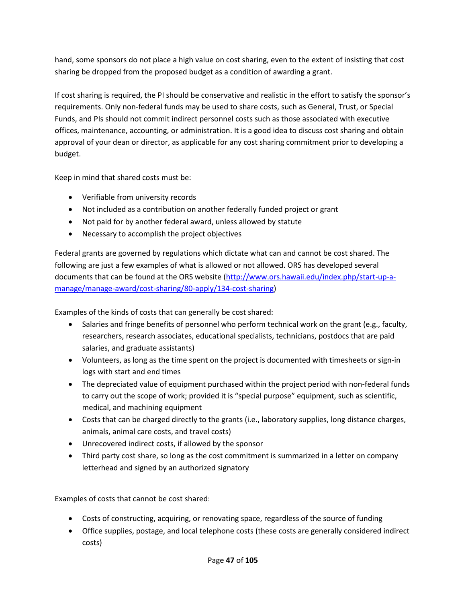hand, some sponsors do not place a high value on cost sharing, even to the extent of insisting that cost sharing be dropped from the proposed budget as a condition of awarding a grant.

If cost sharing is required, the PI should be conservative and realistic in the effort to satisfy the sponsor's requirements. Only non-federal funds may be used to share costs, such as General, Trust, or Special Funds, and PIs should not commit indirect personnel costs such as those associated with executive offices, maintenance, accounting, or administration. It is a good idea to discuss cost sharing and obtain approval of your dean or director, as applicable for any cost sharing commitment prior to developing a budget.

Keep in mind that shared costs must be:

- Verifiable from university records
- Not included as a contribution on another federally funded project or grant
- Not paid for by another federal award, unless allowed by statute
- Necessary to accomplish the project objectives

Federal grants are governed by regulations which dictate what can and cannot be cost shared. The following are just a few examples of what is allowed or not allowed. ORS has developed several documents that can be found at the ORS website [\(http://www.ors.hawaii.edu/index.php/start-up-a](http://www.ors.hawaii.edu/index.php/start-up-a-manage/manage-award/cost-sharing/80-apply/134-cost-sharing)[manage/manage-award/cost-sharing/80-apply/134-cost-sharing\)](http://www.ors.hawaii.edu/index.php/start-up-a-manage/manage-award/cost-sharing/80-apply/134-cost-sharing)

Examples of the kinds of costs that can generally be cost shared:

- Salaries and fringe benefits of personnel who perform technical work on the grant (e.g., faculty, researchers, research associates, educational specialists, technicians, postdocs that are paid salaries, and graduate assistants)
- Volunteers, as long as the time spent on the project is documented with timesheets or sign-in logs with start and end times
- The depreciated value of equipment purchased within the project period with non-federal funds to carry out the scope of work; provided it is "special purpose" equipment, such as scientific, medical, and machining equipment
- Costs that can be charged directly to the grants (i.e., laboratory supplies, long distance charges, animals, animal care costs, and travel costs)
- Unrecovered indirect costs, if allowed by the sponsor
- Third party cost share, so long as the cost commitment is summarized in a letter on company letterhead and signed by an authorized signatory

Examples of costs that cannot be cost shared:

- Costs of constructing, acquiring, or renovating space, regardless of the source of funding
- Office supplies, postage, and local telephone costs (these costs are generally considered indirect costs)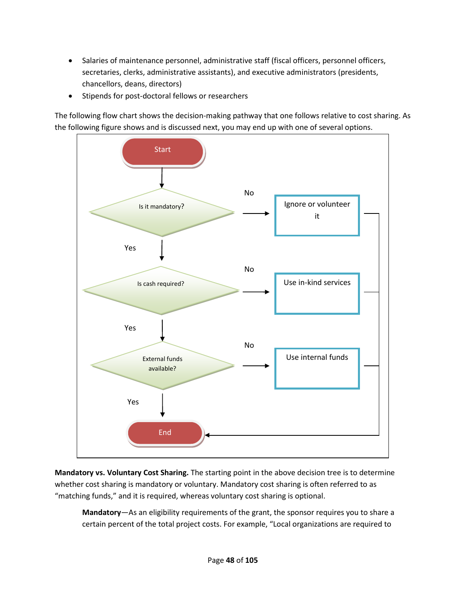- Salaries of maintenance personnel, administrative staff (fiscal officers, personnel officers, secretaries, clerks, administrative assistants), and executive administrators (presidents, chancellors, deans, directors)
- Stipends for post-doctoral fellows or researchers

The following flow chart shows the decision-making pathway that one follows relative to cost sharing. As the following figure shows and is discussed next, you may end up with one of several options.



**Mandatory vs. Voluntary Cost Sharing.** The starting point in the above decision tree is to determine whether cost sharing is mandatory or voluntary. Mandatory cost sharing is often referred to as "matching funds," and it is required, whereas voluntary cost sharing is optional.

**Mandatory**—As an eligibility requirements of the grant, the sponsor requires you to share a certain percent of the total project costs. For example, "Local organizations are required to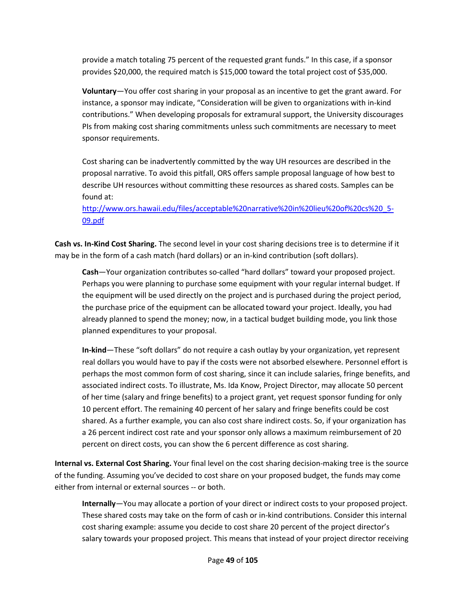provide a match totaling 75 percent of the requested grant funds." In this case, if a sponsor provides \$20,000, the required match is \$15,000 toward the total project cost of \$35,000.

**Voluntary**—You offer cost sharing in your proposal as an incentive to get the grant award. For instance, a sponsor may indicate, "Consideration will be given to organizations with in-kind contributions." When developing proposals for extramural support, the University discourages PIs from making cost sharing commitments unless such commitments are necessary to meet sponsor requirements.

Cost sharing can be inadvertently committed by the way UH resources are described in the proposal narrative. To avoid this pitfall, ORS offers sample proposal language of how best to describe UH resources without committing these resources as shared costs. Samples can be found at:

[http://www.ors.hawaii.edu/files/acceptable%20narrative%20in%20lieu%20of%20cs%20\\_5-](http://www.ors.hawaii.edu/files/acceptable%20narrative%20in%20lieu%20of%20cs%20_5-09.pdf) [09.pdf](http://www.ors.hawaii.edu/files/acceptable%20narrative%20in%20lieu%20of%20cs%20_5-09.pdf)

**Cash vs. In-Kind Cost Sharing.** The second level in your cost sharing decisions tree is to determine if it may be in the form of a cash match (hard dollars) or an in-kind contribution (soft dollars).

**Cash**—Your organization contributes so-called "hard dollars" toward your proposed project. Perhaps you were planning to purchase some equipment with your regular internal budget. If the equipment will be used directly on the project and is purchased during the project period, the purchase price of the equipment can be allocated toward your project. Ideally, you had already planned to spend the money; now, in a tactical budget building mode, you link those planned expenditures to your proposal.

**In-kind**—These "soft dollars" do not require a cash outlay by your organization, yet represent real dollars you would have to pay if the costs were not absorbed elsewhere. Personnel effort is perhaps the most common form of cost sharing, since it can include salaries, fringe benefits, and associated indirect costs. To illustrate, Ms. Ida Know, Project Director, may allocate 50 percent of her time (salary and fringe benefits) to a project grant, yet request sponsor funding for only 10 percent effort. The remaining 40 percent of her salary and fringe benefits could be cost shared. As a further example, you can also cost share indirect costs. So, if your organization has a 26 percent indirect cost rate and your sponsor only allows a maximum reimbursement of 20 percent on direct costs, you can show the 6 percent difference as cost sharing.

**Internal vs. External Cost Sharing.** Your final level on the cost sharing decision-making tree is the source of the funding. Assuming you've decided to cost share on your proposed budget, the funds may come either from internal or external sources -- or both.

**Internally**—You may allocate a portion of your direct or indirect costs to your proposed project. These shared costs may take on the form of cash or in-kind contributions. Consider this internal cost sharing example: assume you decide to cost share 20 percent of the project director's salary towards your proposed project. This means that instead of your project director receiving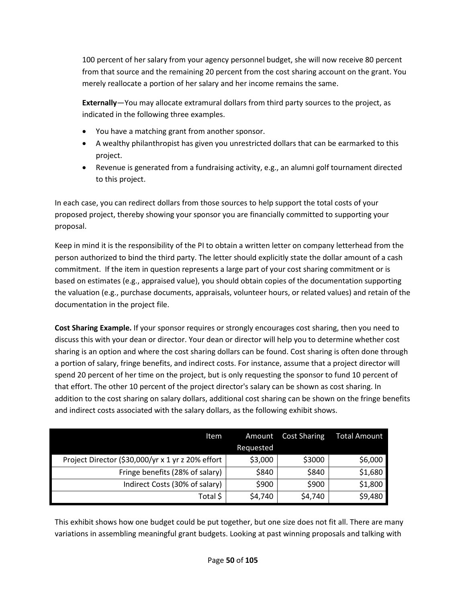100 percent of her salary from your agency personnel budget, she will now receive 80 percent from that source and the remaining 20 percent from the cost sharing account on the grant. You merely reallocate a portion of her salary and her income remains the same.

**Externally**—You may allocate extramural dollars from third party sources to the project, as indicated in the following three examples.

- You have a matching grant from another sponsor.
- A wealthy philanthropist has given you unrestricted dollars that can be earmarked to this project.
- Revenue is generated from a fundraising activity, e.g., an alumni golf tournament directed to this project.

In each case, you can redirect dollars from those sources to help support the total costs of your proposed project, thereby showing your sponsor you are financially committed to supporting your proposal.

Keep in mind it is the responsibility of the PI to obtain a written letter on company letterhead from the person authorized to bind the third party. The letter should explicitly state the dollar amount of a cash commitment. If the item in question represents a large part of your cost sharing commitment or is based on estimates (e.g., appraised value), you should obtain copies of the documentation supporting the valuation (e.g., purchase documents, appraisals, volunteer hours, or related values) and retain of the documentation in the project file.

**Cost Sharing Example.** If your sponsor requires or strongly encourages cost sharing, then you need to discuss this with your dean or director. Your dean or director will help you to determine whether cost sharing is an option and where the cost sharing dollars can be found. Cost sharing is often done through a portion of salary, fringe benefits, and indirect costs. For instance, assume that a project director will spend 20 percent of her time on the project, but is only requesting the sponsor to fund 10 percent of that effort. The other 10 percent of the project director's salary can be shown as cost sharing. In addition to the cost sharing on salary dollars, additional cost sharing can be shown on the fringe benefits and indirect costs associated with the salary dollars, as the following exhibit shows.

| Item                                              | Amount    | <b>Cost Sharing</b> | <b>Total Amount</b> |
|---------------------------------------------------|-----------|---------------------|---------------------|
|                                                   | Requested |                     |                     |
| Project Director (\$30,000/yr x 1 yr z 20% effort | \$3,000   | \$3000              | \$6,000             |
| Fringe benefits (28% of salary)                   | \$840     | \$840               | \$1,680             |
| Indirect Costs (30% of salary)                    | \$900     | \$900               | \$1,800             |
| Total \$                                          | \$4,740   | \$4,740             | \$9,480             |

This exhibit shows how one budget could be put together, but one size does not fit all. There are many variations in assembling meaningful grant budgets. Looking at past winning proposals and talking with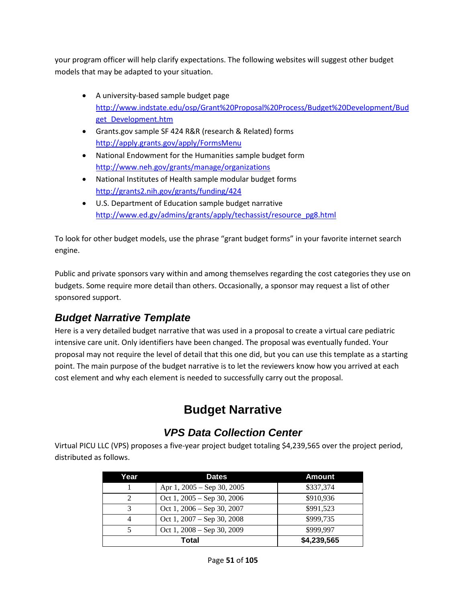your program officer will help clarify expectations. The following websites will suggest other budget models that may be adapted to your situation.

- A university-based sample budget page [http://www.indstate.edu/osp/Grant%20Proposal%20Process/Budget%20Development/Bud](http://www.indstate.edu/osp/Grant%20Proposal%20Process/Budget%20Development/Budget_Development.htm) [get\\_Development.htm](http://www.indstate.edu/osp/Grant%20Proposal%20Process/Budget%20Development/Budget_Development.htm)
- Grants.gov sample SF 424 R&R (research & Related) forms <http://apply.grants.gov/apply/FormsMenu>
- National Endowment for the Humanities sample budget form <http://www.neh.gov/grants/manage/organizations>
- National Institutes of Health sample modular budget forms <http://grants2.nih.gov/grants/funding/424>
- U.S. Department of Education sample budget narrative [http://www.ed.gv/admins/grants/apply/techassist/resource\\_pg8.html](http://www.ed.gv/admins/grants/apply/techassist/resource_pg8.html)

To look for other budget models, use the phrase "grant budget forms" in your favorite internet search engine.

Public and private sponsors vary within and among themselves regarding the cost categories they use on budgets. Some require more detail than others. Occasionally, a sponsor may request a list of other sponsored support.

## *Budget Narrative Template*

Here is a very detailed budget narrative that was used in a proposal to create a virtual care pediatric intensive care unit. Only identifiers have been changed. The proposal was eventually funded. Your proposal may not require the level of detail that this one did, but you can use this template as a starting point. The main purpose of the budget narrative is to let the reviewers know how you arrived at each cost element and why each element is needed to successfully carry out the proposal.

# **Budget Narrative**

### *VPS Data Collection Center*

Virtual PICU LLC (VPS) proposes a five-year project budget totaling \$4,239,565 over the project period, distributed as follows.

| Year | <b>Dates</b>                   | <b>Amount</b> |
|------|--------------------------------|---------------|
|      | Apr $1, 2005 -$ Sep 30, 2005   | \$337,374     |
|      | Oct 1, $2005 -$ Sep 30, $2006$ | \$910,936     |
| 2    | Oct 1, 2006 – Sep 30, 2007     | \$991,523     |
|      | Oct 1, $2007 -$ Sep 30, $2008$ | \$999.735     |
|      | Oct 1, $2008 -$ Sep 30, $2009$ | \$999.997     |
|      | Total                          | \$4,239,565   |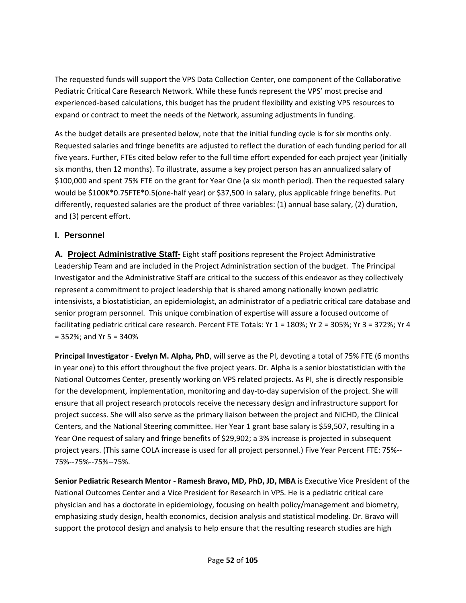The requested funds will support the VPS Data Collection Center, one component of the Collaborative Pediatric Critical Care Research Network. While these funds represent the VPS' most precise and experienced-based calculations, this budget has the prudent flexibility and existing VPS resources to expand or contract to meet the needs of the Network, assuming adjustments in funding.

As the budget details are presented below, note that the initial funding cycle is for six months only. Requested salaries and fringe benefits are adjusted to reflect the duration of each funding period for all five years. Further, FTEs cited below refer to the full time effort expended for each project year (initially six months, then 12 months). To illustrate, assume a key project person has an annualized salary of \$100,000 and spent 75% FTE on the grant for Year One (a six month period). Then the requested salary would be \$100K\*0.75FTE\*0.5(one-half year) or \$37,500 in salary, plus applicable fringe benefits. Put differently, requested salaries are the product of three variables: (1) annual base salary, (2) duration, and (3) percent effort.

#### **I. Personnel**

**A. Project Administrative Staff-** Eight staff positions represent the Project Administrative Leadership Team and are included in the Project Administration section of the budget. The Principal Investigator and the Administrative Staff are critical to the success of this endeavor as they collectively represent a commitment to project leadership that is shared among nationally known pediatric intensivists, a biostatistician, an epidemiologist, an administrator of a pediatric critical care database and senior program personnel. This unique combination of expertise will assure a focused outcome of facilitating pediatric critical care research. Percent FTE Totals: Yr 1 = 180%; Yr 2 = 305%; Yr 3 = 372%; Yr 4 = 352%; and Yr 5 = 340%

**Principal Investigator** - **Evelyn M. Alpha, PhD**, will serve as the PI, devoting a total of 75% FTE (6 months in year one) to this effort throughout the five project years. Dr. Alpha is a senior biostatistician with the National Outcomes Center, presently working on VPS related projects. As PI, she is directly responsible for the development, implementation, monitoring and day-to-day supervision of the project. She will ensure that all project research protocols receive the necessary design and infrastructure support for project success. She will also serve as the primary liaison between the project and NICHD, the Clinical Centers, and the National Steering committee. Her Year 1 grant base salary is \$59,507, resulting in a Year One request of salary and fringe benefits of \$29,902; a 3% increase is projected in subsequent project years. (This same COLA increase is used for all project personnel.) Five Year Percent FTE: 75%-- 75%--75%--75%--75%.

**Senior Pediatric Research Mentor - Ramesh Bravo, MD, PhD, JD, MBA** is Executive Vice President of the National Outcomes Center and a Vice President for Research in VPS. He is a pediatric critical care physician and has a doctorate in epidemiology, focusing on health policy/management and biometry, emphasizing study design, health economics, decision analysis and statistical modeling. Dr. Bravo will support the protocol design and analysis to help ensure that the resulting research studies are high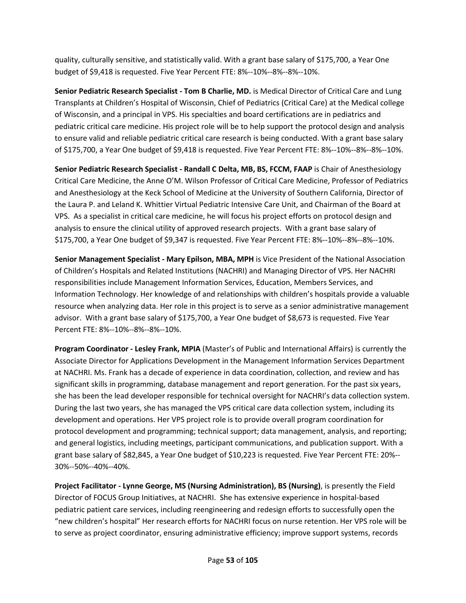quality, culturally sensitive, and statistically valid. With a grant base salary of \$175,700, a Year One budget of \$9,418 is requested. Five Year Percent FTE: 8%--10%--8%--8%--10%.

**Senior Pediatric Research Specialist - Tom B Charlie, MD.** is Medical Director of Critical Care and Lung Transplants at Children's Hospital of Wisconsin, Chief of Pediatrics (Critical Care) at the Medical college of Wisconsin, and a principal in VPS. His specialties and board certifications are in pediatrics and pediatric critical care medicine. His project role will be to help support the protocol design and analysis to ensure valid and reliable pediatric critical care research is being conducted. With a grant base salary of \$175,700, a Year One budget of \$9,418 is requested. Five Year Percent FTE: 8%--10%--8%--8%--10%.

**Senior Pediatric Research Specialist - Randall C Delta, MB, BS, FCCM, FAAP** is Chair of Anesthesiology Critical Care Medicine, the Anne O'M. Wilson Professor of Critical Care Medicine, Professor of Pediatrics and Anesthesiology at the Keck School of Medicine at the University of Southern California, Director of the Laura P. and Leland K. Whittier Virtual Pediatric Intensive Care Unit, and Chairman of the Board at VPS. As a specialist in critical care medicine, he will focus his project efforts on protocol design and analysis to ensure the clinical utility of approved research projects. With a grant base salary of \$175,700, a Year One budget of \$9,347 is requested. Five Year Percent FTE: 8%--10%--8%--8%--10%.

**Senior Management Specialist - Mary Epilson, MBA, MPH** is Vice President of the National Association of Children's Hospitals and Related Institutions (NACHRI) and Managing Director of VPS. Her NACHRI responsibilities include Management Information Services, Education, Members Services, and Information Technology. Her knowledge of and relationships with children's hospitals provide a valuable resource when analyzing data. Her role in this project is to serve as a senior administrative management advisor. With a grant base salary of \$175,700, a Year One budget of \$8,673 is requested. Five Year Percent FTE: 8%--10%--8%--8%--10%.

**Program Coordinator - Lesley Frank, MPIA** (Master's of Public and International Affairs) is currently the Associate Director for Applications Development in the Management Information Services Department at NACHRI. Ms. Frank has a decade of experience in data coordination, collection, and review and has significant skills in programming, database management and report generation. For the past six years, she has been the lead developer responsible for technical oversight for NACHRI's data collection system. During the last two years, she has managed the VPS critical care data collection system, including its development and operations. Her VPS project role is to provide overall program coordination for protocol development and programming; technical support; data management, analysis, and reporting; and general logistics, including meetings, participant communications, and publication support. With a grant base salary of \$82,845, a Year One budget of \$10,223 is requested. Five Year Percent FTE: 20%-- 30%--50%--40%--40%.

**Project Facilitator - Lynne George, MS (Nursing Administration), BS (Nursing)**, is presently the Field Director of FOCUS Group Initiatives, at NACHRI. She has extensive experience in hospital-based pediatric patient care services, including reengineering and redesign efforts to successfully open the "new children's hospital" Her research efforts for NACHRI focus on nurse retention. Her VPS role will be to serve as project coordinator, ensuring administrative efficiency; improve support systems, records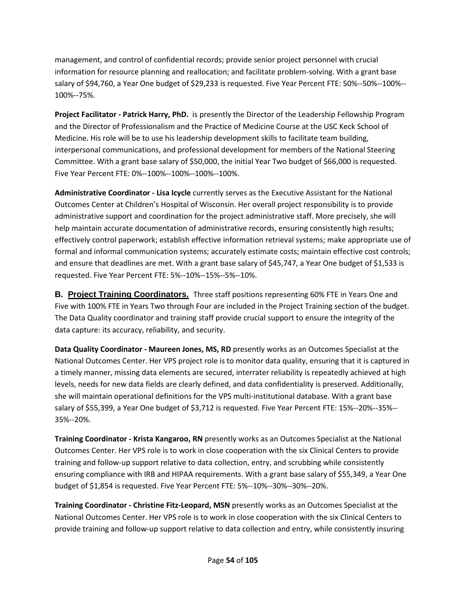management, and control of confidential records; provide senior project personnel with crucial information for resource planning and reallocation; and facilitate problem-solving. With a grant base salary of \$94,760, a Year One budget of \$29,233 is requested. Five Year Percent FTE: 50%--50%--100%-- 100%--75%.

**Project Facilitator - Patrick Harry, PhD.** is presently the Director of the Leadership Fellowship Program and the Director of Professionalism and the Practice of Medicine Course at the USC Keck School of Medicine. His role will be to use his leadership development skills to facilitate team building, interpersonal communications, and professional development for members of the National Steering Committee. With a grant base salary of \$50,000, the initial Year Two budget of \$66,000 is requested. Five Year Percent FTE: 0%--100%--100%--100%--100%.

**Administrative Coordinator - Lisa Icycle** currently serves as the Executive Assistant for the National Outcomes Center at Children's Hospital of Wisconsin. Her overall project responsibility is to provide administrative support and coordination for the project administrative staff. More precisely, she will help maintain accurate documentation of administrative records, ensuring consistently high results; effectively control paperwork; establish effective information retrieval systems; make appropriate use of formal and informal communication systems; accurately estimate costs; maintain effective cost controls; and ensure that deadlines are met. With a grant base salary of \$45,747, a Year One budget of \$1,533 is requested. Five Year Percent FTE: 5%--10%--15%--5%--10%.

**B. Project Training Coordinators.** Three staff positions representing 60% FTE in Years One and Five with 100% FTE in Years Two through Four are included in the Project Training section of the budget. The Data Quality coordinator and training staff provide crucial support to ensure the integrity of the data capture: its accuracy, reliability, and security.

**Data Quality Coordinator - Maureen Jones, MS, RD** presently works as an Outcomes Specialist at the National Outcomes Center. Her VPS project role is to monitor data quality, ensuring that it is captured in a timely manner, missing data elements are secured, interrater reliability is repeatedly achieved at high levels, needs for new data fields are clearly defined, and data confidentiality is preserved. Additionally, she will maintain operational definitions for the VPS multi-institutional database. With a grant base salary of \$55,399, a Year One budget of \$3,712 is requested. Five Year Percent FTE: 15%--20%--35%-- 35%--20%.

**Training Coordinator - Krista Kangaroo, RN** presently works as an Outcomes Specialist at the National Outcomes Center. Her VPS role is to work in close cooperation with the six Clinical Centers to provide training and follow-up support relative to data collection, entry, and scrubbing while consistently ensuring compliance with IRB and HIPAA requirements. With a grant base salary of \$55,349, a Year One budget of \$1,854 is requested. Five Year Percent FTE: 5%--10%--30%--30%--20%.

**Training Coordinator - Christine Fitz-Leopard, MSN** presently works as an Outcomes Specialist at the National Outcomes Center. Her VPS role is to work in close cooperation with the six Clinical Centers to provide training and follow-up support relative to data collection and entry, while consistently insuring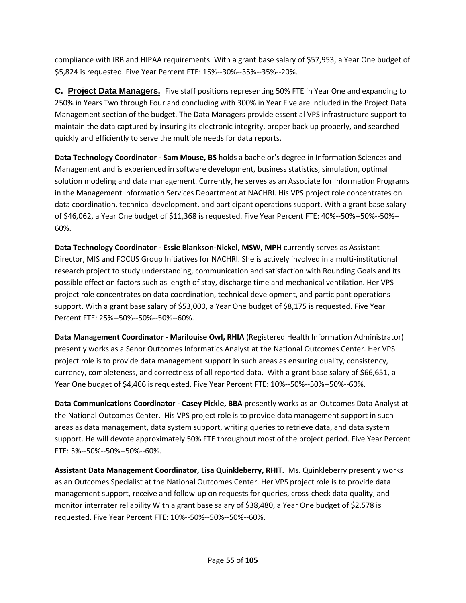compliance with IRB and HIPAA requirements. With a grant base salary of \$57,953, a Year One budget of \$5,824 is requested. Five Year Percent FTE: 15%--30%--35%--35%--20%.

**C. Project Data Managers.** Five staff positions representing 50% FTE in Year One and expanding to 250% in Years Two through Four and concluding with 300% in Year Five are included in the Project Data Management section of the budget. The Data Managers provide essential VPS infrastructure support to maintain the data captured by insuring its electronic integrity, proper back up properly, and searched quickly and efficiently to serve the multiple needs for data reports.

**Data Technology Coordinator - Sam Mouse, BS** holds a bachelor's degree in Information Sciences and Management and is experienced in software development, business statistics, simulation, optimal solution modeling and data management. Currently, he serves as an Associate for Information Programs in the Management Information Services Department at NACHRI. His VPS project role concentrates on data coordination, technical development, and participant operations support. With a grant base salary of \$46,062, a Year One budget of \$11,368 is requested. Five Year Percent FTE: 40%--50%--50%--50%-- 60%.

**Data Technology Coordinator - Essie Blankson-Nickel, MSW, MPH** currently serves as Assistant Director, MIS and FOCUS Group Initiatives for NACHRI. She is actively involved in a multi-institutional research project to study understanding, communication and satisfaction with Rounding Goals and its possible effect on factors such as length of stay, discharge time and mechanical ventilation. Her VPS project role concentrates on data coordination, technical development, and participant operations support. With a grant base salary of \$53,000, a Year One budget of \$8,175 is requested. Five Year Percent FTE: 25%--50%--50%--50%--60%.

**Data Management Coordinator - Marilouise Owl, RHIA** (Registered Health Information Administrator) presently works as a Senor Outcomes Informatics Analyst at the National Outcomes Center. Her VPS project role is to provide data management support in such areas as ensuring quality, consistency, currency, completeness, and correctness of all reported data. With a grant base salary of \$66,651, a Year One budget of \$4,466 is requested. Five Year Percent FTE: 10%--50%--50%--50%--60%.

**Data Communications Coordinator - Casey Pickle, BBA** presently works as an Outcomes Data Analyst at the National Outcomes Center. His VPS project role is to provide data management support in such areas as data management, data system support, writing queries to retrieve data, and data system support. He will devote approximately 50% FTE throughout most of the project period. Five Year Percent FTE: 5%--50%--50%--50%--60%.

**Assistant Data Management Coordinator, Lisa Quinkleberry, RHIT.** Ms. Quinkleberry presently works as an Outcomes Specialist at the National Outcomes Center. Her VPS project role is to provide data management support, receive and follow-up on requests for queries, cross-check data quality, and monitor interrater reliability With a grant base salary of \$38,480, a Year One budget of \$2,578 is requested. Five Year Percent FTE: 10%--50%--50%--50%--60%.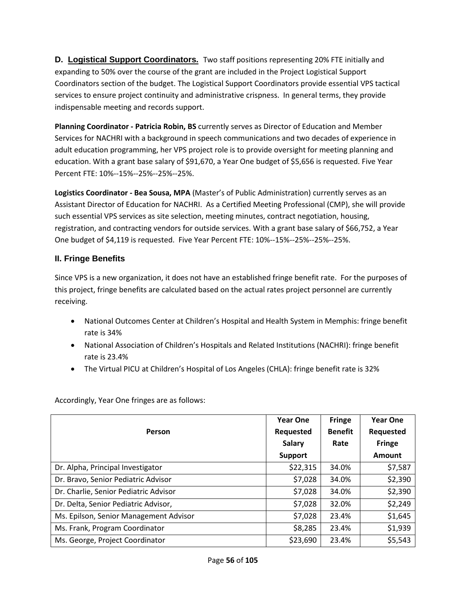**D. Logistical Support Coordinators.** Two staff positions representing 20% FTE initially and expanding to 50% over the course of the grant are included in the Project Logistical Support Coordinators section of the budget. The Logistical Support Coordinators provide essential VPS tactical services to ensure project continuity and administrative crispness. In general terms, they provide indispensable meeting and records support.

**Planning Coordinator - Patricia Robin, BS** currently serves as Director of Education and Member Services for NACHRI with a background in speech communications and two decades of experience in adult education programming, her VPS project role is to provide oversight for meeting planning and education. With a grant base salary of \$91,670, a Year One budget of \$5,656 is requested. Five Year Percent FTE: 10%--15%--25%--25%--25%.

**Logistics Coordinator - Bea Sousa, MPA** (Master's of Public Administration) currently serves as an Assistant Director of Education for NACHRI. As a Certified Meeting Professional (CMP), she will provide such essential VPS services as site selection, meeting minutes, contract negotiation, housing, registration, and contracting vendors for outside services. With a grant base salary of \$66,752, a Year One budget of \$4,119 is requested. Five Year Percent FTE: 10%--15%--25%--25%--25%.

#### **II. Fringe Benefits**

Since VPS is a new organization, it does not have an established fringe benefit rate. For the purposes of this project, fringe benefits are calculated based on the actual rates project personnel are currently receiving.

- National Outcomes Center at Children's Hospital and Health System in Memphis: fringe benefit rate is 34%
- National Association of Children's Hospitals and Related Institutions (NACHRI): fringe benefit rate is 23.4%
- The Virtual PICU at Children's Hospital of Los Angeles (CHLA): fringe benefit rate is 32%

Accordingly, Year One fringes are as follows:

|                                        | <b>Year One</b> | <b>Fringe</b>  | <b>Year One</b>  |
|----------------------------------------|-----------------|----------------|------------------|
| Person                                 | Requested       | <b>Benefit</b> | <b>Requested</b> |
|                                        | <b>Salary</b>   | Rate           | <b>Fringe</b>    |
|                                        | <b>Support</b>  |                | Amount           |
| Dr. Alpha, Principal Investigator      | \$22,315        | 34.0%          | \$7,587          |
| Dr. Bravo, Senior Pediatric Advisor    | \$7,028         | 34.0%          | \$2,390          |
| Dr. Charlie, Senior Pediatric Advisor  | \$7,028         | 34.0%          | \$2,390          |
| Dr. Delta, Senior Pediatric Advisor,   | \$7,028         | 32.0%          | \$2,249          |
| Ms. Epilson, Senior Management Advisor | \$7,028         | 23.4%          | \$1,645          |
| Ms. Frank, Program Coordinator         | \$8,285         | 23.4%          | \$1,939          |
| Ms. George, Project Coordinator        | \$23,690        | 23.4%          | \$5,543          |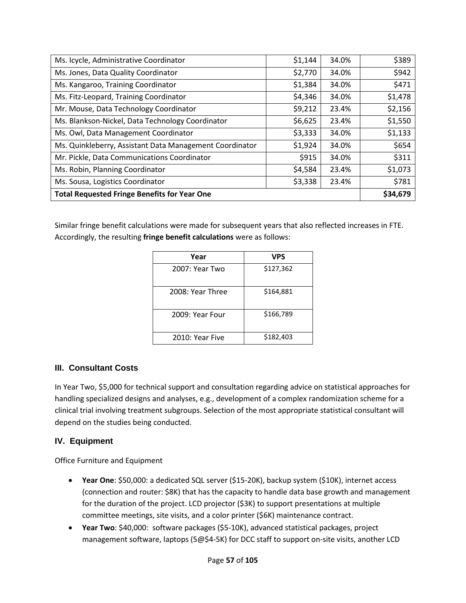| Ms. Icycle, Administrative Coordinator                  | \$1,144  | 34.0% | \$389   |
|---------------------------------------------------------|----------|-------|---------|
| Ms. Jones, Data Quality Coordinator                     | \$2,770  | 34.0% | \$942   |
| Ms. Kangaroo, Training Coordinator                      | \$1,384  | 34.0% | \$471   |
| Ms. Fitz-Leopard, Training Coordinator                  | \$4,346  | 34.0% | \$1,478 |
| Mr. Mouse, Data Technology Coordinator                  | \$9,212  | 23.4% | \$2,156 |
| Ms. Blankson-Nickel, Data Technology Coordinator        | \$6,625  | 23.4% | \$1,550 |
| Ms. Owl, Data Management Coordinator                    | \$3,333  | 34.0% | \$1,133 |
| Ms. Quinkleberry, Assistant Data Management Coordinator | \$1,924  | 34.0% | \$654   |
| Mr. Pickle, Data Communications Coordinator             | \$915    | 34.0% | \$311   |
| Ms. Robin, Planning Coordinator                         | \$4,584  | 23.4% | \$1,073 |
| Ms. Sousa, Logistics Coordinator                        | \$3,338  | 23.4% | \$781   |
| <b>Total Requested Fringe Benefits for Year One</b>     | \$34,679 |       |         |

Similar fringe benefit calculations were made for subsequent years that also reflected increases in FTE. Accordingly, the resulting **fringe benefit calculations** were as follows:

| Year             | <b>VPS</b> |
|------------------|------------|
| 2007: Year Two   | \$127,362  |
| 2008: Year Three | \$164,881  |
| 2009: Year Four  | \$166,789  |
| 2010: Year Five  | \$182,403  |

#### **III. Consultant Costs**

In Year Two, \$5,000 for technical support and consultation regarding advice on statistical approaches for handling specialized designs and analyses, e.g., development of a complex randomization scheme for a clinical trial involving treatment subgroups. Selection of the most appropriate statistical consultant will depend on the studies being conducted.

#### **IV. Equipment**

Office Furniture and Equipment

- **Year One**: \$50,000: a dedicated SQL server (\$15-20K), backup system (\$10K), internet access (connection and router: \$8K) that has the capacity to handle data base growth and management for the duration of the project. LCD projector (\$3K) to support presentations at multiple committee meetings, site visits, and a color printer (\$6K) maintenance contract.
- **Year Two**: \$40,000: software packages (\$5-10K), advanced statistical packages, project management software, laptops (5@\$4-5K) for DCC staff to support on-site visits, another LCD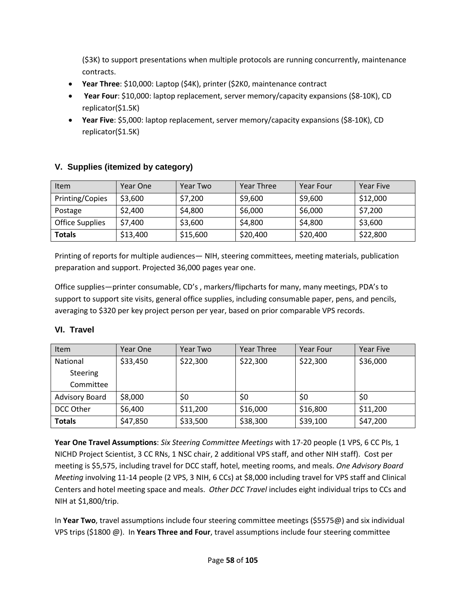(\$3K) to support presentations when multiple protocols are running concurrently, maintenance contracts.

- **Year Three**: \$10,000: Laptop (\$4K), printer (\$2K0, maintenance contract
- **Year Four**: \$10,000: laptop replacement, server memory/capacity expansions (\$8-10K), CD replicator(\$1.5K)
- **Year Five**: \$5,000: laptop replacement, server memory/capacity expansions (\$8-10K), CD replicator(\$1.5K)

| <b>Item</b>            | Year One | Year Two | Year Three | Year Four | Year Five |
|------------------------|----------|----------|------------|-----------|-----------|
| Printing/Copies        | \$3,600  | \$7,200  | \$9,600    | \$9,600   | \$12,000  |
| Postage                | \$2,400  | \$4,800  | \$6,000    | \$6,000   | \$7,200   |
| <b>Office Supplies</b> | \$7,400  | \$3,600  | \$4,800    | \$4,800   | \$3,600   |
| <b>Totals</b>          | \$13,400 | \$15,600 | \$20,400   | \$20,400  | \$22,800  |

#### **V. Supplies (itemized by category)**

Printing of reports for multiple audiences— NIH, steering committees, meeting materials, publication preparation and support. Projected 36,000 pages year one.

Office supplies—printer consumable, CD's , markers/flipcharts for many, many meetings, PDA's to support to support site visits, general office supplies, including consumable paper, pens, and pencils, averaging to \$320 per key project person per year, based on prior comparable VPS records.

#### **VI. Travel**

| Item            | Year One | Year Two | <b>Year Three</b> | Year Four | <b>Year Five</b> |
|-----------------|----------|----------|-------------------|-----------|------------------|
| National        | \$33,450 | \$22,300 | \$22,300          | \$22,300  | \$36,000         |
| <b>Steering</b> |          |          |                   |           |                  |
| Committee       |          |          |                   |           |                  |
| Advisory Board  | \$8,000  | \$0      | \$0               | \$0       | \$0              |
| DCC Other       | \$6,400  | \$11,200 | \$16,000          | \$16,800  | \$11,200         |
| <b>Totals</b>   | \$47,850 | \$33,500 | \$38,300          | \$39,100  | \$47,200         |

**Year One Travel Assumptions**: *Six Steering Committee Meetings* with 17-20 people (1 VPS, 6 CC PIs, 1 NICHD Project Scientist, 3 CC RNs, 1 NSC chair, 2 additional VPS staff, and other NIH staff). Cost per meeting is \$5,575, including travel for DCC staff, hotel, meeting rooms, and meals. *One Advisory Board Meeting* involving 11-14 people (2 VPS, 3 NIH, 6 CCs) at \$8,000 including travel for VPS staff and Clinical Centers and hotel meeting space and meals. *Other DCC Travel* includes eight individual trips to CCs and NIH at \$1,800/trip.

In **Year Two**, travel assumptions include four steering committee meetings (\$5575@) and six individual VPS trips (\$1800 @). In **Years Three and Four**, travel assumptions include four steering committee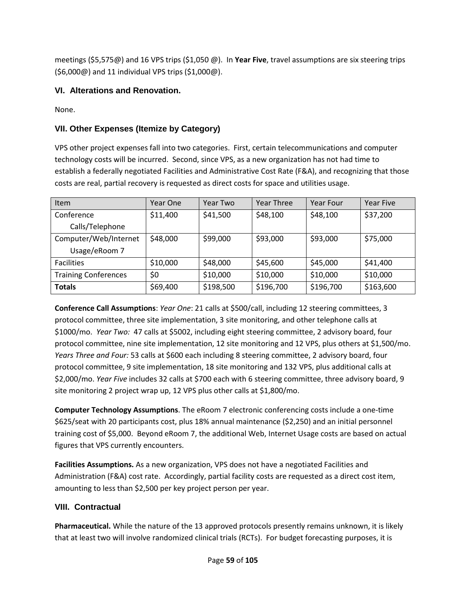meetings (\$5,575@) and 16 VPS trips (\$1,050 @). In **Year Five**, travel assumptions are six steering trips (\$6,000@) and 11 individual VPS trips (\$1,000@).

#### **VI. Alterations and Renovation.**

None.

#### **VII. Other Expenses (Itemize by Category)**

VPS other project expenses fall into two categories. First, certain telecommunications and computer technology costs will be incurred. Second, since VPS, as a new organization has not had time to establish a federally negotiated Facilities and Administrative Cost Rate (F&A), and recognizing that those costs are real, partial recovery is requested as direct costs for space and utilities usage.

| Item                        | Year One | Year Two  | <b>Year Three</b> | Year Four | <b>Year Five</b> |
|-----------------------------|----------|-----------|-------------------|-----------|------------------|
| Conference                  | \$11,400 | \$41,500  | \$48,100          | \$48,100  | \$37,200         |
| Calls/Telephone             |          |           |                   |           |                  |
| Computer/Web/Internet       | \$48,000 | \$99,000  | \$93,000          | \$93,000  | \$75,000         |
| Usage/eRoom 7               |          |           |                   |           |                  |
| <b>Facilities</b>           | \$10,000 | \$48,000  | \$45,600          | \$45,000  | \$41,400         |
| <b>Training Conferences</b> | \$0      | \$10,000  | \$10,000          | \$10,000  | \$10,000         |
| <b>Totals</b>               | \$69,400 | \$198,500 | \$196,700         | \$196,700 | \$163,600        |

**Conference Call Assumptions**: *Year One*: 21 calls at \$500/call, including 12 steering committees, 3 protocol committee, three site implementation, 3 site monitoring, and other telephone calls at \$1000/mo. *Year Two:* 47 calls at \$5002, including eight steering committee, 2 advisory board, four protocol committee, nine site implementation, 12 site monitoring and 12 VPS, plus others at \$1,500/mo. *Years Three and Four:* 53 calls at \$600 each including 8 steering committee, 2 advisory board, four protocol committee, 9 site implementation, 18 site monitoring and 132 VPS, plus additional calls at \$2,000/mo. *Year Five* includes 32 calls at \$700 each with 6 steering committee, three advisory board, 9 site monitoring 2 project wrap up, 12 VPS plus other calls at \$1,800/mo.

**Computer Technology Assumptions**. The eRoom 7 electronic conferencing costs include a one-time \$625/seat with 20 participants cost, plus 18% annual maintenance (\$2,250) and an initial personnel training cost of \$5,000. Beyond eRoom 7, the additional Web, Internet Usage costs are based on actual figures that VPS currently encounters.

**Facilities Assumptions.** As a new organization, VPS does not have a negotiated Facilities and Administration (F&A) cost rate. Accordingly, partial facility costs are requested as a direct cost item, amounting to less than \$2,500 per key project person per year.

#### **VIII. Contractual**

**Pharmaceutical.** While the nature of the 13 approved protocols presently remains unknown, it is likely that at least two will involve randomized clinical trials (RCTs). For budget forecasting purposes, it is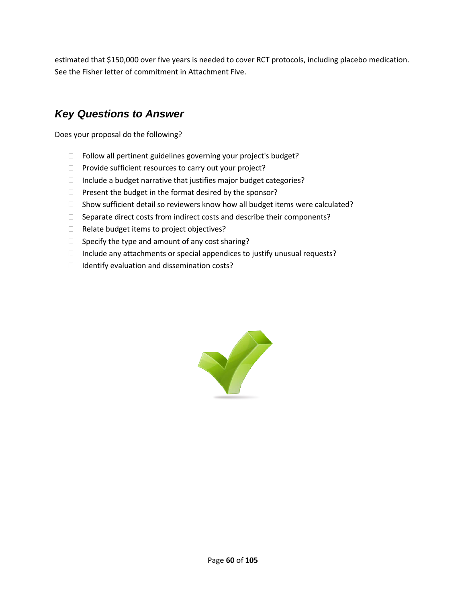estimated that \$150,000 over five years is needed to cover RCT protocols, including placebo medication. See the Fisher letter of commitment in Attachment Five.

### *Key Questions to Answer*

Does your proposal do the following?

- Follow all pertinent guidelines governing your project's budget?
- $\Box$  Provide sufficient resources to carry out your project?
- $\Box$  Include a budget narrative that justifies major budget categories?
- $\Box$  Present the budget in the format desired by the sponsor?
- $\Box$  Show sufficient detail so reviewers know how all budget items were calculated?
- $\Box$  Separate direct costs from indirect costs and describe their components?
- $\Box$  Relate budget items to project objectives?
- $\Box$  Specify the type and amount of any cost sharing?
- $\Box$  Include any attachments or special appendices to justify unusual requests?
- $\Box$  Identify evaluation and dissemination costs?

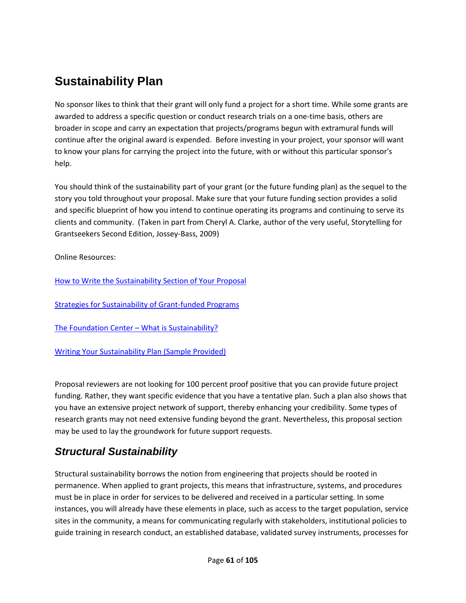# **Sustainability Plan**

No sponsor likes to think that their grant will only fund a project for a short time. While some grants are awarded to address a specific question or conduct research trials on a one-time basis, others are broader in scope and carry an expectation that projects/programs begun with extramural funds will continue after the original award is expended. Before investing in your project, your sponsor will want to know your plans for carrying the project into the future, with or without this particular sponsor's help.

You should think of the sustainability part of your grant (or the future funding plan) as the sequel to the story you told throughout your proposal. Make sure that your future funding section provides a solid and specific blueprint of how you intend to continue operating its programs and continuing to serve its clients and community. (Taken in part from Cheryl A. Clarke, author of the very useful, Storytelling for Grantseekers Second Edition, Jossey-Bass, 2009)

Online Resources:

[How to Write the Sustainability Section of Your Proposal](http://nonprofit.about.com/od/foundationfundinggrants/a/grantsustainabi.htm)

[Strategies for Sustainability of Grant-funded Programs](http://www.google.com/url?sa=t&rct=j&q=&esrc=s&source=web&cd=2&ved=0CDkQFjAB&url=http%3A%2F%2Fextension.usu.edu%2Fhtm%2Fpublications%2Ffile%3D15028&ei=SABXUsYDsPWKAriagYgK&usg=AFQjCNFkjKabEZUXL3rEDg2VQN15Jz81Pw&bvm=bv.53899372,d.cGE)

[The Foundation Center –](http://www.google.com/url?sa=t&rct=j&q=&esrc=s&source=web&cd=4&ved=0CEYQFjAD&url=http%3A%2F%2Fwww.uic.edu%2Fcuppa%2Fgci%2Fprograms%2Fprofed%2Firn%2Ffederal%2Fpdf%2Ffgw_mod4_sect1.pdf&ei=SABXUsYDsPWKAriagYgK&usg=AFQjCNH_-_wjiwEbaXzLCP96omdF62Xojw&bvm=bv.538) What is Sustainability?

[Writing Your Sustainability Plan \(Sample Provided\)](http://technology-grants.com/profiles/blogs/writing-your-sustainability-plan)

Proposal reviewers are not looking for 100 percent proof positive that you can provide future project funding. Rather, they want specific evidence that you have a tentative plan. Such a plan also shows that you have an extensive project network of support, thereby enhancing your credibility. Some types of research grants may not need extensive funding beyond the grant. Nevertheless, this proposal section may be used to lay the groundwork for future support requests.

#### *Structural Sustainability*

Structural sustainability borrows the notion from engineering that projects should be rooted in permanence. When applied to grant projects, this means that infrastructure, systems, and procedures must be in place in order for services to be delivered and received in a particular setting. In some instances, you will already have these elements in place, such as access to the target population, service sites in the community, a means for communicating regularly with stakeholders, institutional policies to guide training in research conduct, an established database, validated survey instruments, processes for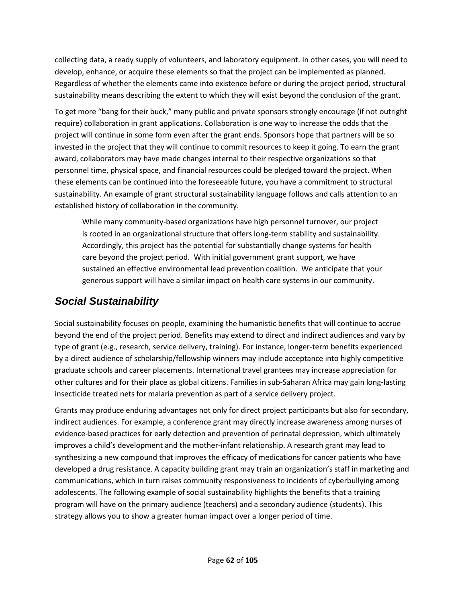collecting data, a ready supply of volunteers, and laboratory equipment. In other cases, you will need to develop, enhance, or acquire these elements so that the project can be implemented as planned. Regardless of whether the elements came into existence before or during the project period, structural sustainability means describing the extent to which they will exist beyond the conclusion of the grant.

To get more "bang for their buck," many public and private sponsors strongly encourage (if not outright require) collaboration in grant applications. Collaboration is one way to increase the odds that the project will continue in some form even after the grant ends. Sponsors hope that partners will be so invested in the project that they will continue to commit resources to keep it going. To earn the grant award, collaborators may have made changes internal to their respective organizations so that personnel time, physical space, and financial resources could be pledged toward the project. When these elements can be continued into the foreseeable future, you have a commitment to structural sustainability. An example of grant structural sustainability language follows and calls attention to an established history of collaboration in the community.

While many community-based organizations have high personnel turnover, our project is rooted in an organizational structure that offers long-term stability and sustainability. Accordingly, this project has the potential for substantially change systems for health care beyond the project period. With initial government grant support, we have sustained an effective environmental lead prevention coalition. We anticipate that your generous support will have a similar impact on health care systems in our community.

### *Social Sustainability*

Social sustainability focuses on people, examining the humanistic benefits that will continue to accrue beyond the end of the project period. Benefits may extend to direct and indirect audiences and vary by type of grant (e.g., research, service delivery, training). For instance, longer-term benefits experienced by a direct audience of scholarship/fellowship winners may include acceptance into highly competitive graduate schools and career placements. International travel grantees may increase appreciation for other cultures and for their place as global citizens. Families in sub-Saharan Africa may gain long-lasting insecticide treated nets for malaria prevention as part of a service delivery project.

Grants may produce enduring advantages not only for direct project participants but also for secondary, indirect audiences. For example, a conference grant may directly increase awareness among nurses of evidence-based practices for early detection and prevention of perinatal depression, which ultimately improves a child's development and the mother-infant relationship. A research grant may lead to synthesizing a new compound that improves the efficacy of medications for cancer patients who have developed a drug resistance. A capacity building grant may train an organization's staff in marketing and communications, which in turn raises community responsiveness to incidents of cyberbullying among adolescents. The following example of social sustainability highlights the benefits that a training program will have on the primary audience (teachers) and a secondary audience (students). This strategy allows you to show a greater human impact over a longer period of time.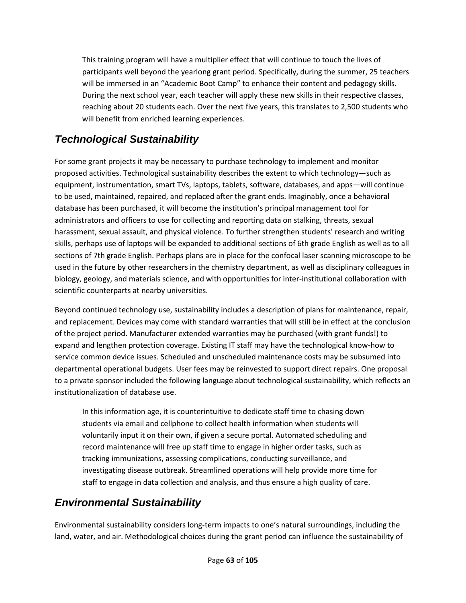This training program will have a multiplier effect that will continue to touch the lives of participants well beyond the yearlong grant period. Specifically, during the summer, 25 teachers will be immersed in an "Academic Boot Camp" to enhance their content and pedagogy skills. During the next school year, each teacher will apply these new skills in their respective classes, reaching about 20 students each. Over the next five years, this translates to 2,500 students who will benefit from enriched learning experiences.

### *Technological Sustainability*

For some grant projects it may be necessary to purchase technology to implement and monitor proposed activities. Technological sustainability describes the extent to which technology—such as equipment, instrumentation, smart TVs, laptops, tablets, software, databases, and apps—will continue to be used, maintained, repaired, and replaced after the grant ends. Imaginably, once a behavioral database has been purchased, it will become the institution's principal management tool for administrators and officers to use for collecting and reporting data on stalking, threats, sexual harassment, sexual assault, and physical violence. To further strengthen students' research and writing skills, perhaps use of laptops will be expanded to additional sections of 6th grade English as well as to all sections of 7th grade English. Perhaps plans are in place for the confocal laser scanning microscope to be used in the future by other researchers in the chemistry department, as well as disciplinary colleagues in biology, geology, and materials science, and with opportunities for inter-institutional collaboration with scientific counterparts at nearby universities.

Beyond continued technology use, sustainability includes a description of plans for maintenance, repair, and replacement. Devices may come with standard warranties that will still be in effect at the conclusion of the project period. Manufacturer extended warranties may be purchased (with grant funds!) to expand and lengthen protection coverage. Existing IT staff may have the technological know-how to service common device issues. Scheduled and unscheduled maintenance costs may be subsumed into departmental operational budgets. User fees may be reinvested to support direct repairs. One proposal to a private sponsor included the following language about technological sustainability, which reflects an institutionalization of database use.

In this information age, it is counterintuitive to dedicate staff time to chasing down students via email and cellphone to collect health information when students will voluntarily input it on their own, if given a secure portal. Automated scheduling and record maintenance will free up staff time to engage in higher order tasks, such as tracking immunizations, assessing complications, conducting surveillance, and investigating disease outbreak. Streamlined operations will help provide more time for staff to engage in data collection and analysis, and thus ensure a high quality of care.

### *Environmental Sustainability*

Environmental sustainability considers long-term impacts to one's natural surroundings, including the land, water, and air. Methodological choices during the grant period can influence the sustainability of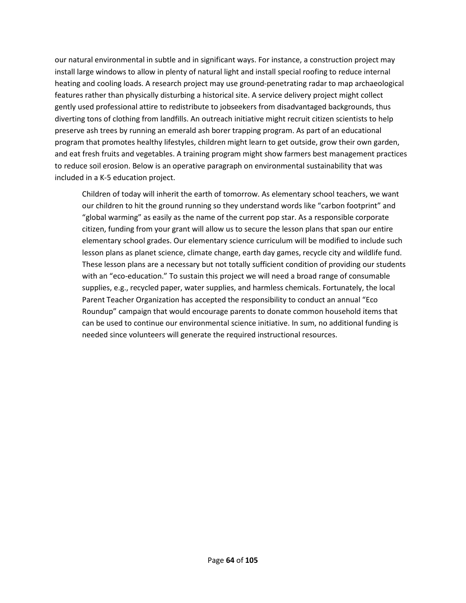our natural environmental in subtle and in significant ways. For instance, a construction project may install large windows to allow in plenty of natural light and install special roofing to reduce internal heating and cooling loads. A research project may use ground-penetrating radar to map archaeological features rather than physically disturbing a historical site. A service delivery project might collect gently used professional attire to redistribute to jobseekers from disadvantaged backgrounds, thus diverting tons of clothing from landfills. An outreach initiative might recruit citizen scientists to help preserve ash trees by running an emerald ash borer trapping program. As part of an educational program that promotes healthy lifestyles, children might learn to get outside, grow their own garden, and eat fresh fruits and vegetables. A training program might show farmers best management practices to reduce soil erosion. Below is an operative paragraph on environmental sustainability that was included in a K-5 education project.

Children of today will inherit the earth of tomorrow. As elementary school teachers, we want our children to hit the ground running so they understand words like "carbon footprint" and "global warming" as easily as the name of the current pop star. As a responsible corporate citizen, funding from your grant will allow us to secure the lesson plans that span our entire elementary school grades. Our elementary science curriculum will be modified to include such lesson plans as planet science, climate change, earth day games, recycle city and wildlife fund. These lesson plans are a necessary but not totally sufficient condition of providing our students with an "eco-education." To sustain this project we will need a broad range of consumable supplies, e.g., recycled paper, water supplies, and harmless chemicals. Fortunately, the local Parent Teacher Organization has accepted the responsibility to conduct an annual "Eco Roundup" campaign that would encourage parents to donate common household items that can be used to continue our environmental science initiative. In sum, no additional funding is needed since volunteers will generate the required instructional resources.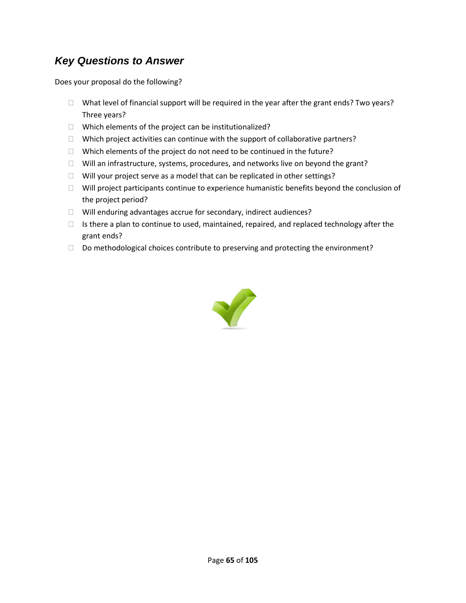### *Key Questions to Answer*

Does your proposal do the following?

- $\Box$  What level of financial support will be required in the year after the grant ends? Two years? Three years?
- $\Box$  Which elements of the project can be institutionalized?
- $\Box$  Which project activities can continue with the support of collaborative partners?
- $\Box$  Which elements of the project do not need to be continued in the future?
- $\Box$  Will an infrastructure, systems, procedures, and networks live on beyond the grant?
- $\Box$  Will your project serve as a model that can be replicated in other settings?
- Will project participants continue to experience humanistic benefits beyond the conclusion of the project period?
- $\Box$  Will enduring advantages accrue for secondary, indirect audiences?
- $\Box$  Is there a plan to continue to used, maintained, repaired, and replaced technology after the grant ends?
- $\Box$  Do methodological choices contribute to preserving and protecting the environment?

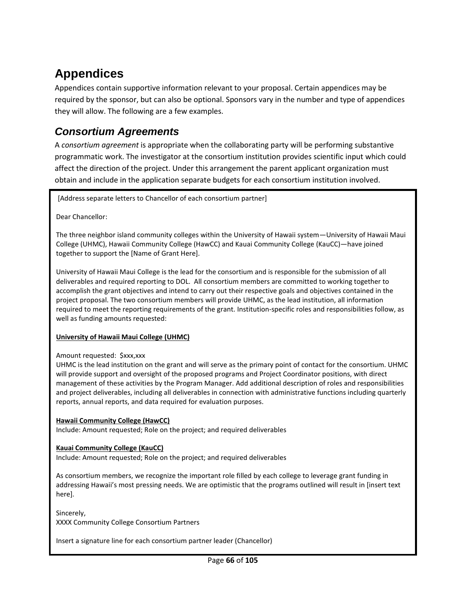# **Appendices**

Appendices contain supportive information relevant to your proposal. Certain appendices may be required by the sponsor, but can also be optional. Sponsors vary in the number and type of appendices they will allow. The following are a few examples.

### *Consortium Agreements*

A *consortium agreement* is appropriate when the collaborating party will be performing substantive programmatic work. The investigator at the consortium institution provides scientific input which could affect the direction of the project. Under this arrangement the parent applicant organization must obtain and include in the application separate budgets for each consortium institution involved.

[Address separate letters to Chancellor of each consortium partner]

Dear Chancellor:

The three neighbor island community colleges within the University of Hawaii system—University of Hawaii Maui College (UHMC), Hawaii Community College (HawCC) and Kauai Community College (KauCC)—have joined together to support the [Name of Grant Here].

University of Hawaii Maui College is the lead for the consortium and is responsible for the submission of all deliverables and required reporting to DOL. All consortium members are committed to working together to accomplish the grant objectives and intend to carry out their respective goals and objectives contained in the project proposal. The two consortium members will provide UHMC, as the lead institution, all information required to meet the reporting requirements of the grant. Institution-specific roles and responsibilities follow, as well as funding amounts requested:

#### **University of Hawaii Maui College (UHMC)**

#### Amount requested: \$xxx,xxx

UHMC is the lead institution on the grant and will serve as the primary point of contact for the consortium. UHMC will provide support and oversight of the proposed programs and Project Coordinator positions, with direct management of these activities by the Program Manager. Add additional description of roles and responsibilities and project deliverables, including all deliverables in connection with administrative functions including quarterly reports, annual reports, and data required for evaluation purposes.

#### **Hawaii Community College (HawCC)**

Include: Amount requested; Role on the project; and required deliverables

#### **Kauai Community College (KauCC)**

Include: Amount requested; Role on the project; and required deliverables

As consortium members, we recognize the important role filled by each college to leverage grant funding in addressing Hawaii's most pressing needs. We are optimistic that the programs outlined will result in [insert text here].

Sincerely, XXXX Community College Consortium Partners

Insert a signature line for each consortium partner leader (Chancellor)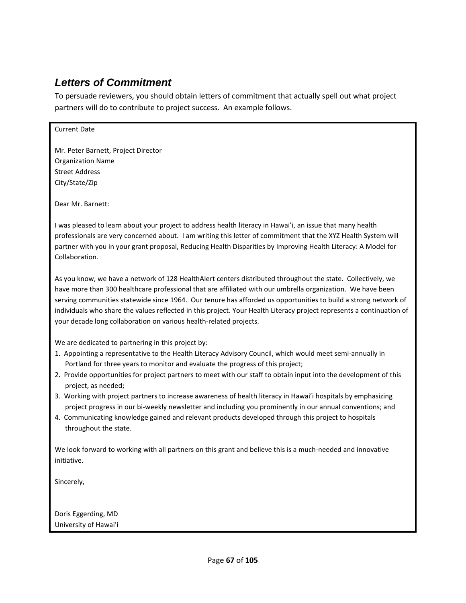### *Letters of Commitment*

To persuade reviewers, you should obtain letters of commitment that actually spell out what project partners will do to contribute to project success. An example follows.

#### Current Date

Mr. Peter Barnett, Project Director Organization Name Street Address City/State/Zip

Dear Mr. Barnett:

I was pleased to learn about your project to address health literacy in Hawai'i, an issue that many health professionals are very concerned about. I am writing this letter of commitment that the XYZ Health System will partner with you in your grant proposal, Reducing Health Disparities by Improving Health Literacy: A Model for Collaboration.

As you know, we have a network of 128 HealthAlert centers distributed throughout the state. Collectively, we have more than 300 healthcare professional that are affiliated with our umbrella organization. We have been serving communities statewide since 1964. Our tenure has afforded us opportunities to build a strong network of individuals who share the values reflected in this project. Your Health Literacy project represents a continuation of your decade long collaboration on various health-related projects.

We are dedicated to partnering in this project by:

- 1. Appointing a representative to the Health Literacy Advisory Council, which would meet semi-annually in Portland for three years to monitor and evaluate the progress of this project;
- 2. Provide opportunities for project partners to meet with our staff to obtain input into the development of this project, as needed;
- 3. Working with project partners to increase awareness of health literacy in Hawai'i hospitals by emphasizing project progress in our bi-weekly newsletter and including you prominently in our annual conventions; and
- 4. Communicating knowledge gained and relevant products developed through this project to hospitals throughout the state.

We look forward to working with all partners on this grant and believe this is a much-needed and innovative initiative.

Sincerely,

Doris Eggerding, MD University of Hawai'i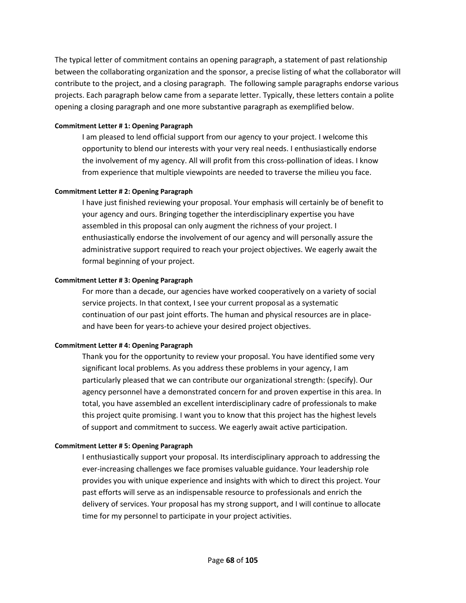The typical letter of commitment contains an opening paragraph, a statement of past relationship between the collaborating organization and the sponsor, a precise listing of what the collaborator will contribute to the project, and a closing paragraph. The following sample paragraphs endorse various projects. Each paragraph below came from a separate letter. Typically, these letters contain a polite opening a closing paragraph and one more substantive paragraph as exemplified below.

#### **Commitment Letter # 1: Opening Paragraph**

I am pleased to lend official support from our agency to your project. I welcome this opportunity to blend our interests with your very real needs. I enthusiastically endorse the involvement of my agency. All will profit from this cross-pollination of ideas. I know from experience that multiple viewpoints are needed to traverse the milieu you face.

#### **Commitment Letter # 2: Opening Paragraph**

I have just finished reviewing your proposal. Your emphasis will certainly be of benefit to your agency and ours. Bringing together the interdisciplinary expertise you have assembled in this proposal can only augment the richness of your project. I enthusiastically endorse the involvement of our agency and will personally assure the administrative support required to reach your project objectives. We eagerly await the formal beginning of your project.

#### **Commitment Letter # 3: Opening Paragraph**

For more than a decade, our agencies have worked cooperatively on a variety of social service projects. In that context, I see your current proposal as a systematic continuation of our past joint efforts. The human and physical resources are in placeand have been for years-to achieve your desired project objectives.

#### **Commitment Letter # 4: Opening Paragraph**

Thank you for the opportunity to review your proposal. You have identified some very significant local problems. As you address these problems in your agency, I am particularly pleased that we can contribute our organizational strength: (specify). Our agency personnel have a demonstrated concern for and proven expertise in this area. In total, you have assembled an excellent interdisciplinary cadre of professionals to make this project quite promising. I want you to know that this project has the highest levels of support and commitment to success. We eagerly await active participation.

#### **Commitment Letter # 5: Opening Paragraph**

I enthusiastically support your proposal. Its interdisciplinary approach to addressing the ever-increasing challenges we face promises valuable guidance. Your leadership role provides you with unique experience and insights with which to direct this project. Your past efforts will serve as an indispensable resource to professionals and enrich the delivery of services. Your proposal has my strong support, and I will continue to allocate time for my personnel to participate in your project activities.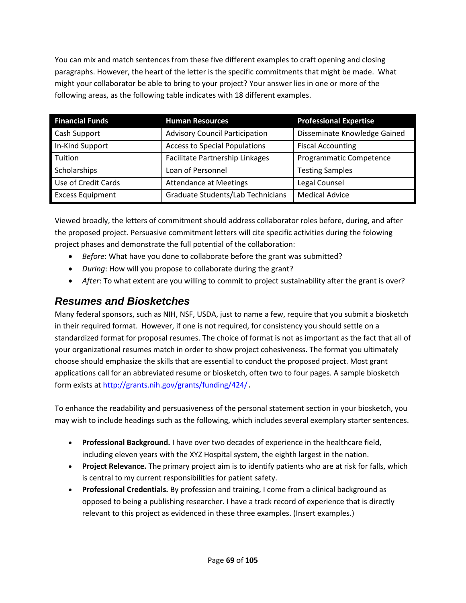You can mix and match sentences from these five different examples to craft opening and closing paragraphs. However, the heart of the letter is the specific commitments that might be made. What might your collaborator be able to bring to your project? Your answer lies in one or more of the following areas, as the following table indicates with 18 different examples.

| <b>Financial Funds</b>  | <b>Human Resources</b>                 | <b>Professional Expertise</b> |
|-------------------------|----------------------------------------|-------------------------------|
| Cash Support            | <b>Advisory Council Participation</b>  | Disseminate Knowledge Gained  |
| In-Kind Support         | <b>Access to Special Populations</b>   | <b>Fiscal Accounting</b>      |
| Tuition                 | <b>Facilitate Partnership Linkages</b> | Programmatic Competence       |
| Scholarships            | Loan of Personnel                      | <b>Testing Samples</b>        |
| Use of Credit Cards     | <b>Attendance at Meetings</b>          | Legal Counsel                 |
| <b>Excess Equipment</b> | Graduate Students/Lab Technicians      | <b>Medical Advice</b>         |

Viewed broadly, the letters of commitment should address collaborator roles before, during, and after the proposed project. Persuasive commitment letters will cite specific activities during the folowing project phases and demonstrate the full potential of the collaboration:

- *Before*: What have you done to collaborate before the grant was submitted?
- *During*: How will you propose to collaborate during the grant?
- *After*: To what extent are you willing to commit to project sustainability after the grant is over?

#### *Resumes and Biosketches*

Many federal sponsors, such as NIH, NSF, USDA, just to name a few, require that you submit a biosketch in their required format. However, if one is not required, for consistency you should settle on a standardized format for proposal resumes. The choice of format is not as important as the fact that all of your organizational resumes match in order to show project cohesiveness. The format you ultimately choose should emphasize the skills that are essential to conduct the proposed project. Most grant applications call for an abbreviated resume or biosketch, often two to four pages. A sample biosketch form exists at<http://grants.nih.gov/grants/funding/424/>.

To enhance the readability and persuasiveness of the personal statement section in your biosketch, you may wish to include headings such as the following, which includes several exemplary starter sentences.

- **Professional Background.** I have over two decades of experience in the healthcare field, including eleven years with the XYZ Hospital system, the eighth largest in the nation.
- **Project Relevance.** The primary project aim is to identify patients who are at risk for falls, which is central to my current responsibilities for patient safety.
- **Professional Credentials.** By profession and training, I come from a clinical background as opposed to being a publishing researcher. I have a track record of experience that is directly relevant to this project as evidenced in these three examples. (Insert examples.)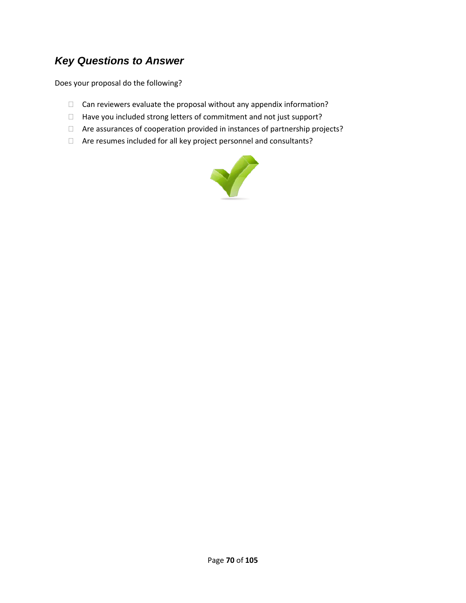### *Key Questions to Answer*

Does your proposal do the following?

- $\Box$  Can reviewers evaluate the proposal without any appendix information?
- $\Box$  Have you included strong letters of commitment and not just support?
- $\Box$  Are assurances of cooperation provided in instances of partnership projects?
- Are resumes included for all key project personnel and consultants?

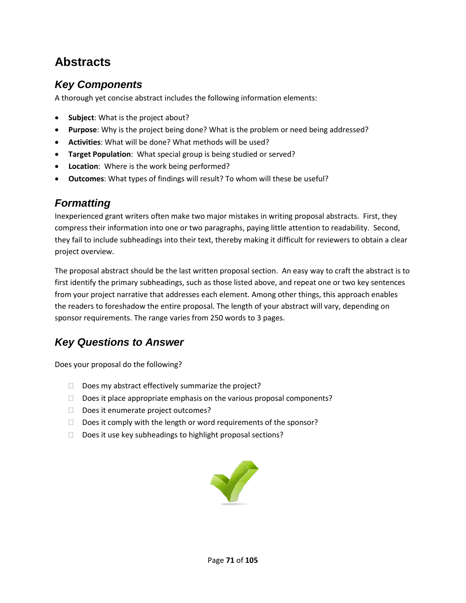# **Abstracts**

### *Key Components*

A thorough yet concise abstract includes the following information elements:

- **Subject**: What is the project about?
- **Purpose**: Why is the project being done? What is the problem or need being addressed?
- **Activities**: What will be done? What methods will be used?
- **Target Population**: What special group is being studied or served?
- **Location**: Where is the work being performed?
- **Outcomes**: What types of findings will result? To whom will these be useful?

#### *Formatting*

Inexperienced grant writers often make two major mistakes in writing proposal abstracts. First, they compress their information into one or two paragraphs, paying little attention to readability. Second, they fail to include subheadings into their text, thereby making it difficult for reviewers to obtain a clear project overview.

The proposal abstract should be the last written proposal section. An easy way to craft the abstract is to first identify the primary subheadings, such as those listed above, and repeat one or two key sentences from your project narrative that addresses each element. Among other things, this approach enables the readers to foreshadow the entire proposal. The length of your abstract will vary, depending on sponsor requirements. The range varies from 250 words to 3 pages.

## *Key Questions to Answer*

Does your proposal do the following?

- $\Box$  Does my abstract effectively summarize the project?
- $\Box$  Does it place appropriate emphasis on the various proposal components?
- $\Box$  Does it enumerate project outcomes?
- $\Box$  Does it comply with the length or word requirements of the sponsor?
- $\Box$  Does it use key subheadings to highlight proposal sections?

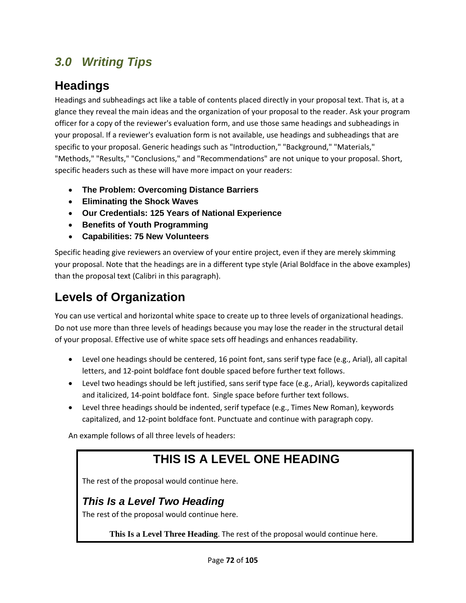## *3.0 Writing Tips*

## **Headings**

Headings and subheadings act like a table of contents placed directly in your proposal text. That is, at a glance they reveal the main ideas and the organization of your proposal to the reader. Ask your program officer for a copy of the reviewer's evaluation form, and use those same headings and subheadings in your proposal. If a reviewer's evaluation form is not available, use headings and subheadings that are specific to your proposal. Generic headings such as "Introduction," "Background," "Materials," "Methods," "Results," "Conclusions," and "Recommendations" are not unique to your proposal. Short, specific headers such as these will have more impact on your readers:

- **The Problem: Overcoming Distance Barriers**
- **Eliminating the Shock Waves**
- **Our Credentials: 125 Years of National Experience**
- **Benefits of Youth Programming**
- **Capabilities: 75 New Volunteers**

Specific heading give reviewers an overview of your entire project, even if they are merely skimming your proposal. Note that the headings are in a different type style (Arial Boldface in the above examples) than the proposal text (Calibri in this paragraph).

# **Levels of Organization**

You can use vertical and horizontal white space to create up to three levels of organizational headings. Do not use more than three levels of headings because you may lose the reader in the structural detail of your proposal. Effective use of white space sets off headings and enhances readability.

- Level one headings should be centered, 16 point font, sans serif type face (e.g., Arial), all capital letters, and 12-point boldface font double spaced before further text follows.
- Level two headings should be left justified, sans serif type face (e.g., Arial), keywords capitalized and italicized, 14-point boldface font. Single space before further text follows.
- Level three headings should be indented, serif typeface (e.g., Times New Roman), keywords capitalized, and 12-point boldface font. Punctuate and continue with paragraph copy.

An example follows of all three levels of headers:

# **THIS IS A LEVEL ONE HEADING**

The rest of the proposal would continue here.

#### *This Is a Level Two Heading*

The rest of the proposal would continue here.

**This Is a Level Three Heading**. The rest of the proposal would continue here.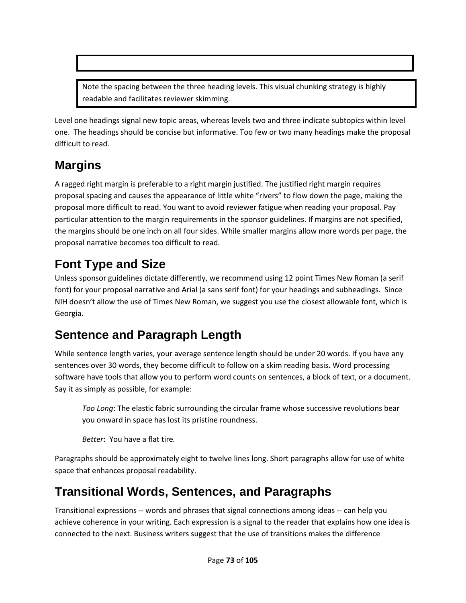Note the spacing between the three heading levels. This visual chunking strategy is highly readable and facilitates reviewer skimming.

Level one headings signal new topic areas, whereas levels two and three indicate subtopics within level one. The headings should be concise but informative. Too few or two many headings make the proposal difficult to read.

# **Margins**

A ragged right margin is preferable to a right margin justified. The justified right margin requires proposal spacing and causes the appearance of little white "rivers" to flow down the page, making the proposal more difficult to read. You want to avoid reviewer fatigue when reading your proposal. Pay particular attention to the margin requirements in the sponsor guidelines. If margins are not specified, the margins should be one inch on all four sides. While smaller margins allow more words per page, the proposal narrative becomes too difficult to read.

# **Font Type and Size**

Unless sponsor guidelines dictate differently, we recommend using 12 point Times New Roman (a serif font) for your proposal narrative and Arial (a sans serif font) for your headings and subheadings. Since NIH doesn't allow the use of Times New Roman, we suggest you use the closest allowable font, which is Georgia.

# **Sentence and Paragraph Length**

While sentence length varies, your average sentence length should be under 20 words. If you have any sentences over 30 words, they become difficult to follow on a skim reading basis. Word processing software have tools that allow you to perform word counts on sentences, a block of text, or a document. Say it as simply as possible, for example:

*Too Long*: The elastic fabric surrounding the circular frame whose successive revolutions bear you onward in space has lost its pristine roundness.

*Better*: You have a flat tire*.*

Paragraphs should be approximately eight to twelve lines long. Short paragraphs allow for use of white space that enhances proposal readability.

# **Transitional Words, Sentences, and Paragraphs**

Transitional expressions -- words and phrases that signal connections among ideas -- can help you achieve coherence in your writing. Each expression is a signal to the reader that explains how one idea is connected to the next. Business writers suggest that the use of transitions makes the difference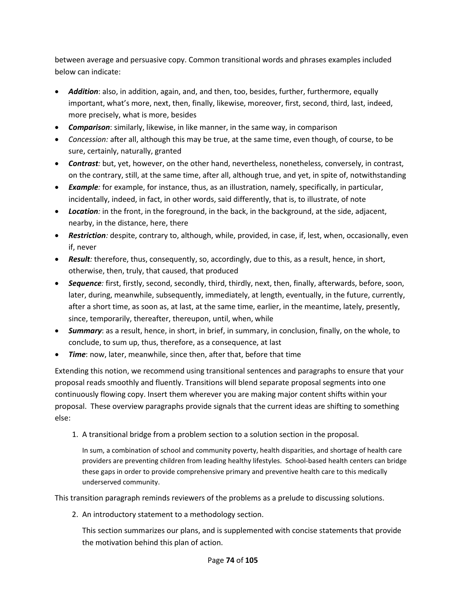between average and persuasive copy. Common transitional words and phrases examples included below can indicate:

- *Addition*: also, in addition, again, and, and then, too, besides, further, furthermore, equally important, what's more, next, then, finally, likewise, moreover, first, second, third, last, indeed, more precisely, what is more, besides
- *Comparison*: similarly, likewise, in like manner, in the same way, in comparison
- *Concession:* after all, although this may be true, at the same time, even though, of course, to be sure, certainly, naturally, granted
- *Contrast:* but, yet, however, on the other hand, nevertheless, nonetheless, conversely, in contrast, on the contrary, still, at the same time, after all, although true, and yet, in spite of, notwithstanding
- *Example:* for example, for instance, thus, as an illustration, namely, specifically, in particular, incidentally, indeed, in fact, in other words, said differently, that is, to illustrate, of note
- *Location:* in the front, in the foreground, in the back, in the background, at the side, adjacent, nearby, in the distance, here, there
- *Restriction:* despite, contrary to, although, while, provided, in case, if, lest, when, occasionally, even if, never
- *Result:* therefore, thus, consequently, so, accordingly, due to this, as a result, hence, in short, otherwise, then, truly, that caused, that produced
- *Sequence:* first, firstly, second, secondly, third, thirdly, next, then, finally, afterwards, before, soon, later, during, meanwhile, subsequently, immediately, at length, eventually, in the future, currently, after a short time, as soon as, at last, at the same time, earlier, in the meantime, lately, presently, since, temporarily, thereafter, thereupon, until, when, while
- *Summary*: as a result, hence, in short, in brief, in summary, in conclusion, finally, on the whole, to conclude, to sum up, thus, therefore, as a consequence, at last
- *Time*: now, later, meanwhile, since then, after that, before that time

Extending this notion, we recommend using transitional sentences and paragraphs to ensure that your proposal reads smoothly and fluently. Transitions will blend separate proposal segments into one continuously flowing copy. Insert them wherever you are making major content shifts within your proposal. These overview paragraphs provide signals that the current ideas are shifting to something else:

1. A transitional bridge from a problem section to a solution section in the proposal.

In sum, a combination of school and community poverty, health disparities, and shortage of health care providers are preventing children from leading healthy lifestyles. School-based health centers can bridge these gaps in order to provide comprehensive primary and preventive health care to this medically underserved community.

This transition paragraph reminds reviewers of the problems as a prelude to discussing solutions.

2. An introductory statement to a methodology section.

This section summarizes our plans, and is supplemented with concise statements that provide the motivation behind this plan of action.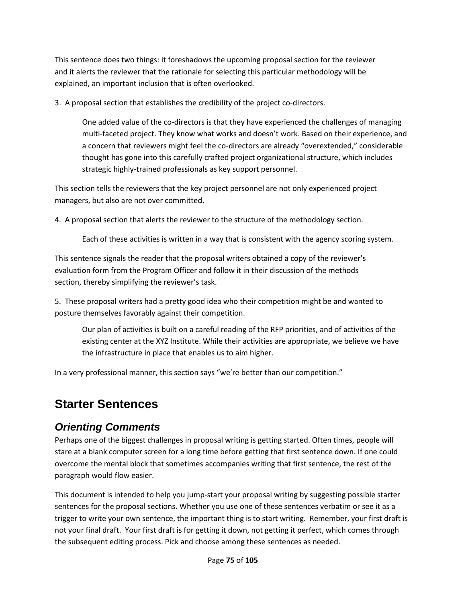This sentence does two things: it foreshadows the upcoming proposal section for the reviewer and it alerts the reviewer that the rationale for selecting this particular methodology will be explained, an important inclusion that is often overlooked.

3. A proposal section that establishes the credibility of the project co-directors.

One added value of the co-directors is that they have experienced the challenges of managing multi-faceted project. They know what works and doesn't work. Based on their experience, and a concern that reviewers might feel the co-directors are already "overextended," considerable thought has gone into this carefully crafted project organizational structure, which includes strategic highly-trained professionals as key support personnel.

This section tells the reviewers that the key project personnel are not only experienced project managers, but also are not over committed.

4. A proposal section that alerts the reviewer to the structure of the methodology section.

Each of these activities is written in a way that is consistent with the agency scoring system*.*

This sentence signals the reader that the proposal writers obtained a copy of the reviewer's evaluation form from the Program Officer and follow it in their discussion of the methods section, thereby simplifying the reviewer's task.

5. These proposal writers had a pretty good idea who their competition might be and wanted to posture themselves favorably against their competition.

Our plan of activities is built on a careful reading of the RFP priorities, and of activities of the existing center at the XYZ Institute. While their activities are appropriate, we believe we have the infrastructure in place that enables us to aim higher.

In a very professional manner, this section says "we're better than our competition."

## **Starter Sentences**

## *Orienting Comments*

Perhaps one of the biggest challenges in proposal writing is getting started. Often times, people will stare at a blank computer screen for a long time before getting that first sentence down. If one could overcome the mental block that sometimes accompanies writing that first sentence, the rest of the paragraph would flow easier.

This document is intended to help you jump-start your proposal writing by suggesting possible starter sentences for the proposal sections. Whether you use one of these sentences verbatim or see it as a trigger to write your own sentence, the important thing is to start writing. Remember, your first draft is not your final draft. Your first draft is for getting it down, not getting it perfect, which comes through the subsequent editing process. Pick and choose among these sentences as needed.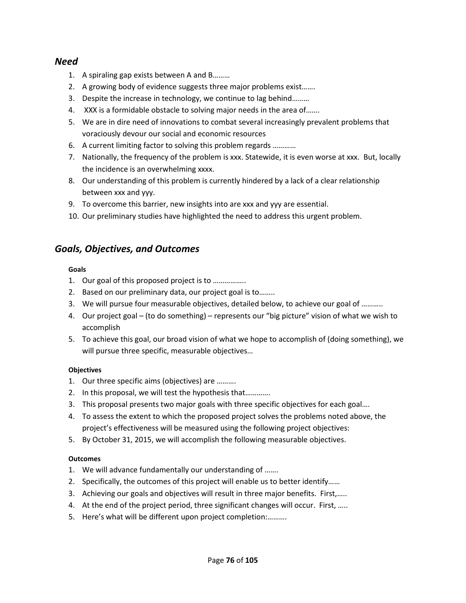### *Need*

- 1. A spiraling gap exists between A and B………
- 2. A growing body of evidence suggests three major problems exist…….
- 3. Despite the increase in technology, we continue to lag behind………
- 4. XXX is a formidable obstacle to solving major needs in the area of…….
- 5. We are in dire need of innovations to combat several increasingly prevalent problems that voraciously devour our social and economic resources
- 6. A current limiting factor to solving this problem regards …………
- 7. Nationally, the frequency of the problem is xxx. Statewide, it is even worse at xxx. But, locally the incidence is an overwhelming xxxx.
- 8. Our understanding of this problem is currently hindered by a lack of a clear relationship between xxx and yyy.
- 9. To overcome this barrier, new insights into are xxx and yyy are essential.
- 10. Our preliminary studies have highlighted the need to address this urgent problem.

### *Goals, Objectives, and Outcomes*

#### **Goals**

- 1. Our goal of this proposed project is to ……………..
- 2. Based on our preliminary data, our project goal is to……..
- 3. We will pursue four measurable objectives, detailed below, to achieve our goal of ………..
- 4. Our project goal (to do something) represents our "big picture" vision of what we wish to accomplish
- 5. To achieve this goal, our broad vision of what we hope to accomplish of (doing something), we will pursue three specific, measurable objectives…

### **Objectives**

- 1. Our three specific aims (objectives) are ……….
- 2. In this proposal, we will test the hypothesis that………….
- 3. This proposal presents two major goals with three specific objectives for each goal….
- 4. To assess the extent to which the proposed project solves the problems noted above, the project's effectiveness will be measured using the following project objectives:
- 5. By October 31, 2015, we will accomplish the following measurable objectives.

### **Outcomes**

- 1. We will advance fundamentally our understanding of …….
- 2. Specifically, the outcomes of this project will enable us to better identify……
- 3. Achieving our goals and objectives will result in three major benefits. First,…..
- 4. At the end of the project period, three significant changes will occur. First, .....
- 5. Here's what will be different upon project completion:……….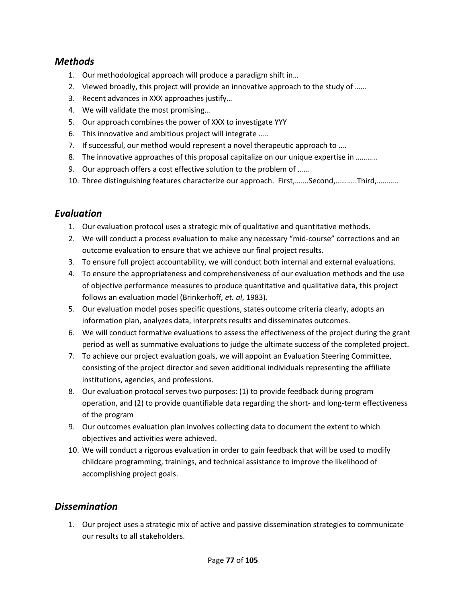### *Methods*

- 1. Our methodological approach will produce a paradigm shift in…
- 2. Viewed broadly, this project will provide an innovative approach to the study of ……
- 3. Recent advances in XXX approaches justify…
- 4. We will validate the most promising…
- 5. Our approach combines the power of XXX to investigate YYY
- 6. This innovative and ambitious project will integrate …..
- 7. If successful, our method would represent a novel therapeutic approach to ....
- 8. The innovative approaches of this proposal capitalize on our unique expertise in ..........
- 9. Our approach offers a cost effective solution to the problem of ……
- 10. Three distinguishing features characterize our approach. First,…….Second,………..Third,………..

### *Evaluation*

- 1. Our evaluation protocol uses a strategic mix of qualitative and quantitative methods.
- 2. We will conduct a process evaluation to make any necessary "mid-course" corrections and an outcome evaluation to ensure that we achieve our final project results.
- 3. To ensure full project accountability, we will conduct both internal and external evaluations.
- 4. To ensure the appropriateness and comprehensiveness of our evaluation methods and the use of objective performance measures to produce quantitative and qualitative data, this project follows an evaluation model (Brinkerhoff*, et. al*, 1983).
- 5. Our evaluation model poses specific questions, states outcome criteria clearly, adopts an information plan, analyzes data, interprets results and disseminates outcomes.
- 6. We will conduct formative evaluations to assess the effectiveness of the project during the grant period as well as summative evaluations to judge the ultimate success of the completed project.
- 7. To achieve our project evaluation goals, we will appoint an Evaluation Steering Committee, consisting of the project director and seven additional individuals representing the affiliate institutions, agencies, and professions.
- 8. Our evaluation protocol serves two purposes: (1) to provide feedback during program operation, and (2) to provide quantifiable data regarding the short- and long-term effectiveness of the program
- 9. Our outcomes evaluation plan involves collecting data to document the extent to which objectives and activities were achieved.
- 10. We will conduct a rigorous evaluation in order to gain feedback that will be used to modify childcare programming, trainings, and technical assistance to improve the likelihood of accomplishing project goals.

## *Dissemination*

1. Our project uses a strategic mix of active and passive dissemination strategies to communicate our results to all stakeholders.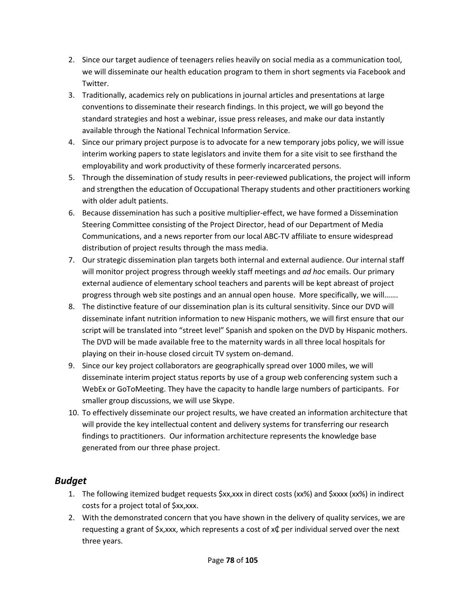- 2. Since our target audience of teenagers relies heavily on social media as a communication tool, we will disseminate our health education program to them in short segments via Facebook and Twitter.
- 3. Traditionally, academics rely on publications in journal articles and presentations at large conventions to disseminate their research findings. In this project, we will go beyond the standard strategies and host a webinar, issue press releases, and make our data instantly available through the National Technical Information Service.
- 4. Since our primary project purpose is to advocate for a new temporary jobs policy, we will issue interim working papers to state legislators and invite them for a site visit to see firsthand the employability and work productivity of these formerly incarcerated persons.
- 5. Through the dissemination of study results in peer-reviewed publications, the project will inform and strengthen the education of Occupational Therapy students and other practitioners working with older adult patients.
- 6. Because dissemination has such a positive multiplier-effect, we have formed a Dissemination Steering Committee consisting of the Project Director, head of our Department of Media Communications, and a news reporter from our local ABC-TV affiliate to ensure widespread distribution of project results through the mass media.
- 7. Our strategic dissemination plan targets both internal and external audience. Our internal staff will monitor project progress through weekly staff meetings and *ad hoc* emails. Our primary external audience of elementary school teachers and parents will be kept abreast of project progress through web site postings and an annual open house. More specifically, we will…….
- 8. The distinctive feature of our dissemination plan is its cultural sensitivity. Since our DVD will disseminate infant nutrition information to new Hispanic mothers, we will first ensure that our script will be translated into "street level" Spanish and spoken on the DVD by Hispanic mothers. The DVD will be made available free to the maternity wards in all three local hospitals for playing on their in-house closed circuit TV system on-demand.
- 9. Since our key project collaborators are geographically spread over 1000 miles, we will disseminate interim project status reports by use of a group web conferencing system such a WebEx or GoToMeeting. They have the capacity to handle large numbers of participants. For smaller group discussions, we will use Skype.
- 10. To effectively disseminate our project results, we have created an information architecture that will provide the key intellectual content and delivery systems for transferring our research findings to practitioners. Our information architecture represents the knowledge base generated from our three phase project.

## *Budget*

- 1. The following itemized budget requests \$xx,xxx in direct costs (xx%) and \$xxxx (xx%) in indirect costs for a project total of \$xx,xxx.
- 2. With the demonstrated concern that you have shown in the delivery of quality services, we are requesting a grant of  $\zeta x$ , xxx, which represents a cost of  $x\mathcal{L}$  per individual served over the next three years.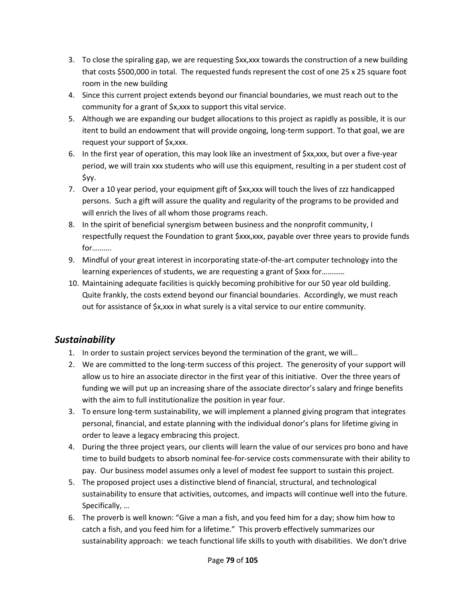- 3. To close the spiraling gap, we are requesting \$xx,xxx towards the construction of a new building that costs \$500,000 in total. The requested funds represent the cost of one 25 x 25 square foot room in the new building
- 4. Since this current project extends beyond our financial boundaries, we must reach out to the community for a grant of \$x,xxx to support this vital service.
- 5. Although we are expanding our budget allocations to this project as rapidly as possible, it is our itent to build an endowment that will provide ongoing, long-term support. To that goal, we are request your support of \$x,xxx.
- 6. In the first year of operation, this may look like an investment of \$xx,xxx, but over a five-year period, we will train xxx students who will use this equipment, resulting in a per student cost of \$yy.
- 7. Over a 10 year period, your equipment gift of \$xx,xxx will touch the lives of zzz handicapped persons. Such a gift will assure the quality and regularity of the programs to be provided and will enrich the lives of all whom those programs reach.
- 8. In the spirit of beneficial synergism between business and the nonprofit community, I respectfully request the Foundation to grant \$xxx,xxx, payable over three years to provide funds for……….
- 9. Mindful of your great interest in incorporating state-of-the-art computer technology into the learning experiences of students, we are requesting a grant of \$xxx for…………
- 10. Maintaining adequate facilities is quickly becoming prohibitive for our 50 year old building. Quite frankly, the costs extend beyond our financial boundaries. Accordingly, we must reach out for assistance of \$x,xxx in what surely is a vital service to our entire community.

### *Sustainability*

- 1. In order to sustain project services beyond the termination of the grant, we will…
- 2. We are committed to the long-term success of this project. The generosity of your support will allow us to hire an associate director in the first year of this initiative. Over the three years of funding we will put up an increasing share of the associate director's salary and fringe benefits with the aim to full institutionalize the position in year four.
- 3. To ensure long-term sustainability, we will implement a planned giving program that integrates personal, financial, and estate planning with the individual donor's plans for lifetime giving in order to leave a legacy embracing this project.
- 4. During the three project years, our clients will learn the value of our services pro bono and have time to build budgets to absorb nominal fee-for-service costs commensurate with their ability to pay. Our business model assumes only a level of modest fee support to sustain this project.
- 5. The proposed project uses a distinctive blend of financial, structural, and technological sustainability to ensure that activities, outcomes, and impacts will continue well into the future. Specifically, …
- 6. The proverb is well known: "Give a man a fish, and you feed him for a day; show him how to catch a fish, and you feed him for a lifetime." This proverb effectively summarizes our sustainability approach: we teach functional life skills to youth with disabilities. We don't drive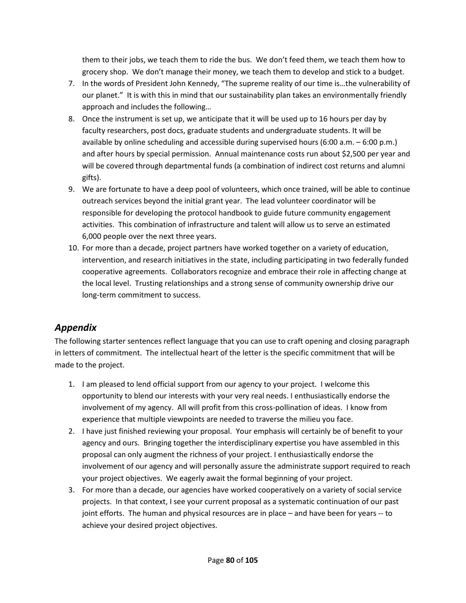them to their jobs, we teach them to ride the bus. We don't feed them, we teach them how to grocery shop. We don't manage their money, we teach them to develop and stick to a budget.

- 7. In the words of President John Kennedy, "The supreme reality of our time is…the vulnerability of our planet." It is with this in mind that our sustainability plan takes an environmentally friendly approach and includes the following…
- 8. Once the instrument is set up, we anticipate that it will be used up to 16 hours per day by faculty researchers, post docs, graduate students and undergraduate students. It will be available by online scheduling and accessible during supervised hours (6:00 a.m. – 6:00 p.m.) and after hours by special permission. Annual maintenance costs run about \$2,500 per year and will be covered through departmental funds (a combination of indirect cost returns and alumni gifts).
- 9. We are fortunate to have a deep pool of volunteers, which once trained, will be able to continue outreach services beyond the initial grant year. The lead volunteer coordinator will be responsible for developing the protocol handbook to guide future community engagement activities. This combination of infrastructure and talent will allow us to serve an estimated 6,000 people over the next three years.
- 10. For more than a decade, project partners have worked together on a variety of education, intervention, and research initiatives in the state, including participating in two federally funded cooperative agreements. Collaborators recognize and embrace their role in affecting change at the local level. Trusting relationships and a strong sense of community ownership drive our long-term commitment to success.

## *Appendix*

The following starter sentences reflect language that you can use to craft opening and closing paragraph in letters of commitment. The intellectual heart of the letter is the specific commitment that will be made to the project.

- 1. I am pleased to lend official support from our agency to your project. I welcome this opportunity to blend our interests with your very real needs. I enthusiastically endorse the involvement of my agency. All will profit from this cross-pollination of ideas. I know from experience that multiple viewpoints are needed to traverse the milieu you face.
- 2. I have just finished reviewing your proposal. Your emphasis will certainly be of benefit to your agency and ours. Bringing together the interdisciplinary expertise you have assembled in this proposal can only augment the richness of your project. I enthusiastically endorse the involvement of our agency and will personally assure the administrate support required to reach your project objectives. We eagerly await the formal beginning of your project.
- 3. For more than a decade, our agencies have worked cooperatively on a variety of social service projects. In that context, I see your current proposal as a systematic continuation of our past joint efforts. The human and physical resources are in place – and have been for years -- to achieve your desired project objectives.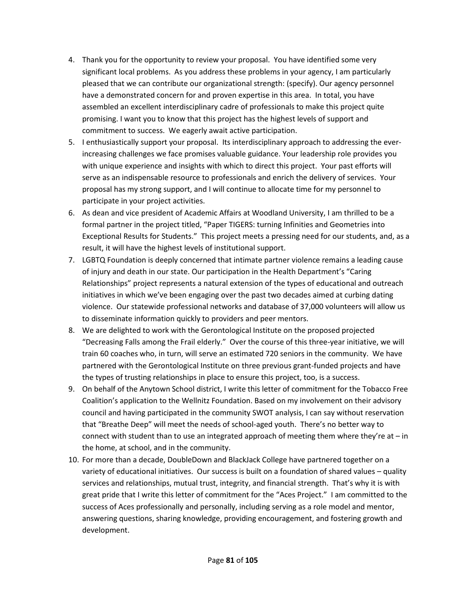- 4. Thank you for the opportunity to review your proposal. You have identified some very significant local problems. As you address these problems in your agency, I am particularly pleased that we can contribute our organizational strength: (specify). Our agency personnel have a demonstrated concern for and proven expertise in this area. In total, you have assembled an excellent interdisciplinary cadre of professionals to make this project quite promising. I want you to know that this project has the highest levels of support and commitment to success. We eagerly await active participation.
- 5. I enthusiastically support your proposal. Its interdisciplinary approach to addressing the everincreasing challenges we face promises valuable guidance. Your leadership role provides you with unique experience and insights with which to direct this project. Your past efforts will serve as an indispensable resource to professionals and enrich the delivery of services. Your proposal has my strong support, and I will continue to allocate time for my personnel to participate in your project activities.
- 6. As dean and vice president of Academic Affairs at Woodland University, I am thrilled to be a formal partner in the project titled, "Paper TIGERS: turning Infinities and Geometries into Exceptional Results for Students." This project meets a pressing need for our students, and, as a result, it will have the highest levels of institutional support.
- 7. LGBTQ Foundation is deeply concerned that intimate partner violence remains a leading cause of injury and death in our state. Our participation in the Health Department's "Caring Relationships" project represents a natural extension of the types of educational and outreach initiatives in which we've been engaging over the past two decades aimed at curbing dating violence. Our statewide professional networks and database of 37,000 volunteers will allow us to disseminate information quickly to providers and peer mentors.
- 8. We are delighted to work with the Gerontological Institute on the proposed projected "Decreasing Falls among the Frail elderly." Over the course of this three-year initiative, we will train 60 coaches who, in turn, will serve an estimated 720 seniors in the community. We have partnered with the Gerontological Institute on three previous grant-funded projects and have the types of trusting relationships in place to ensure this project, too, is a success.
- 9. On behalf of the Anytown School district, I write this letter of commitment for the Tobacco Free Coalition's application to the Wellnitz Foundation. Based on my involvement on their advisory council and having participated in the community SWOT analysis, I can say without reservation that "Breathe Deep" will meet the needs of school-aged youth. There's no better way to connect with student than to use an integrated approach of meeting them where they're at  $-$  in the home, at school, and in the community.
- 10. For more than a decade, DoubleDown and BlackJack College have partnered together on a variety of educational initiatives. Our success is built on a foundation of shared values – quality services and relationships, mutual trust, integrity, and financial strength. That's why it is with great pride that I write this letter of commitment for the "Aces Project." I am committed to the success of Aces professionally and personally, including serving as a role model and mentor, answering questions, sharing knowledge, providing encouragement, and fostering growth and development.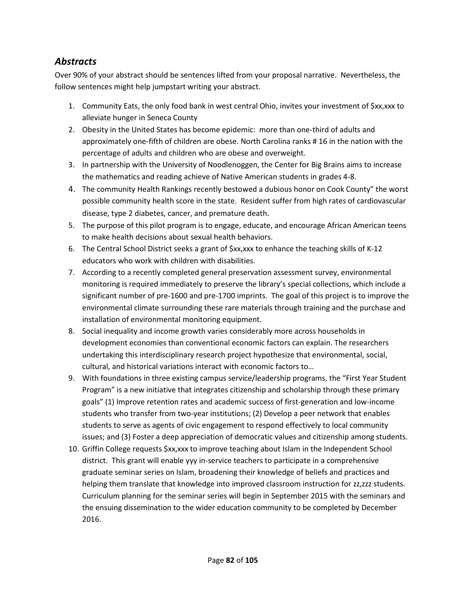### *Abstracts*

Over 90% of your abstract should be sentences lifted from your proposal narrative. Nevertheless, the follow sentences might help jumpstart writing your abstract.

- 1. Community Eats, the only food bank in west central Ohio, invites your investment of \$xx,xxx to alleviate hunger in Seneca County
- 2. Obesity in the United States has become epidemic: more than one-third of adults and approximately one-fifth of children are obese. North Carolina ranks # 16 in the nation with the percentage of adults and children who are obese and overweight.
- 3. In partnership with the University of Noodlenoggen, the Center for Big Brains aims to increase the mathematics and reading achieve of Native American students in grades 4-8.
- 4. The community Health Rankings recently bestowed a dubious honor on Cook County" the worst possible community health score in the state. Resident suffer from high rates of cardiovascular disease, type 2 diabetes, cancer, and premature death.
- 5. The purpose of this pilot program is to engage, educate, and encourage African American teens to make health decisions about sexual health behaviors.
- 6. The Central School District seeks a grant of \$xx,xxx to enhance the teaching skills of K-12 educators who work with children with disabilities.
- 7. According to a recently completed general preservation assessment survey, environmental monitoring is required immediately to preserve the library's special collections, which include a significant number of pre-1600 and pre-1700 imprints. The goal of this project is to improve the environmental climate surrounding these rare materials through training and the purchase and installation of environmental monitoring equipment.
- 8. Social inequality and income growth varies considerably more across households in development economies than conventional economic factors can explain. The researchers undertaking this interdisciplinary research project hypothesize that environmental, social, cultural, and historical variations interact with economic factors to…
- 9. With foundations in three existing campus service/leadership programs, the "First Year Student Program" is a new initiative that integrates citizenship and scholarship through these primary goals" (1) Improve retention rates and academic success of first-generation and low-income students who transfer from two-year institutions; (2) Develop a peer network that enables students to serve as agents of civic engagement to respond effectively to local community issues; and (3) Foster a deep appreciation of democratic values and citizenship among students.
- 10. Griffin College requests \$xx,xxx to improve teaching about Islam in the Independent School district. This grant will enable yyy in-service teachers to participate in a comprehensive graduate seminar series on Islam, broadening their knowledge of beliefs and practices and helping them translate that knowledge into improved classroom instruction for zz,zzz students. Curriculum planning for the seminar series will begin in September 2015 with the seminars and the ensuing dissemination to the wider education community to be completed by December 2016.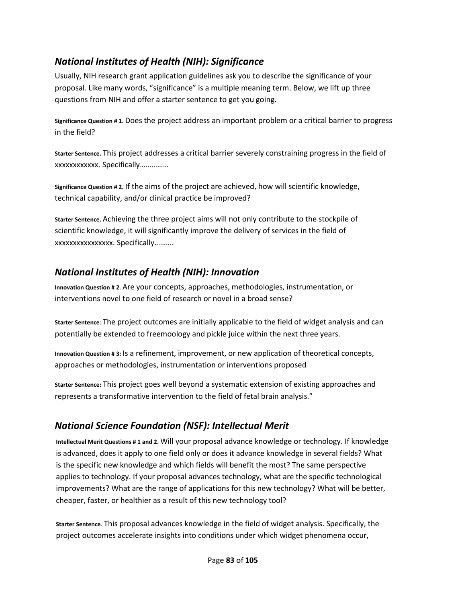## *National Institutes of Health (NIH): Significance*

Usually, NIH research grant application guidelines ask you to describe the significance of your proposal. Like many words, "significance" is a multiple meaning term. Below, we lift up three questions from NIH and offer a starter sentence to get you going.

**Significance Question # 1.** Does the project address an important problem or a critical barrier to progress in the field?

**Starter Sentence.** This project addresses a critical barrier severely constraining progress in the field of xxxxxxxxxxxx. Specifically……………

**Significance Question # 2.** If the aims of the project are achieved, how will scientific knowledge, technical capability, and/or clinical practice be improved?

**Starter Sentence.** Achieving the three project aims will not only contribute to the stockpile of scientific knowledge, it will significantly improve the delivery of services in the field of xxxxxxxxxxxxxxxx. Specifically……….

### *National Institutes of Health (NIH): Innovation*

**Innovation Question # 2**. Are your concepts, approaches, methodologies, instrumentation, or interventions novel to one field of research or novel in a broad sense?

**Starter Sentence**: The project outcomes are initially applicable to the field of widget analysis and can potentially be extended to freemoology and pickle juice within the next three years.

**Innovation Question # 3:** Is a refinement, improvement, or new application of theoretical concepts, approaches or methodologies, instrumentation or interventions proposed

**Starter Sentence:** This project goes well beyond a systematic extension of existing approaches and represents a transformative intervention to the field of fetal brain analysis."

## *National Science Foundation (NSF): Intellectual Merit*

**Intellectual Merit Questions # 1 and 2.** Will your proposal advance knowledge or technology. If knowledge is advanced, does it apply to one field only or does it advance knowledge in several fields? What is the specific new knowledge and which fields will benefit the most? The same perspective applies to technology. If your proposal advances technology, what are the specific technological improvements? What are the range of applications for this new technology? What will be better, cheaper, faster, or healthier as a result of this new technology tool?

**Starter Sentence**. This proposal advances knowledge in the field of widget analysis. Specifically, the project outcomes accelerate insights into conditions under which widget phenomena occur,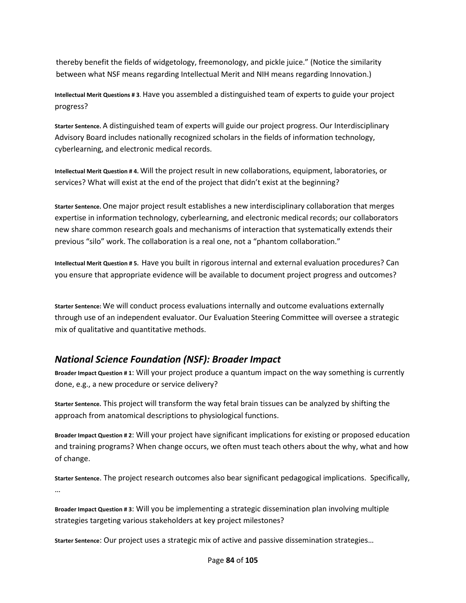thereby benefit the fields of widgetology, freemonology, and pickle juice." (Notice the similarity between what NSF means regarding Intellectual Merit and NIH means regarding Innovation.)

**Intellectual Merit Questions # 3**. Have you assembled a distinguished team of experts to guide your project progress?

**Starter Sentence.** A distinguished team of experts will guide our project progress. Our Interdisciplinary Advisory Board includes nationally recognized scholars in the fields of information technology, cyberlearning, and electronic medical records.

**Intellectual Merit Question # 4.** Will the project result in new collaborations, equipment, laboratories, or services? What will exist at the end of the project that didn't exist at the beginning?

**Starter Sentence.** One major project result establishes a new interdisciplinary collaboration that merges expertise in information technology, cyberlearning, and electronic medical records; our collaborators new share common research goals and mechanisms of interaction that systematically extends their previous "silo" work. The collaboration is a real one, not a "phantom collaboration."

**Intellectual Merit Question # 5.** Have you built in rigorous internal and external evaluation procedures? Can you ensure that appropriate evidence will be available to document project progress and outcomes?

**Starter Sentence:** We will conduct process evaluations internally and outcome evaluations externally through use of an independent evaluator. Our Evaluation Steering Committee will oversee a strategic mix of qualitative and quantitative methods.

### *National Science Foundation (NSF): Broader Impact*

**Broader Impact Question # 1**: Will your project produce a quantum impact on the way something is currently done, e.g., a new procedure or service delivery?

**Starter Sentence.** This project will transform the way fetal brain tissues can be analyzed by shifting the approach from anatomical descriptions to physiological functions.

**Broader Impact Question # 2**: Will your project have significant implications for existing or proposed education and training programs? When change occurs, we often must teach others about the why, what and how of change.

**Starter Sentence**. The project research outcomes also bear significant pedagogical implications. Specifically, …

**Broader Impact Question # 3**: Will you be implementing a strategic dissemination plan involving multiple strategies targeting various stakeholders at key project milestones?

**Starter Sentence**: Our project uses a strategic mix of active and passive dissemination strategies…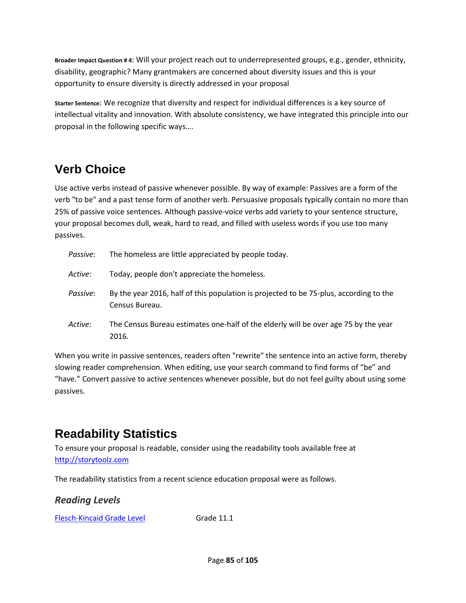**Broader Impact Question # 4**: Will your project reach out to underrepresented groups, e.g., gender, ethnicity, disability, geographic? Many grantmakers are concerned about diversity issues and this is your opportunity to ensure diversity is directly addressed in your proposal

**Starter Sentence**: We recognize that diversity and respect for individual differences is a key source of intellectual vitality and innovation. With absolute consistency, we have integrated this principle into our proposal in the following specific ways….

## **Verb Choice**

Use active verbs instead of passive whenever possible. By way of example: Passives are a form of the verb "to be" and a past tense form of another verb. Persuasive proposals typically contain no more than 25% of passive voice sentences. Although passive-voice verbs add variety to your sentence structure, your proposal becomes dull, weak, hard to read, and filled with useless words if you use too many passives.

| Passive: | The homeless are little appreciated by people today.                                                     |
|----------|----------------------------------------------------------------------------------------------------------|
| Active:  | Today, people don't appreciate the homeless.                                                             |
| Passive: | By the year 2016, half of this population is projected to be 75-plus, according to the<br>Census Bureau. |
| Active:  | The Census Bureau estimates one-half of the elderly will be over age 75 by the year<br>2016.             |

When you write in passive sentences, readers often "rewrite" the sentence into an active form, thereby slowing reader comprehension. When editing, use your search command to find forms of "be" and "have." Convert passive to active sentences whenever possible, but do not feel guilty about using some passives.

# **Readability Statistics**

To ensure your proposal is readable, consider using the readability tools available free at [http://storytoolz.com](http://storytoolz.com/)

The readability statistics from a recent science education proposal were as follows.

### *Reading Levels*

[Flesch-Kincaid Grade Level](http://en.wikipedia.org/wiki/Flesch-Kincaid_Readability_Test) Grade 11.1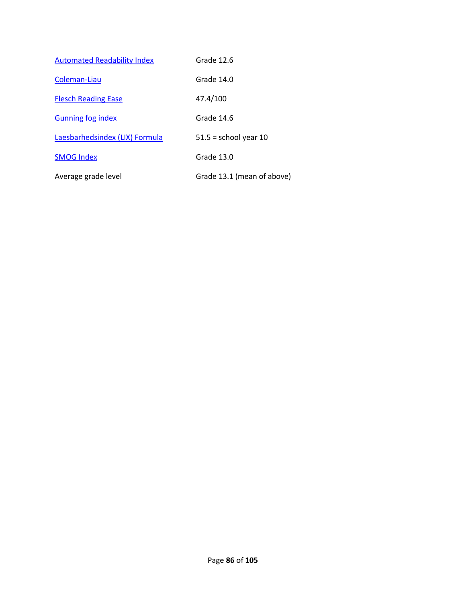| <b>Automated Readability Index</b> | Grade 12.6                 |
|------------------------------------|----------------------------|
| Coleman-Liau                       | Grade 14.0                 |
| <b>Flesch Reading Ease</b>         | 47.4/100                   |
| <b>Gunning fog index</b>           | Grade 14.6                 |
| Laesbarhedsindex (LIX) Formula     | $51.5$ = school year 10    |
| <b>SMOG Index</b>                  | Grade 13.0                 |
| Average grade level                | Grade 13.1 (mean of above) |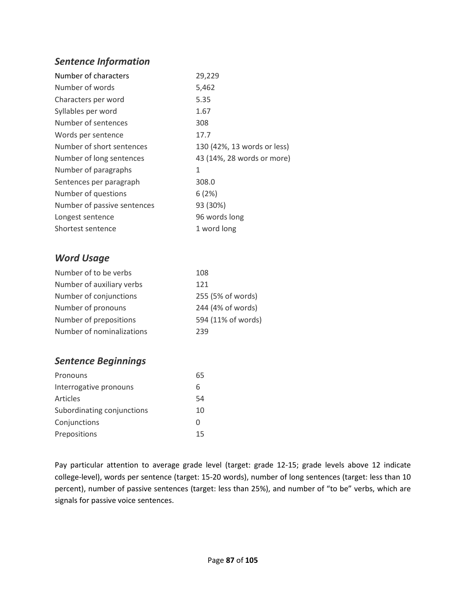## *Sentence Information*

| Number of characters        | 29,229                      |
|-----------------------------|-----------------------------|
| Number of words             | 5,462                       |
| Characters per word         | 5.35                        |
| Syllables per word          | 1.67                        |
| Number of sentences         | 308                         |
| Words per sentence          | 17.7                        |
| Number of short sentences   | 130 (42%, 13 words or less) |
| Number of long sentences    | 43 (14%, 28 words or more)  |
| Number of paragraphs        | 1                           |
| Sentences per paragraph     | 308.0                       |
| Number of questions         | 6(2%)                       |
| Number of passive sentences | 93 (30%)                    |
| Longest sentence            | 96 words long               |
| Shortest sentence           | 1 word long                 |

### *Word Usage*

| Number of to be verbs     | 108                |
|---------------------------|--------------------|
| Number of auxiliary verbs | 121                |
| Number of conjunctions    | 255 (5% of words)  |
| Number of pronouns        | 244 (4% of words)  |
| Number of prepositions    | 594 (11% of words) |
| Number of nominalizations | 239                |

### *Sentence Beginnings*

| 65 |
|----|
| 6  |
| 54 |
| 10 |
| Ω  |
| 15 |
|    |

Pay particular attention to average grade level (target: grade 12-15; grade levels above 12 indicate college-level), words per sentence (target: 15-20 words), number of long sentences (target: less than 10 percent), number of passive sentences (target: less than 25%), and number of "to be" verbs, which are signals for passive voice sentences.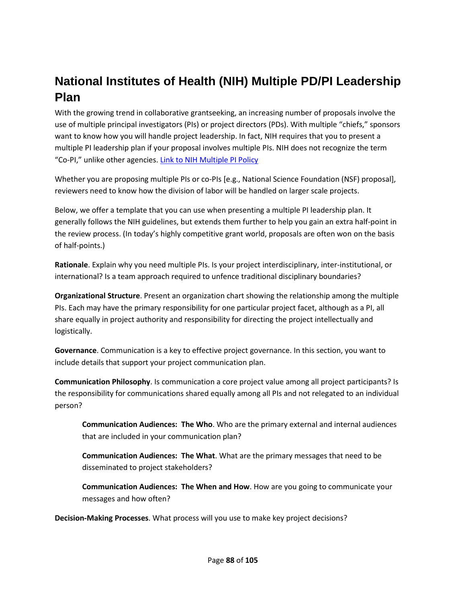# **National Institutes of Health (NIH) Multiple PD/PI Leadership Plan**

With the growing trend in collaborative grantseeking, an increasing number of proposals involve the use of multiple principal investigators (PIs) or project directors (PDs). With multiple "chiefs," sponsors want to know how you will handle project leadership. In fact, NIH requires that you to present a multiple PI leadership plan if your proposal involves multiple PIs. NIH does not recognize the term "Co-PI," unlike other agencies[. Link to NIH Multiple PI Policy](http://grantseeker-tips.c.topica.com/maam6XRabQun0bdJ0r8c/)

Whether you are proposing multiple PIs or co-PIs [e.g., National Science Foundation (NSF) proposal], reviewers need to know how the division of labor will be handled on larger scale projects.

Below, we offer a template that you can use when presenting a multiple PI leadership plan. It generally follows the NIH guidelines, but extends them further to help you gain an extra half-point in the review process. (In today's highly competitive grant world, proposals are often won on the basis of half-points.)

**Rationale**. Explain why you need multiple PIs. Is your project interdisciplinary, inter-institutional, or international? Is a team approach required to unfence traditional disciplinary boundaries?

**Organizational Structure**. Present an organization chart showing the relationship among the multiple PIs. Each may have the primary responsibility for one particular project facet, although as a PI, all share equally in project authority and responsibility for directing the project intellectually and logistically.

**Governance**. Communication is a key to effective project governance. In this section, you want to include details that support your project communication plan.

**Communication Philosophy**. Is communication a core project value among all project participants? Is the responsibility for communications shared equally among all PIs and not relegated to an individual person?

**Communication Audiences: The Who**. Who are the primary external and internal audiences that are included in your communication plan?

**Communication Audiences: The What**. What are the primary messages that need to be disseminated to project stakeholders?

**Communication Audiences: The When and How**. How are you going to communicate your messages and how often?

**Decision-Making Processes**. What process will you use to make key project decisions?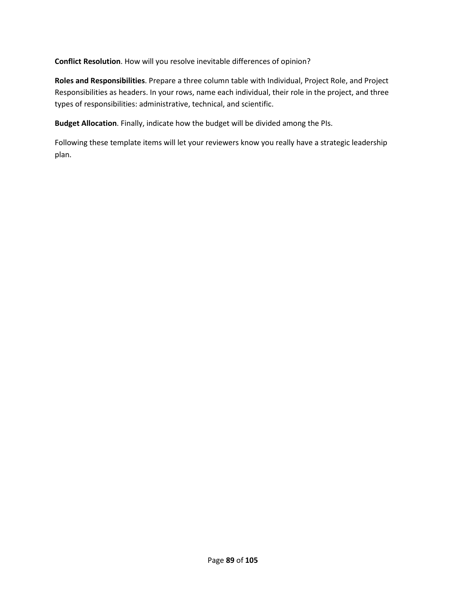**Conflict Resolution**. How will you resolve inevitable differences of opinion?

**Roles and Responsibilities**. Prepare a three column table with Individual, Project Role, and Project Responsibilities as headers. In your rows, name each individual, their role in the project, and three types of responsibilities: administrative, technical, and scientific.

**Budget Allocation**. Finally, indicate how the budget will be divided among the PIs.

Following these template items will let your reviewers know you really have a strategic leadership plan.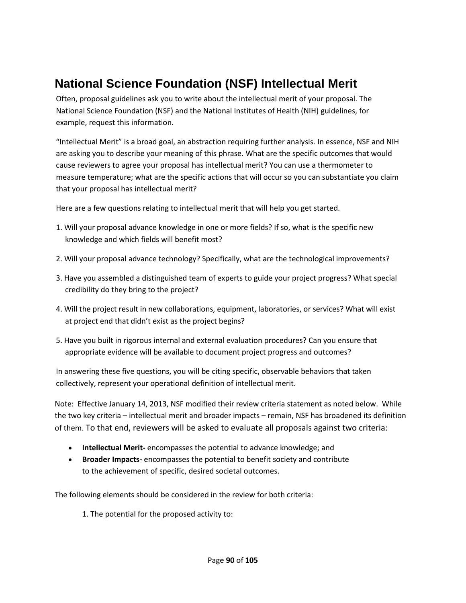## **National Science Foundation (NSF) Intellectual Merit**

Often, proposal guidelines ask you to write about the intellectual merit of your proposal. The National Science Foundation (NSF) and the National Institutes of Health (NIH) guidelines, for example, request this information.

"Intellectual Merit" is a broad goal, an abstraction requiring further analysis. In essence, NSF and NIH are asking you to describe your meaning of this phrase. What are the specific outcomes that would cause reviewers to agree your proposal has intellectual merit? You can use a thermometer to measure temperature; what are the specific actions that will occur so you can substantiate you claim that your proposal has intellectual merit?

Here are a few questions relating to intellectual merit that will help you get started.

- 1. Will your proposal advance knowledge in one or more fields? If so, what is the specific new knowledge and which fields will benefit most?
- 2. Will your proposal advance technology? Specifically, what are the technological improvements?
- 3. Have you assembled a distinguished team of experts to guide your project progress? What special credibility do they bring to the project?
- 4. Will the project result in new collaborations, equipment, laboratories, or services? What will exist at project end that didn't exist as the project begins?
- 5. Have you built in rigorous internal and external evaluation procedures? Can you ensure that appropriate evidence will be available to document project progress and outcomes?

In answering these five questions, you will be citing specific, observable behaviors that taken collectively, represent your operational definition of intellectual merit.

Note: Effective January 14, 2013, NSF modified their review criteria statement as noted below. While the two key criteria – intellectual merit and broader impacts – remain, NSF has broadened its definition of them. To that end, reviewers will be asked to evaluate all proposals against two criteria:

- **Intellectual Merit-** encompasses the potential to advance knowledge; and
- **Broader Impacts-** encompasses the potential to benefit society and contribute to the achievement of specific, desired societal outcomes.

The following elements should be considered in the review for both criteria:

1. The potential for the proposed activity to: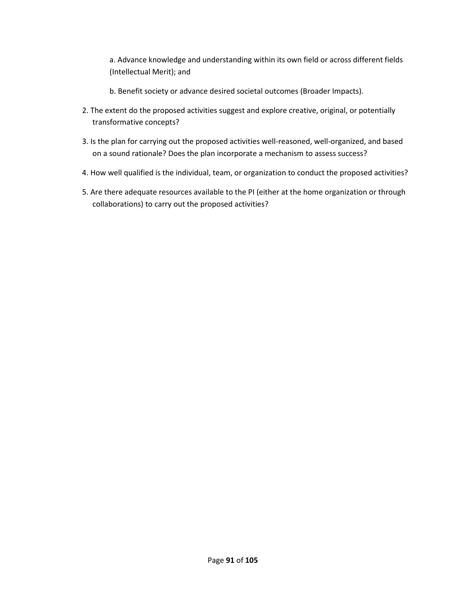a. Advance knowledge and understanding within its own field or across different fields (Intellectual Merit); and

- b. Benefit society or advance desired societal outcomes (Broader Impacts).
- 2. The extent do the proposed activities suggest and explore creative, original, or potentially transformative concepts?
- 3. Is the plan for carrying out the proposed activities well-reasoned, well-organized, and based on a sound rationale? Does the plan incorporate a mechanism to assess success?
- 4. How well qualified is the individual, team, or organization to conduct the proposed activities?
- 5. Are there adequate resources available to the PI (either at the home organization or through collaborations) to carry out the proposed activities?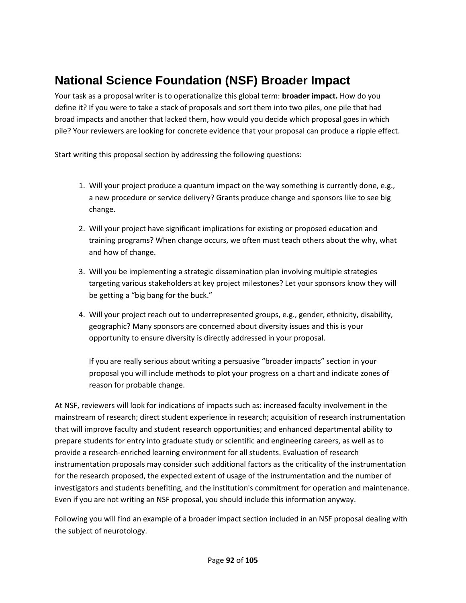# **National Science Foundation (NSF) Broader Impact**

Your task as a proposal writer is to operationalize this global term: **broader impact.** How do you define it? If you were to take a stack of proposals and sort them into two piles, one pile that had broad impacts and another that lacked them, how would you decide which proposal goes in which pile? Your reviewers are looking for concrete evidence that your proposal can produce a ripple effect.

Start writing this proposal section by addressing the following questions:

- 1. Will your project produce a quantum impact on the way something is currently done, e.g., a new procedure or service delivery? Grants produce change and sponsors like to see big change.
- 2. Will your project have significant implications for existing or proposed education and training programs? When change occurs, we often must teach others about the why, what and how of change.
- 3. Will you be implementing a strategic dissemination plan involving multiple strategies targeting various stakeholders at key project milestones? Let your sponsors know they will be getting a "big bang for the buck."
- 4. Will your project reach out to underrepresented groups, e.g., gender, ethnicity, disability, geographic? Many sponsors are concerned about diversity issues and this is your opportunity to ensure diversity is directly addressed in your proposal.

If you are really serious about writing a persuasive "broader impacts" section in your proposal you will include methods to plot your progress on a chart and indicate zones of reason for probable change.

At NSF, reviewers will look for indications of impacts such as: increased faculty involvement in the mainstream of research; direct student experience in research; acquisition of research instrumentation that will improve faculty and student research opportunities; and enhanced departmental ability to prepare students for entry into graduate study or scientific and engineering careers, as well as to provide a research-enriched learning environment for all students. Evaluation of research instrumentation proposals may consider such additional factors as the criticality of the instrumentation for the research proposed, the expected extent of usage of the instrumentation and the number of investigators and students benefiting, and the institution's commitment for operation and maintenance. Even if you are not writing an NSF proposal, you should include this information anyway.

Following you will find an example of a broader impact section included in an NSF proposal dealing with the subject of neurotology.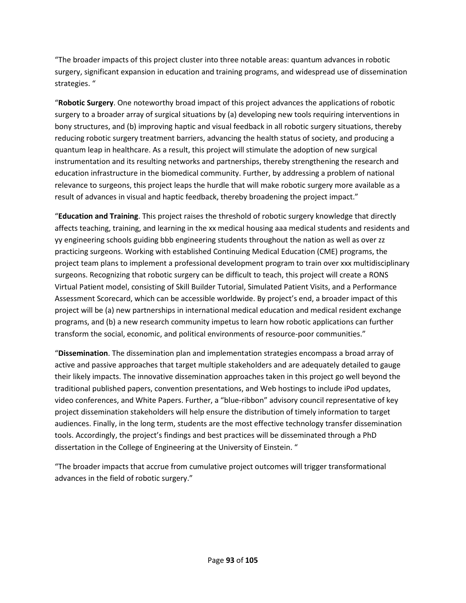"The broader impacts of this project cluster into three notable areas: quantum advances in robotic surgery, significant expansion in education and training programs, and widespread use of dissemination strategies. "

"**Robotic Surgery**. One noteworthy broad impact of this project advances the applications of robotic surgery to a broader array of surgical situations by (a) developing new tools requiring interventions in bony structures, and (b) improving haptic and visual feedback in all robotic surgery situations, thereby reducing robotic surgery treatment barriers, advancing the health status of society, and producing a quantum leap in healthcare. As a result, this project will stimulate the adoption of new surgical instrumentation and its resulting networks and partnerships, thereby strengthening the research and education infrastructure in the biomedical community. Further, by addressing a problem of national relevance to surgeons, this project leaps the hurdle that will make robotic surgery more available as a result of advances in visual and haptic feedback, thereby broadening the project impact."

"**Education and Training**. This project raises the threshold of robotic surgery knowledge that directly affects teaching, training, and learning in the xx medical housing aaa medical students and residents and yy engineering schools guiding bbb engineering students throughout the nation as well as over zz practicing surgeons. Working with established Continuing Medical Education (CME) programs, the project team plans to implement a professional development program to train over xxx multidisciplinary surgeons. Recognizing that robotic surgery can be difficult to teach, this project will create a RONS Virtual Patient model, consisting of Skill Builder Tutorial, Simulated Patient Visits, and a Performance Assessment Scorecard, which can be accessible worldwide. By project's end, a broader impact of this project will be (a) new partnerships in international medical education and medical resident exchange programs, and (b) a new research community impetus to learn how robotic applications can further transform the social, economic, and political environments of resource-poor communities."

"**Dissemination**. The dissemination plan and implementation strategies encompass a broad array of active and passive approaches that target multiple stakeholders and are adequately detailed to gauge their likely impacts. The innovative dissemination approaches taken in this project go well beyond the traditional published papers, convention presentations, and Web hostings to include iPod updates, video conferences, and White Papers. Further, a "blue-ribbon" advisory council representative of key project dissemination stakeholders will help ensure the distribution of timely information to target audiences. Finally, in the long term, students are the most effective technology transfer dissemination tools. Accordingly, the project's findings and best practices will be disseminated through a PhD dissertation in the College of Engineering at the University of Einstein. "

"The broader impacts that accrue from cumulative project outcomes will trigger transformational advances in the field of robotic surgery."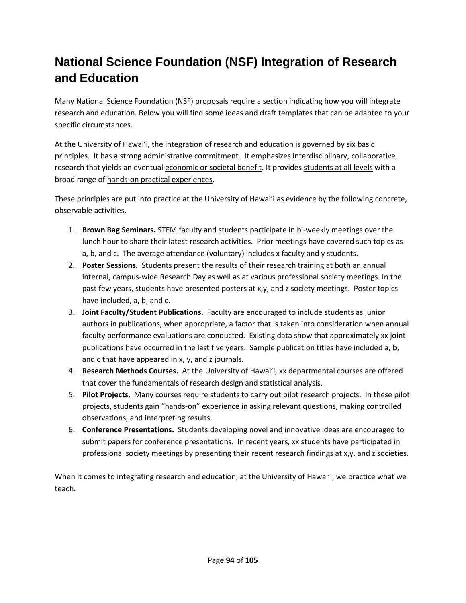# **National Science Foundation (NSF) Integration of Research and Education**

Many National Science Foundation (NSF) proposals require a section indicating how you will integrate research and education. Below you will find some ideas and draft templates that can be adapted to your specific circumstances.

At the University of Hawai'i, the integration of research and education is governed by six basic principles. It has a strong administrative commitment. It emphasizes interdisciplinary, collaborative research that yields an eventual economic or societal benefit. It provides students at all levels with a broad range of hands-on practical experiences.

These principles are put into practice at the University of Hawai'i as evidence by the following concrete, observable activities.

- 1. **Brown Bag Seminars.** STEM faculty and students participate in bi-weekly meetings over the lunch hour to share their latest research activities. Prior meetings have covered such topics as a, b, and c. The average attendance (voluntary) includes x faculty and y students.
- 2. **Poster Sessions.** Students present the results of their research training at both an annual internal, campus-wide Research Day as well as at various professional society meetings. In the past few years, students have presented posters at x,y, and z society meetings. Poster topics have included, a, b, and c.
- 3. **Joint Faculty/Student Publications.** Faculty are encouraged to include students as junior authors in publications, when appropriate, a factor that is taken into consideration when annual faculty performance evaluations are conducted. Existing data show that approximately xx joint publications have occurred in the last five years. Sample publication titles have included a, b, and c that have appeared in x, y, and z journals.
- 4. **Research Methods Courses.** At the University of Hawai'i, xx departmental courses are offered that cover the fundamentals of research design and statistical analysis.
- 5. **Pilot Projects.** Many courses require students to carry out pilot research projects. In these pilot projects, students gain "hands-on" experience in asking relevant questions, making controlled observations, and interpreting results.
- 6. **Conference Presentations.** Students developing novel and innovative ideas are encouraged to submit papers for conference presentations. In recent years, xx students have participated in professional society meetings by presenting their recent research findings at x,y, and z societies.

When it comes to integrating research and education, at the University of Hawai'i, we practice what we teach.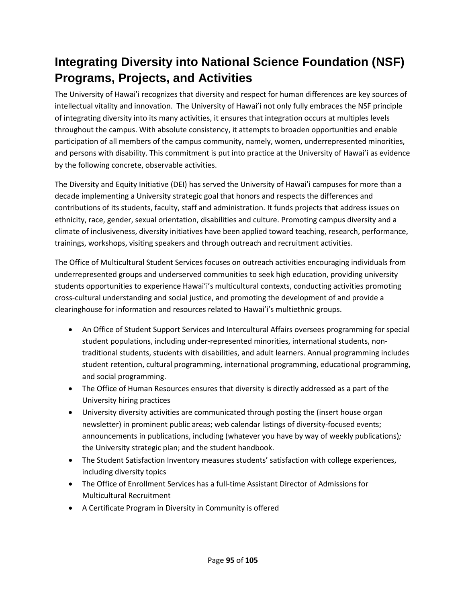# **Integrating Diversity into National Science Foundation (NSF) Programs, Projects, and Activities**

The University of Hawai'i recognizes that diversity and respect for human differences are key sources of intellectual vitality and innovation. The University of Hawai'i not only fully embraces the NSF principle of integrating diversity into its many activities, it ensures that integration occurs at multiples levels throughout the campus. With absolute consistency, it attempts to broaden opportunities and enable participation of all members of the campus community, namely, women, underrepresented minorities, and persons with disability. This commitment is put into practice at the University of Hawai'i as evidence by the following concrete, observable activities.

The Diversity and Equity Initiative (DEI) has served the University of Hawai'i campuses for more than a decade implementing a University strategic goal that honors and respects the differences and contributions of its students, faculty, staff and administration. It funds projects that address issues on ethnicity, race, gender, sexual orientation, disabilities and culture. Promoting campus diversity and a climate of inclusiveness, diversity initiatives have been applied toward teaching, research, performance, trainings, workshops, visiting speakers and through outreach and recruitment activities.

The Office of Multicultural Student Services focuses on outreach activities encouraging individuals from underrepresented groups and underserved communities to seek high education, providing university students opportunities to experience Hawai'i's multicultural contexts, conducting activities promoting cross-cultural understanding and social justice, and promoting the development of and provide a clearinghouse for information and resources related to Hawai'i's multiethnic groups.

- An Office of Student Support Services and Intercultural Affairs oversees programming for special student populations, including under-represented minorities, international students, nontraditional students, students with disabilities, and adult learners. Annual programming includes student retention, cultural programming, international programming, educational programming, and social programming.
- The Office of Human Resources ensures that diversity is directly addressed as a part of the University hiring practices
- University diversity activities are communicated through posting the (insert house organ newsletter) in prominent public areas; web calendar listings of diversity-focused events; announcements in publications, including (whatever you have by way of weekly publications)*;*  the University strategic plan; and the student handbook.
- The Student Satisfaction Inventory measures students' satisfaction with college experiences, including diversity topics
- The Office of Enrollment Services has a full-time Assistant Director of Admissions for Multicultural Recruitment
- A Certificate Program in Diversity in Community is offered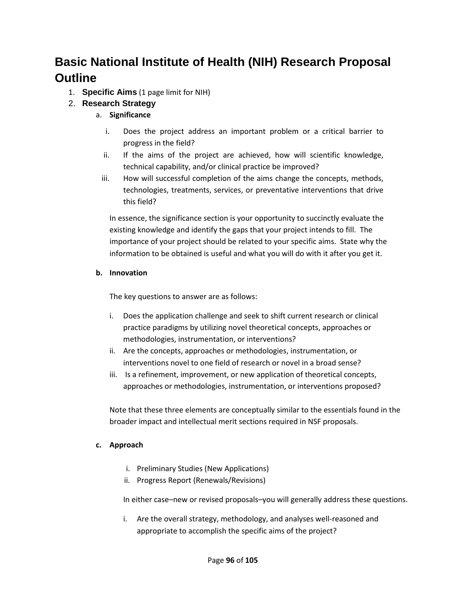## **Basic National Institute of Health (NIH) Research Proposal Outline**

- 1. **Specific Aims** (1 page limit for NIH)
- 2. **Research Strategy**

### a. **Significance**

- i. Does the project address an important problem or a critical barrier to progress in the field?
- ii. If the aims of the project are achieved, how will scientific knowledge, technical capability, and/or clinical practice be improved?
- iii. How will successful completion of the aims change the concepts, methods, technologies, treatments, services, or preventative interventions that drive this field?

In essence, the significance section is your opportunity to succinctly evaluate the existing knowledge and identify the gaps that your project intends to fill. The importance of your project should be related to your specific aims. State why the information to be obtained is useful and what you will do with it after you get it.

### **b. Innovation**

The key questions to answer are as follows:

- i. Does the application challenge and seek to shift current research or clinical practice paradigms by utilizing novel theoretical concepts, approaches or methodologies, instrumentation, or interventions?
- ii. Are the concepts, approaches or methodologies, instrumentation, or interventions novel to one field of research or novel in a broad sense?
- iii. Is a refinement, improvement, or new application of theoretical concepts, approaches or methodologies, instrumentation, or interventions proposed?

Note that these three elements are conceptually similar to the essentials found in the broader impact and intellectual merit sections required in NSF proposals.

### **c. Approach**

- i. Preliminary Studies (New Applications)
- ii. Progress Report (Renewals/Revisions)

In either case–new or revised proposals–you will generally address these questions.

i. Are the overall strategy, methodology, and analyses well-reasoned and appropriate to accomplish the specific aims of the project?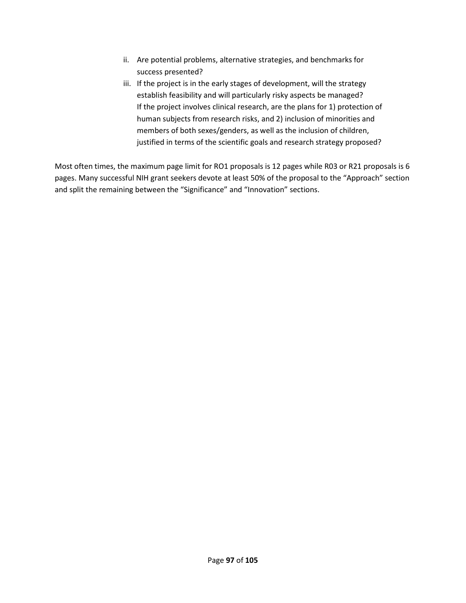- ii. Are potential problems, alternative strategies, and benchmarks for success presented?
- iii. If the project is in the early stages of development, will the strategy establish feasibility and will particularly risky aspects be managed? If the project involves clinical research, are the plans for 1) protection of human subjects from research risks, and 2) inclusion of minorities and members of both sexes/genders, as well as the inclusion of children, justified in terms of the scientific goals and research strategy proposed?

Most often times, the maximum page limit for RO1 proposals is 12 pages while R03 or R21 proposals is 6 pages. Many successful NIH grant seekers devote at least 50% of the proposal to the "Approach" section and split the remaining between the "Significance" and "Innovation" sections.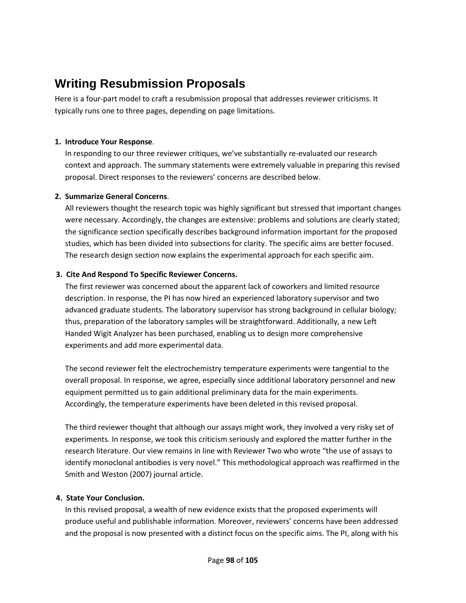## **Writing Resubmission Proposals**

Here is a four-part model to craft a resubmission proposal that addresses reviewer criticisms. It typically runs one to three pages, depending on page limitations.

### **1. Introduce Your Response**.

In responding to our three reviewer critiques, we've substantially re-evaluated our research context and approach. The summary statements were extremely valuable in preparing this revised proposal. Direct responses to the reviewers' concerns are described below.

#### **2. Summarize General Concerns**.

All reviewers thought the research topic was highly significant but stressed that important changes were necessary. Accordingly, the changes are extensive: problems and solutions are clearly stated; the significance section specifically describes background information important for the proposed studies, which has been divided into subsections for clarity. The specific aims are better focused. The research design section now explains the experimental approach for each specific aim.

#### **3. Cite And Respond To Specific Reviewer Concerns.**

The first reviewer was concerned about the apparent lack of coworkers and limited resource description. In response, the PI has now hired an experienced laboratory supervisor and two advanced graduate students. The laboratory supervisor has strong background in cellular biology; thus, preparation of the laboratory samples will be straightforward. Additionally, a new Left Handed Wigit Analyzer has been purchased, enabling us to design more comprehensive experiments and add more experimental data.

The second reviewer felt the electrochemistry temperature experiments were tangential to the overall proposal. In response, we agree, especially since additional laboratory personnel and new equipment permitted us to gain additional preliminary data for the main experiments. Accordingly, the temperature experiments have been deleted in this revised proposal.

The third reviewer thought that although our assays might work, they involved a very risky set of experiments. In response, we took this criticism seriously and explored the matter further in the research literature. Our view remains in line with Reviewer Two who wrote "the use of assays to identify monoclonal antibodies is very novel." This methodological approach was reaffirmed in the Smith and Weston (2007) journal article.

### **4. State Your Conclusion.**

In this revised proposal, a wealth of new evidence exists that the proposed experiments will produce useful and publishable information. Moreover, reviewers' concerns have been addressed and the proposal is now presented with a distinct focus on the specific aims. The PI, along with his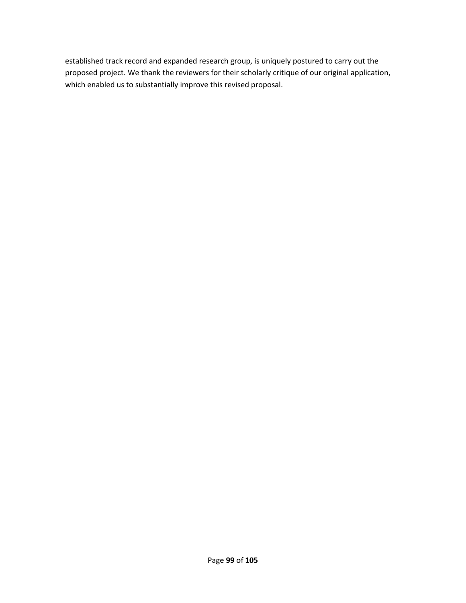established track record and expanded research group, is uniquely postured to carry out the proposed project. We thank the reviewers for their scholarly critique of our original application, which enabled us to substantially improve this revised proposal.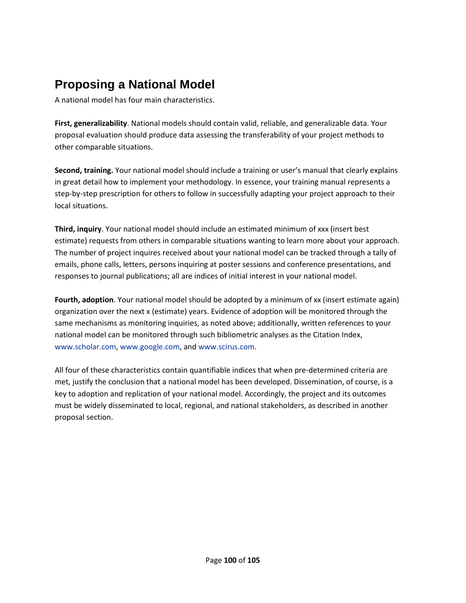## **Proposing a National Model**

A national model has four main characteristics.

**First, generalizability**. National models should contain valid, reliable, and generalizable data. Your proposal evaluation should produce data assessing the transferability of your project methods to other comparable situations.

**Second, training.** Your national model should include a training or user's manual that clearly explains in great detail how to implement your methodology. In essence, your training manual represents a step-by-step prescription for others to follow in successfully adapting your project approach to their local situations.

**Third, inquiry**. Your national model should include an estimated minimum of xxx (insert best estimate) requests from others in comparable situations wanting to learn more about your approach. The number of project inquires received about your national model can be tracked through a tally of emails, phone calls, letters, persons inquiring at poster sessions and conference presentations, and responses to journal publications; all are indices of initial interest in your national model.

**Fourth, adoption**. Your national model should be adopted by a minimum of xx (insert estimate again) organization over the next x (estimate) years. Evidence of adoption will be monitored through the same mechanisms as monitoring inquiries, as noted above; additionally, written references to your national model can be monitored through such bibliometric analyses as the Citation Index, [www.scholar.com,](http://www.scholar.com/) [www.google.com,](http://www.google.com/) an[d www.scirus.com.](http://www.scirus.com/)

All four of these characteristics contain quantifiable indices that when pre-determined criteria are met, justify the conclusion that a national model has been developed. Dissemination, of course, is a key to adoption and replication of your national model. Accordingly, the project and its outcomes must be widely disseminated to local, regional, and national stakeholders, as described in another proposal section.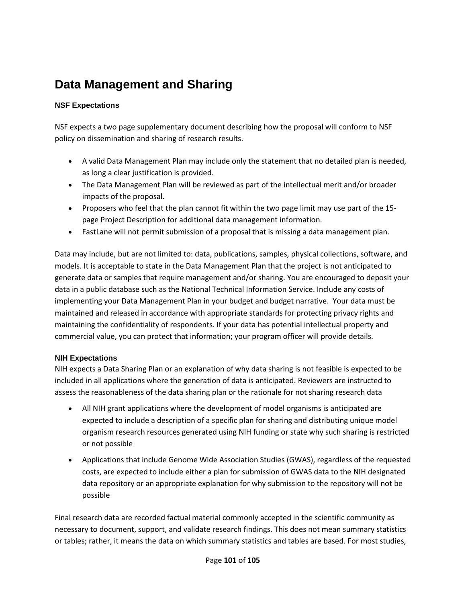# **Data Management and Sharing**

### **NSF Expectations**

NSF expects a two page supplementary document describing how the proposal will conform to NSF policy on dissemination and sharing of research results.

- A valid Data Management Plan may include only the statement that no detailed plan is needed, as long a clear justification is provided.
- The Data Management Plan will be reviewed as part of the intellectual merit and/or broader impacts of the proposal.
- Proposers who feel that the plan cannot fit within the two page limit may use part of the 15 page Project Description for additional data management information.
- FastLane will not permit submission of a proposal that is missing a data management plan.

Data may include, but are not limited to: data, publications, samples, physical collections, software, and models. It is acceptable to state in the Data Management Plan that the project is not anticipated to generate data or samples that require management and/or sharing. You are encouraged to deposit your data in a public database such as the National Technical Information Service. Include any costs of implementing your Data Management Plan in your budget and budget narrative. Your data must be maintained and released in accordance with appropriate standards for protecting privacy rights and maintaining the confidentiality of respondents. If your data has potential intellectual property and commercial value, you can protect that information; your program officer will provide details.

### **NIH Expectations**

NIH expects a Data Sharing Plan or an explanation of why data sharing is not feasible is expected to be included in all applications where the generation of data is anticipated. Reviewers are instructed to assess the reasonableness of the data sharing plan or the rationale for not sharing research data

- All NIH grant applications where the development of model organisms is anticipated are expected to include a description of a specific plan for sharing and distributing unique model organism research resources generated using NIH funding or state why such sharing is restricted or not possible
- Applications that include Genome Wide Association Studies (GWAS), regardless of the requested costs, are expected to include either a plan for submission of GWAS data to the NIH designated data repository or an appropriate explanation for why submission to the repository will not be possible

[Final research data](http://grants.nih.gov/grants/policy/data_sharing/data_sharing_guidance.htm#fin) are recorded factual material commonly accepted in the scientific community as necessary to document, support, and validate research findings. This does not mean summary statistics or tables; rather, it means the data on which summary statistics and tables are based. For most studies,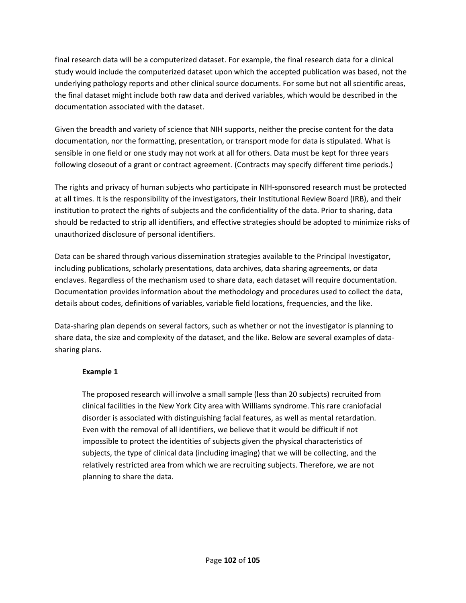final research data will be a computerized dataset. For example, the final research data for a clinical study would include the computerized dataset upon which the accepted publication was based, not the underlying pathology reports and other clinical source documents. For some but not all scientific areas, the final dataset might include both raw data and derived variables, which would be described in the documentation associated with the dataset.

Given the breadth and variety of science that NIH supports, neither the precise content for the data documentation, nor the formatting, presentation, or transport mode for data is stipulated. What is sensible in one field or one study may not work at all for others. Data must be kept for three years following closeout of a grant or contract agreement. (Contracts may specify different time periods.)

The rights and privacy of human subjects who participate in NIH-sponsored research must be protected at all times. It is the responsibility of the investigators, their Institutional Review Board (IRB), and their institution to protect the rights of subjects and the confidentiality of the data. Prior to sharing, data should be redacted to strip all identifiers, and effective strategies should be adopted to minimize risks of unauthorized disclosure of personal identifiers.

Data can be shared through various dissemination strategies available to the Principal Investigator, including publications, scholarly presentations, data archives, data sharing agreements, or data enclaves. Regardless of the mechanism used to share data, each dataset will require documentation. Documentation provides information about the methodology and procedures used to collect the data, details about codes, definitions of variables, variable field locations, frequencies, and the like.

Data-sharing plan depends on several factors, such as whether or not the investigator is planning to share data, the size and complexity of the dataset, and the like. Below are several examples of datasharing plans.

### **Example 1**

The proposed research will involve a small sample (less than 20 subjects) recruited from clinical facilities in the New York City area with Williams syndrome. This rare craniofacial disorder is associated with distinguishing facial features, as well as mental retardation. Even with the removal of all identifiers, we believe that it would be difficult if not impossible to protect the identities of subjects given the physical characteristics of subjects, the type of clinical data (including imaging) that we will be collecting, and the relatively restricted area from which we are recruiting subjects. Therefore, we are not planning to share the data.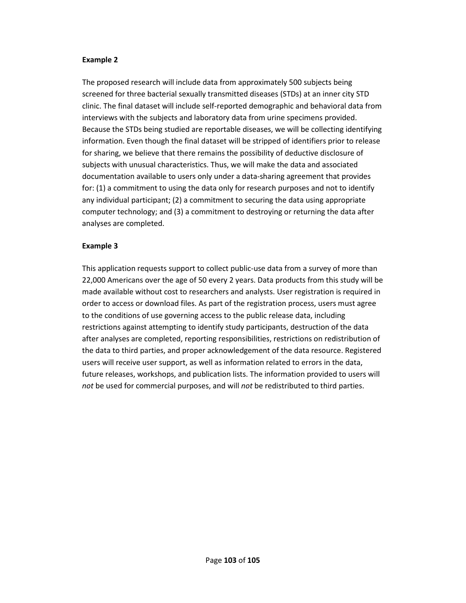#### **Example 2**

The proposed research will include data from approximately 500 subjects being screened for three bacterial sexually transmitted diseases (STDs) at an inner city STD clinic. The final dataset will include self-reported demographic and behavioral data from interviews with the subjects and laboratory data from urine specimens provided. Because the STDs being studied are reportable diseases, we will be collecting identifying information. Even though the final dataset will be stripped of identifiers prior to release for sharing, we believe that there remains the possibility of deductive disclosure of subjects with unusual characteristics. Thus, we will make the data and associated documentation available to users only under a data-sharing agreement that provides for: (1) a commitment to using the data only for research purposes and not to identify any individual participant; (2) a commitment to securing the data using appropriate computer technology; and (3) a commitment to destroying or returning the data after analyses are completed.

#### **Example 3**

This application requests support to collect public-use data from a survey of more than 22,000 Americans over the age of 50 every 2 years. Data products from this study will be made available without cost to researchers and analysts. User registration is required in order to access or download files. As part of the registration process, users must agree to the conditions of use governing access to the public release data, including restrictions against attempting to identify study participants, destruction of the data after analyses are completed, reporting responsibilities, restrictions on redistribution of the data to third parties, and proper acknowledgement of the data resource. Registered users will receive user support, as well as information related to errors in the data, future releases, workshops, and publication lists. The information provided to users will *not* be used for commercial purposes, and will *not* be redistributed to third parties.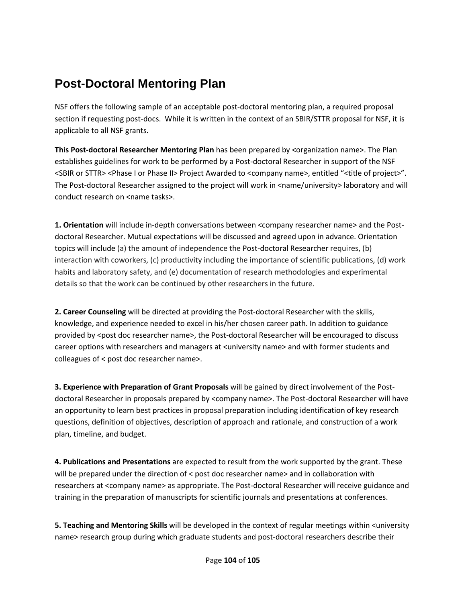## **Post-Doctoral Mentoring Plan**

NSF offers the following sample of an acceptable post-doctoral mentoring plan, a required proposal section if requesting post-docs. While it is written in the context of an SBIR/STTR proposal for NSF, it is applicable to all NSF grants.

This Post-doctoral Researcher Mentoring Plan has been prepared by <organization name>. The Plan establishes guidelines for work to be performed by a Post-doctoral Researcher in support of the NSF <SBIR or STTR> <Phase I or Phase II> Project Awarded to <company name>, entitled "<title of project>". The Post-doctoral Researcher assigned to the project will work in <name/university> laboratory and will conduct research on <name tasks>.

**1. Orientation** will include in-depth conversations between <company researcher name> and the Postdoctoral Researcher. Mutual expectations will be discussed and agreed upon in advance. Orientation topics will include (a) the amount of independence the Post-doctoral Researcher requires, (b) interaction with coworkers, (c) productivity including the importance of scientific publications, (d) work habits and laboratory safety, and (e) documentation of research methodologies and experimental details so that the work can be continued by other researchers in the future.

**2. Career Counseling** will be directed at providing the Post-doctoral Researcher with the skills, knowledge, and experience needed to excel in his/her chosen career path. In addition to guidance provided by <post doc researcher name>, the Post-doctoral Researcher will be encouraged to discuss career options with researchers and managers at <university name> and with former students and colleagues of < post doc researcher name>.

**3. Experience with Preparation of Grant Proposals** will be gained by direct involvement of the Postdoctoral Researcher in proposals prepared by <company name>. The Post-doctoral Researcher will have an opportunity to learn best practices in proposal preparation including identification of key research questions, definition of objectives, description of approach and rationale, and construction of a work plan, timeline, and budget.

**4. Publications and Presentations** are expected to result from the work supported by the grant. These will be prepared under the direction of < post doc researcher name> and in collaboration with researchers at <company name> as appropriate. The Post-doctoral Researcher will receive guidance and training in the preparation of manuscripts for scientific journals and presentations at conferences.

**5. Teaching and Mentoring Skills** will be developed in the context of regular meetings within <university name> research group during which graduate students and post-doctoral researchers describe their